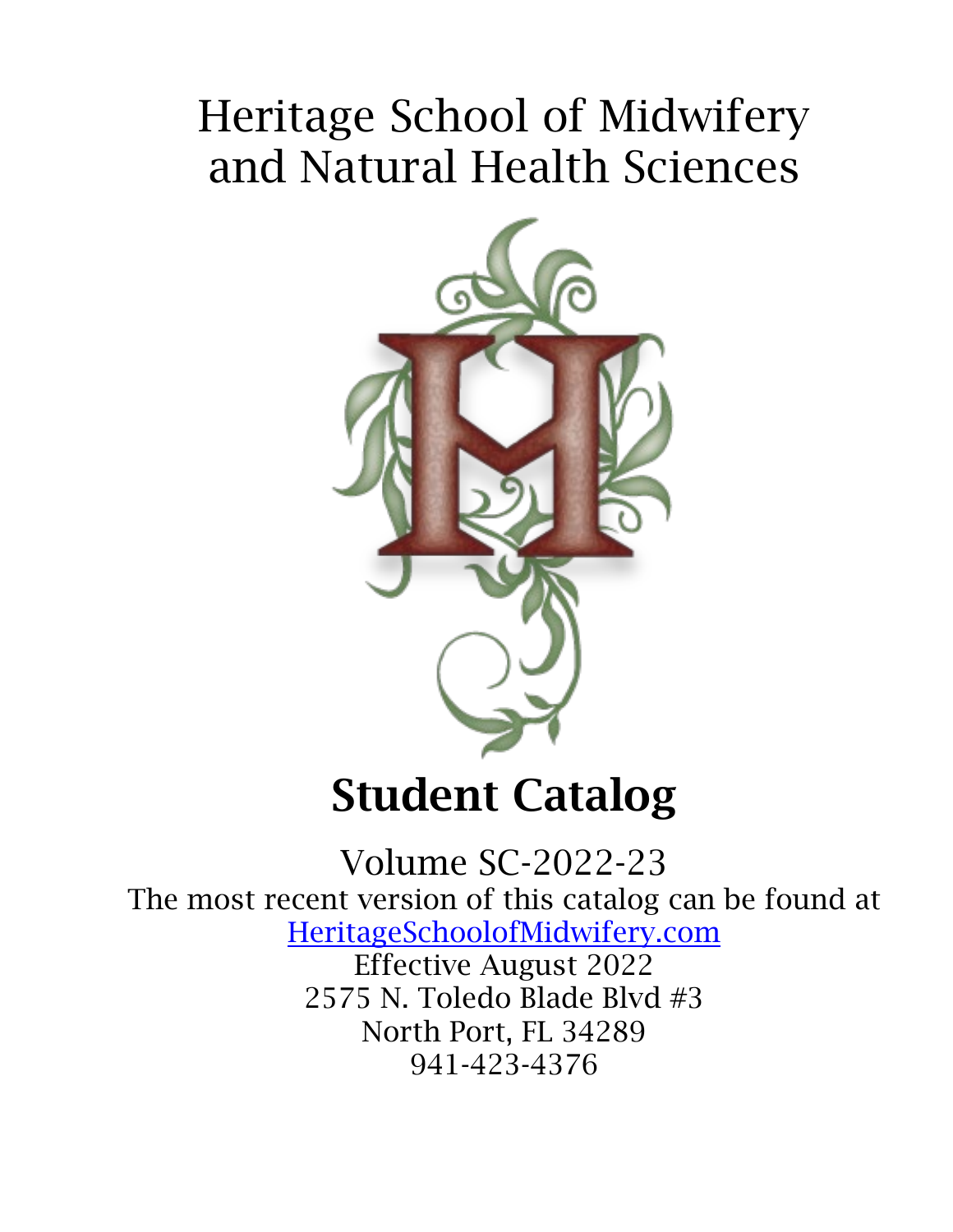# Heritage School of Midwifery and Natural Health Sciences



# Student Catalog

Volume SC-2022-23 The most recent version of this catalog can be found at [HeritageSchoolofMidwifery.com](http://www.heritageschoolofmidwifery.com/) Effective August 2022 2575 N. Toledo Blade Blvd #3 North Port, FL 34289 941-423-4376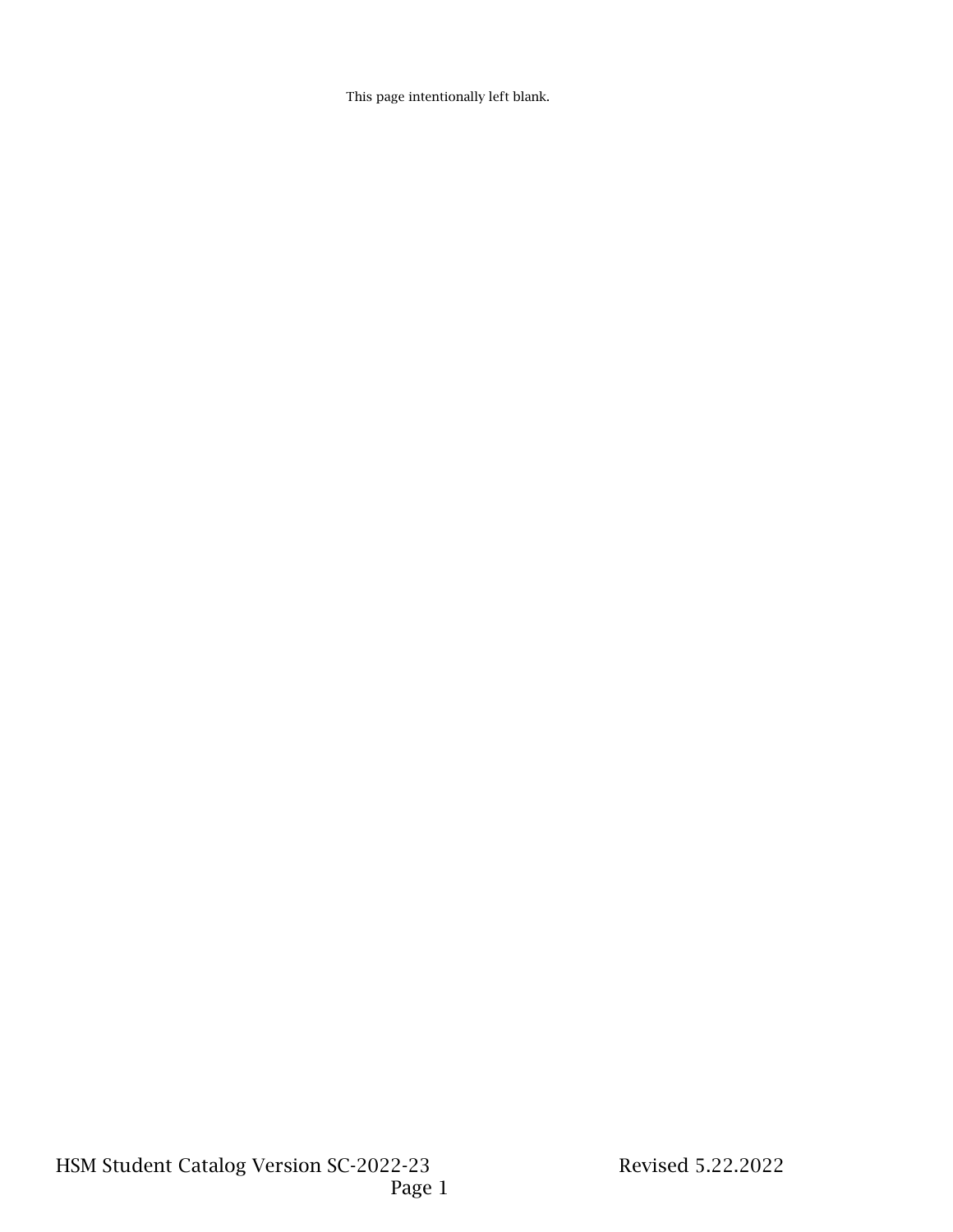This page intentionally left blank.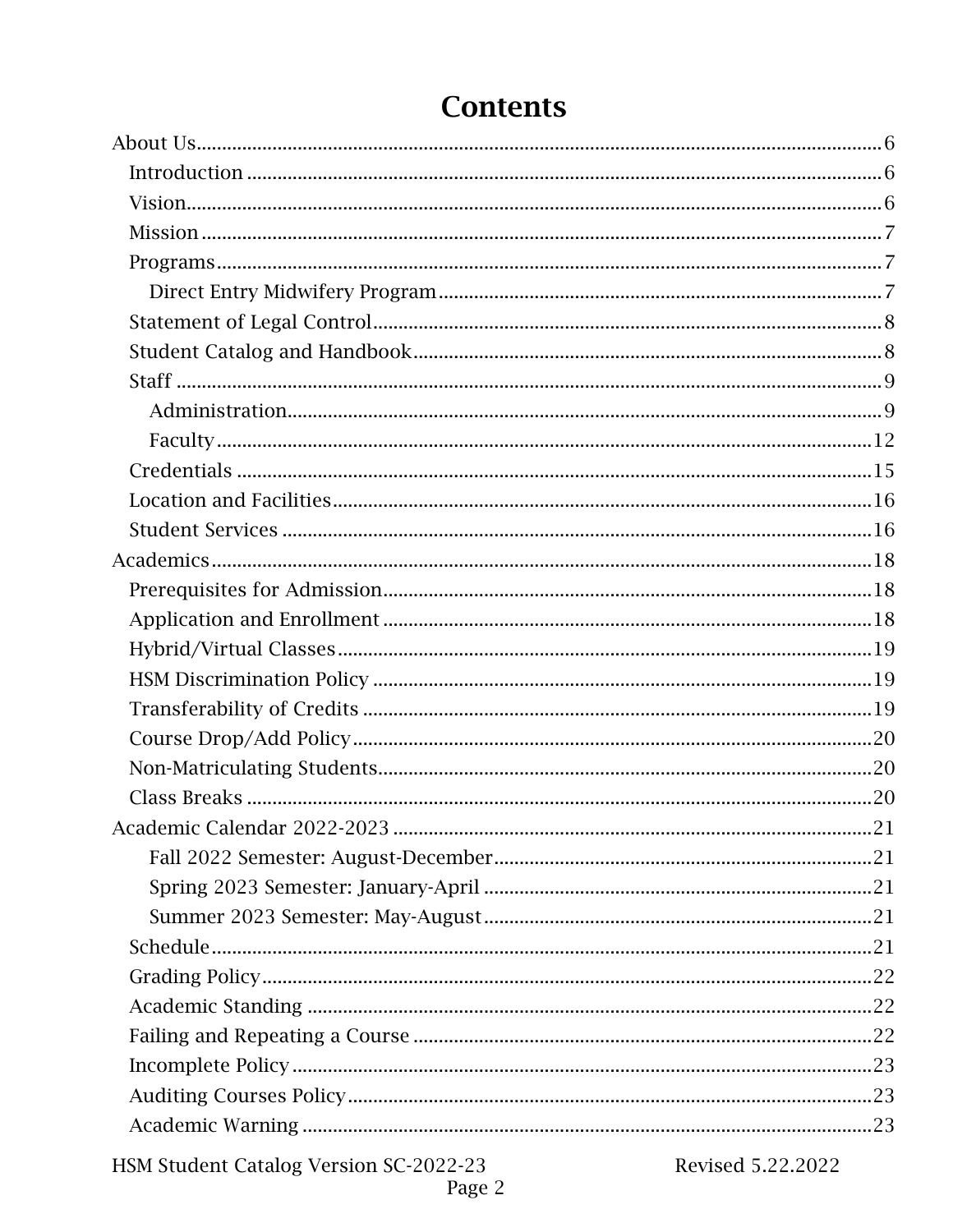| $HOM(G, 1, G, 1, V, 1, GQ, 0.000, 0.2, P, 1, FQ, 0.000, 0.000, P, 1, FQ, 0.000, 0.000, P, 1, FQ, 0.000, 0.000, 0.000, 0.000, 0.000, 0.000, 0.000, 0.000, 0.000, 0.000, 0.000, 0.000, 0.000, 0.000, 0.000, 0.000, 0.000, 0.000, 0.000, 0.$ |  |
|-------------------------------------------------------------------------------------------------------------------------------------------------------------------------------------------------------------------------------------------|--|

## **Contents**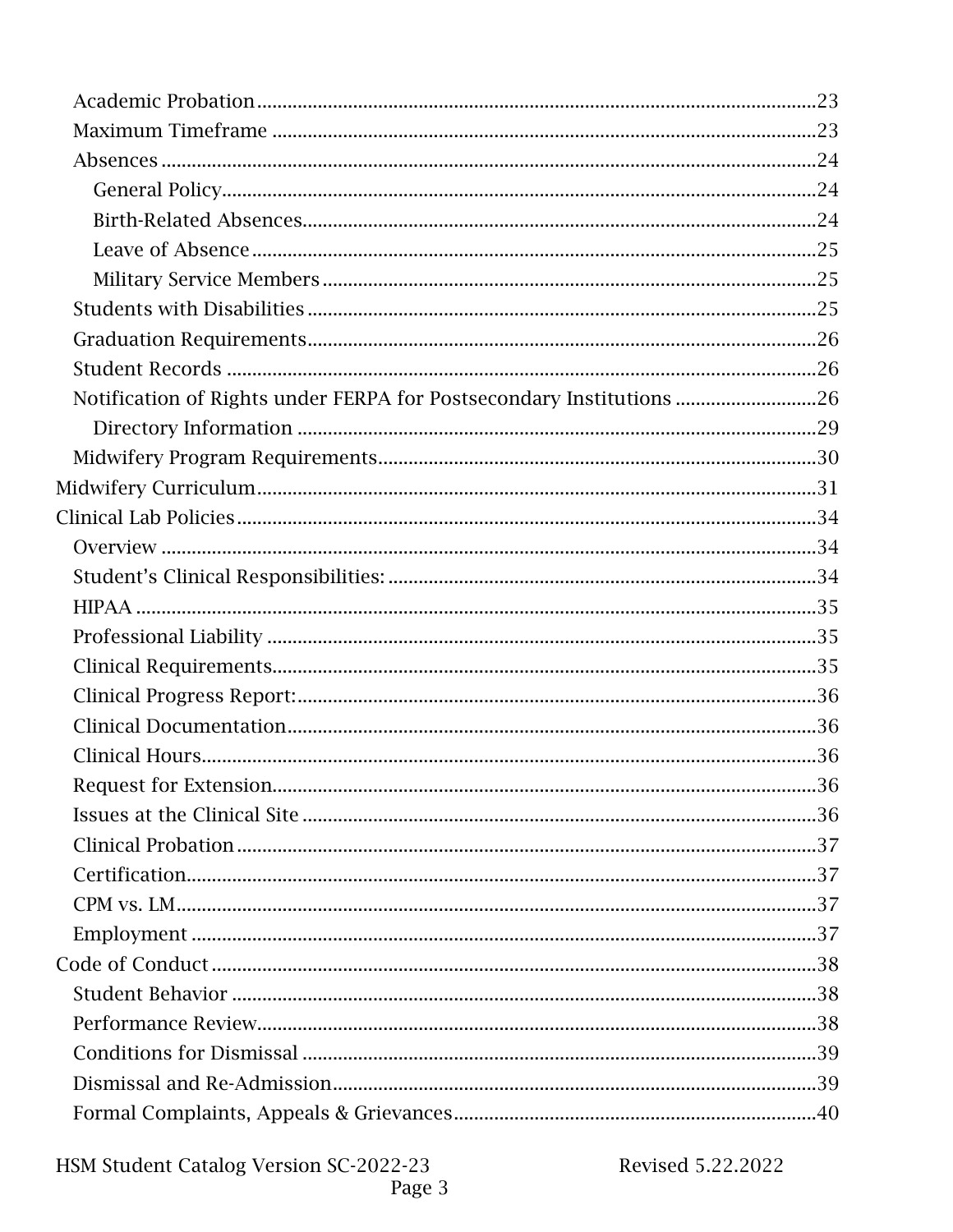| Notification of Rights under FERPA for Postsecondary Institutions 26 |  |
|----------------------------------------------------------------------|--|
|                                                                      |  |
|                                                                      |  |
|                                                                      |  |
|                                                                      |  |
|                                                                      |  |
|                                                                      |  |
|                                                                      |  |
|                                                                      |  |
|                                                                      |  |
|                                                                      |  |
|                                                                      |  |
|                                                                      |  |
|                                                                      |  |
|                                                                      |  |
|                                                                      |  |
|                                                                      |  |
|                                                                      |  |
|                                                                      |  |
|                                                                      |  |
|                                                                      |  |
|                                                                      |  |
|                                                                      |  |
|                                                                      |  |
|                                                                      |  |
|                                                                      |  |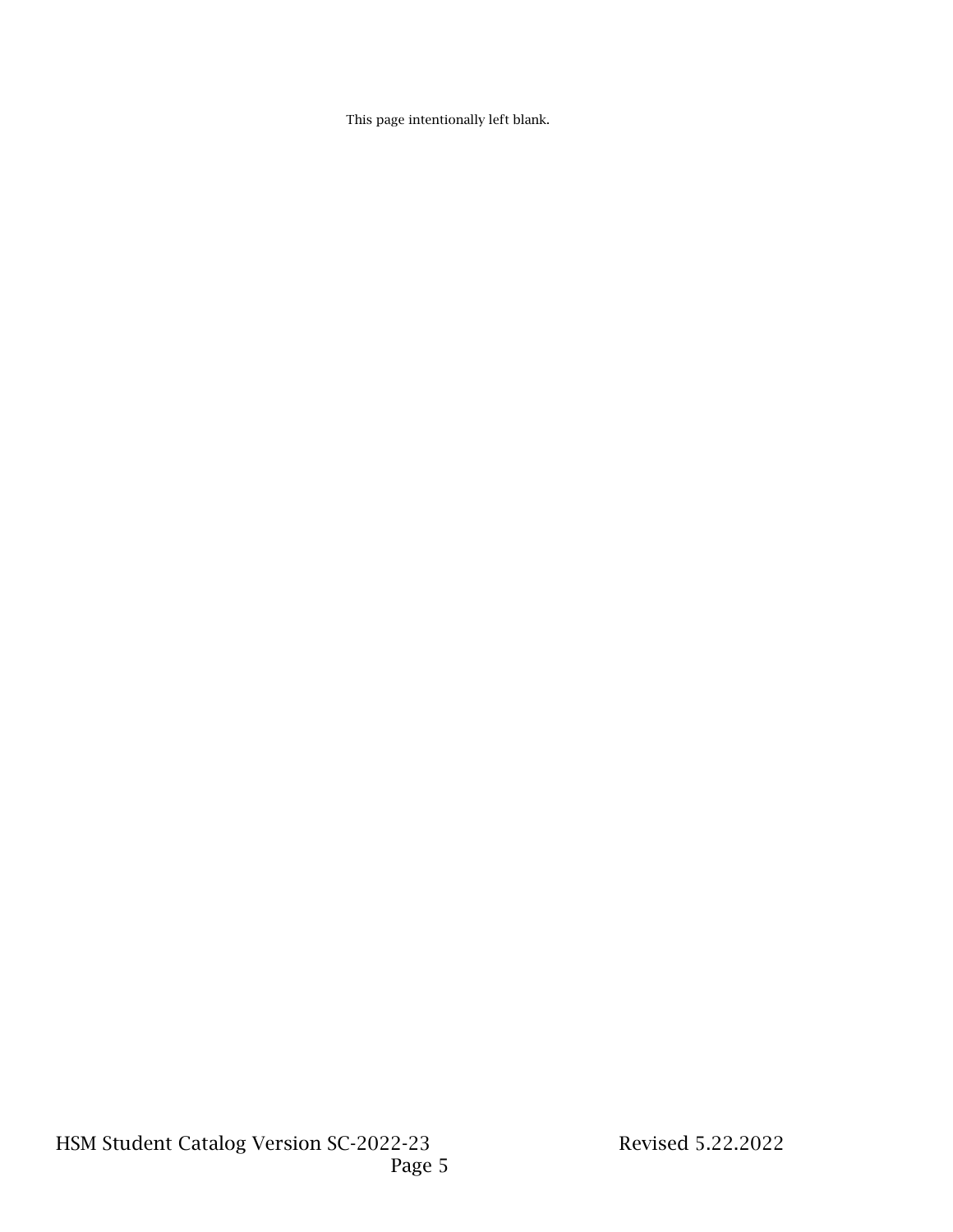This page intentionally left blank.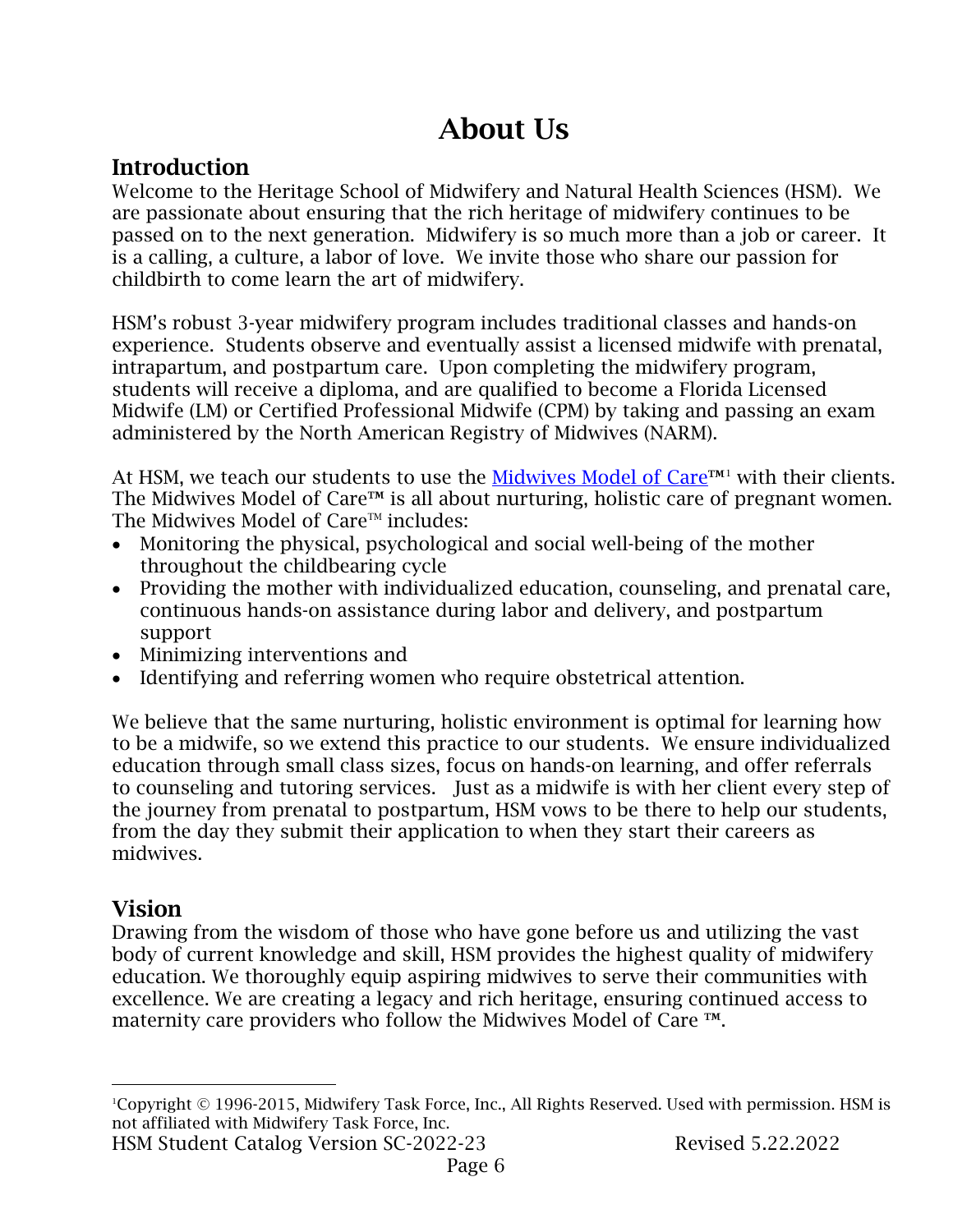## About Us

## <span id="page-6-1"></span><span id="page-6-0"></span>**Introduction**

Welcome to the Heritage School of Midwifery and Natural Health Sciences (HSM). We are passionate about ensuring that the rich heritage of midwifery continues to be passed on to the next generation. Midwifery is so much more than a job or career. It is a calling, a culture, a labor of love. We invite those who share our passion for childbirth to come learn the art of midwifery.

HSM's robust 3-year midwifery program includes traditional classes and hands-on experience. Students observe and eventually assist a licensed midwife with prenatal, intrapartum, and postpartum care. Upon completing the midwifery program, students will receive a diploma, and are qualified to become a Florida Licensed Midwife (LM) or Certified Professional Midwife (CPM) by taking and passing an exam administered by the North American Registry of Midwives (NARM).

At HSM, we teach our students to use the Midwives Model of  $Care<sup>TM1</sup>$  $Care<sup>TM1</sup>$  $Care<sup>TM1</sup>$  with their clients. The Midwives Model of Care™ is all about nurturing, holistic care of pregnant women. The Midwives Model of Care $M$  includes:

- Monitoring the physical, psychological and social well-being of the mother throughout the childbearing cycle
- Providing the mother with individualized education, counseling, and prenatal care, continuous hands-on assistance during labor and delivery, and postpartum support
- Minimizing interventions and
- Identifying and referring women who require obstetrical attention.

We believe that the same nurturing, holistic environment is optimal for learning how to be a midwife, so we extend this practice to our students. We ensure individualized education through small class sizes, focus on hands-on learning, and offer referrals to counseling and tutoring services. Just as a midwife is with her client every step of the journey from prenatal to postpartum, HSM vows to be there to help our students, from the day they submit their application to when they start their careers as midwives.

## <span id="page-6-2"></span>Vision

Drawing from the wisdom of those who have gone before us and utilizing the vast body of current knowledge and skill, HSM provides the highest quality of midwifery education. We thoroughly equip aspiring midwives to serve their communities with excellence. We are creating a legacy and rich heritage, ensuring continued access to maternity care providers who follow the Midwives Model of Care ™.

<span id="page-6-3"></span>HSM Student Catalog Version SC-2022-23 Revised 5.22.2022 1 Copyright © 1996-2015, Midwifery Task Force, Inc., All Rights Reserved. Used with permission. HSM is not affiliated with Midwifery Task Force, Inc.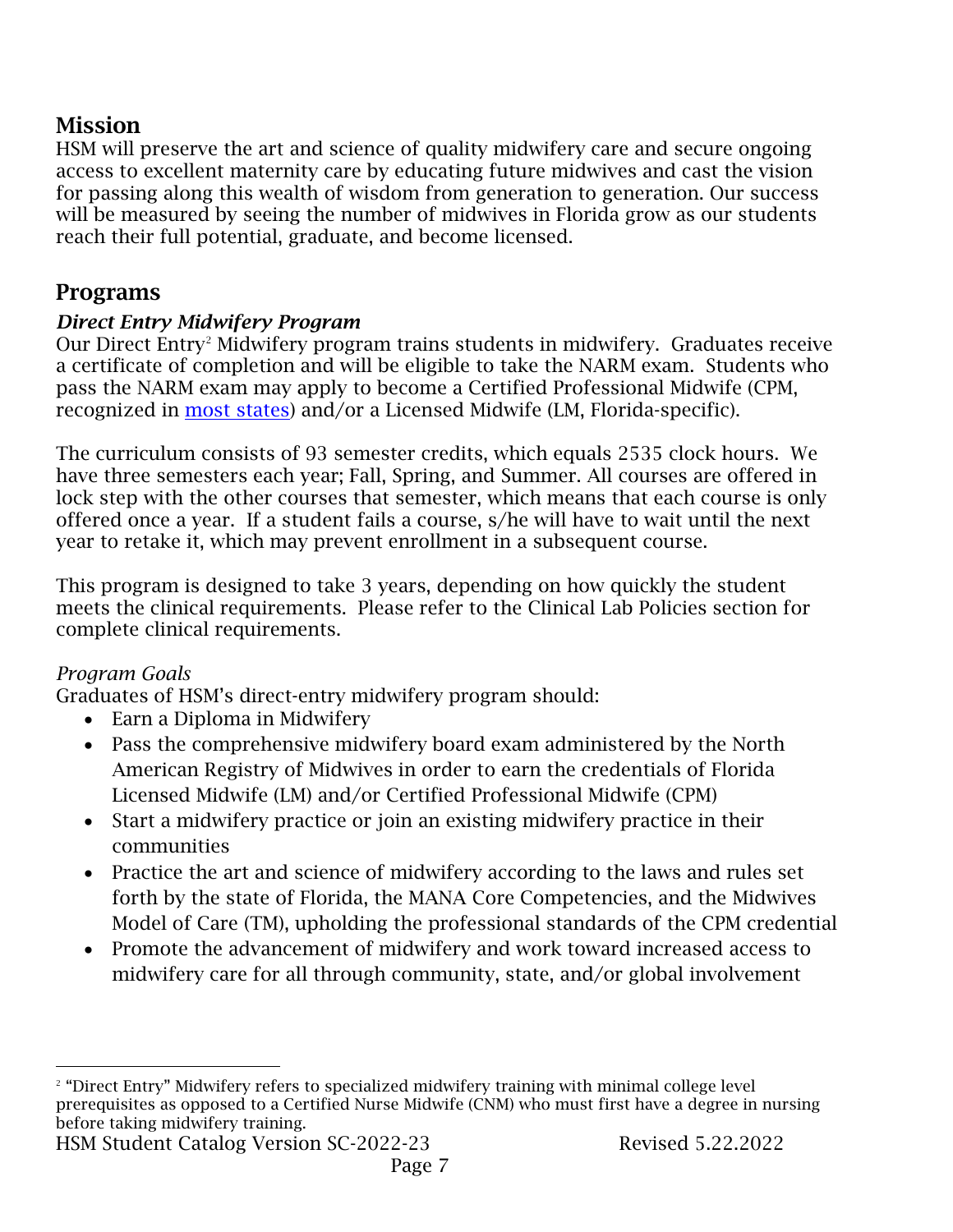## <span id="page-7-0"></span>Mission

HSM will preserve the art and science of quality midwifery care and secure ongoing access to excellent maternity care by educating future midwives and cast the vision for passing along this wealth of wisdom from generation to generation. Our success will be measured by seeing the number of midwives in Florida grow as our students reach their full potential, graduate, and become licensed.

## <span id="page-7-1"></span>Programs

## <span id="page-7-2"></span>*Direct Entry Midwifery Program*

Our Direct Entry<sup>[2](#page-7-3)</sup> Midwifery program trains students in midwifery. Graduates receive a certificate of completion and will be eligible to take the NARM exam. Students who pass the NARM exam may apply to become a Certified Professional Midwife (CPM, recognized in most [states\)](http://narm.org/pdffiles/Statechart.pdf) and/or a Licensed Midwife (LM, Florida-specific).

The curriculum consists of 93 semester credits, which equals 2535 clock hours. We have three semesters each year; Fall, Spring, and Summer. All courses are offered in lock step with the other courses that semester, which means that each course is only offered once a year. If a student fails a course, s/he will have to wait until the next year to retake it, which may prevent enrollment in a subsequent course.

This program is designed to take 3 years, depending on how quickly the student meets the clinical requirements. Please refer to the Clinical Lab Policies section for complete clinical requirements.

#### *Program Goals*

Graduates of HSM's direct-entry midwifery program should:

- Earn a Diploma in Midwifery
- Pass the comprehensive midwifery board exam administered by the North American Registry of Midwives in order to earn the credentials of Florida Licensed Midwife (LM) and/or Certified Professional Midwife (CPM)
- Start a midwifery practice or join an existing midwifery practice in their communities
- Practice the art and science of midwifery according to the laws and rules set forth by the state of Florida, the MANA Core Competencies, and the Midwives Model of Care (TM), upholding the professional standards of the CPM credential
- Promote the advancement of midwifery and work toward increased access to midwifery care for all through community, state, and/or global involvement

<span id="page-7-3"></span><sup>&</sup>lt;sup>2</sup> "Direct Entry" Midwifery refers to specialized midwifery training with minimal college level prerequisites as opposed to a Certified Nurse Midwife (CNM) who must first have a degree in nursing before taking midwifery training.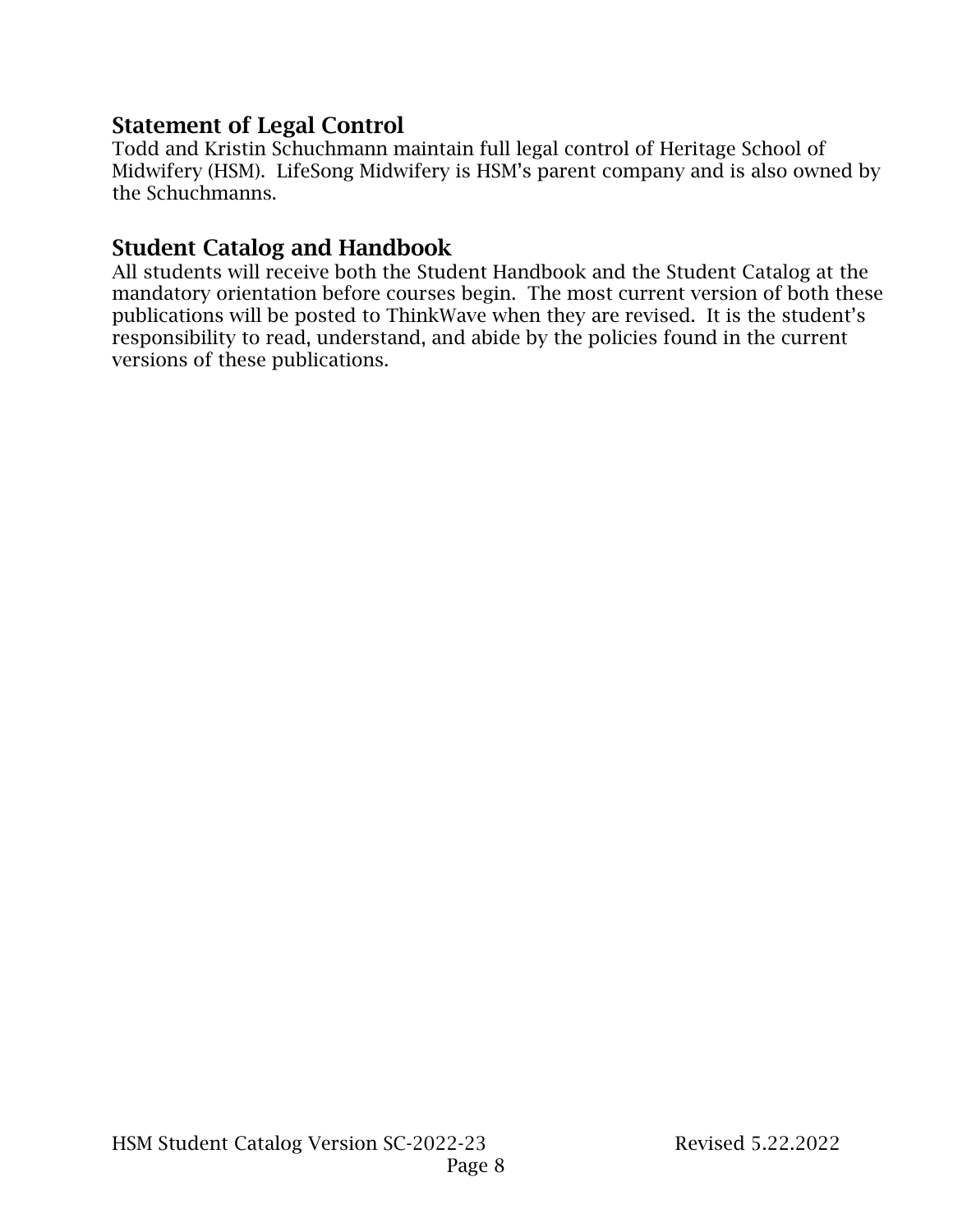## <span id="page-8-0"></span>Statement of Legal Control

Todd and Kristin Schuchmann maintain full legal control of Heritage School of Midwifery (HSM). LifeSong Midwifery is HSM's parent company and is also owned by the Schuchmanns.

## <span id="page-8-1"></span>Student Catalog and Handbook

All students will receive both the Student Handbook and the Student Catalog at the mandatory orientation before courses begin. The most current version of both these publications will be posted to ThinkWave when they are revised. It is the student's responsibility to read, understand, and abide by the policies found in the current versions of these publications.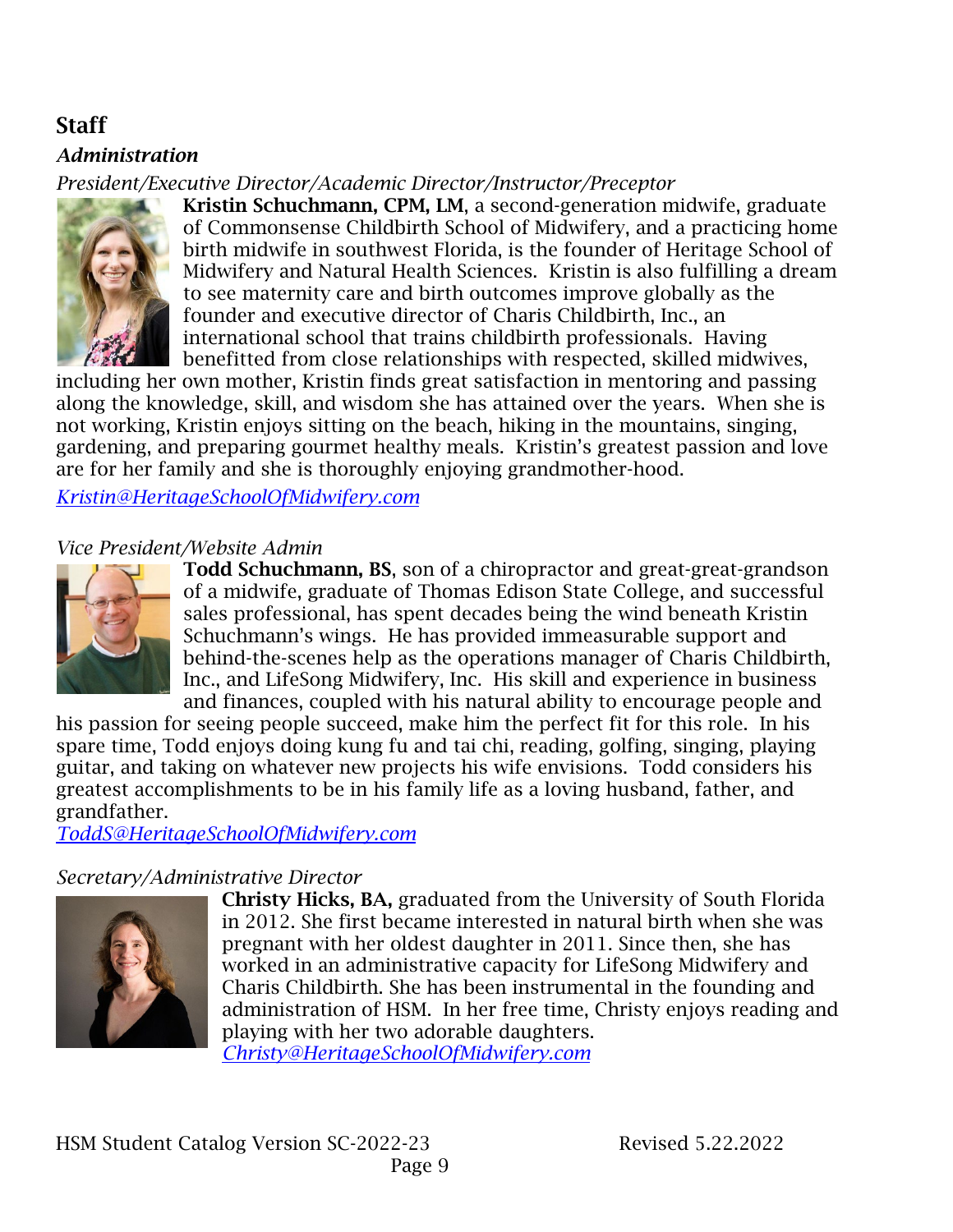## <span id="page-9-1"></span><span id="page-9-0"></span>**Staff** *Administration*

*President/Executive Director/Academic Director/Instructor/Preceptor*



Kristin Schuchmann, CPM, LM, a second-generation midwife, graduate of Commonsense Childbirth School of Midwifery, and a practicing home birth midwife in southwest Florida, is the founder of Heritage School of Midwifery and Natural Health Sciences. Kristin is also fulfilling a dream to see maternity care and birth outcomes improve globally as the founder and executive director of Charis Childbirth, Inc., an international school that trains childbirth professionals. Having benefitted from close relationships with respected, skilled midwives,

including her own mother, Kristin finds great satisfaction in mentoring and passing along the knowledge, skill, and wisdom she has attained over the years. When she is not working, Kristin enjoys sitting on the beach, hiking in the mountains, singing, gardening, and preparing gourmet healthy meals. Kristin's greatest passion and love are for her family and she is thoroughly enjoying grandmother-hood.

*[Kristin@HeritageSchoolOfMidwifery.com](mailto:Kristin@HeritageSchoolOfMidwifery.com)*

#### *Vice President/Website Admin*



Todd Schuchmann, BS, son of a chiropractor and great-great-grandson of a midwife, graduate of Thomas Edison State College, and successful sales professional, has spent decades being the wind beneath Kristin Schuchmann's wings. He has provided immeasurable support and behind-the-scenes help as the operations manager of Charis Childbirth, Inc., and LifeSong Midwifery, Inc. His skill and experience in business and finances, coupled with his natural ability to encourage people and

his passion for seeing people succeed, make him the perfect fit for this role. In his spare time, Todd enjoys doing kung fu and tai chi, reading, golfing, singing, playing guitar, and taking on whatever new projects his wife envisions. Todd considers his greatest accomplishments to be in his family life as a loving husband, father, and grandfather.

*[ToddS@HeritageSchoolOfMidwifery.com](mailto:ToddS@HeritageSchoolOfMidwifery.com)*

#### *Secretary/Administrative Director*



Christy Hicks, BA, graduated from the University of South Florida in 2012. She first became interested in natural birth when she was pregnant with her oldest daughter in 2011. Since then, she has worked in an administrative capacity for LifeSong Midwifery and Charis Childbirth. She has been instrumental in the founding and administration of HSM. In her free time, Christy enjoys reading and playing with her two adorable daughters. *[Christy@HeritageSchoolOfMidwifery.com](mailto:Christy@HeritageSchoolOfMidwifery.com)*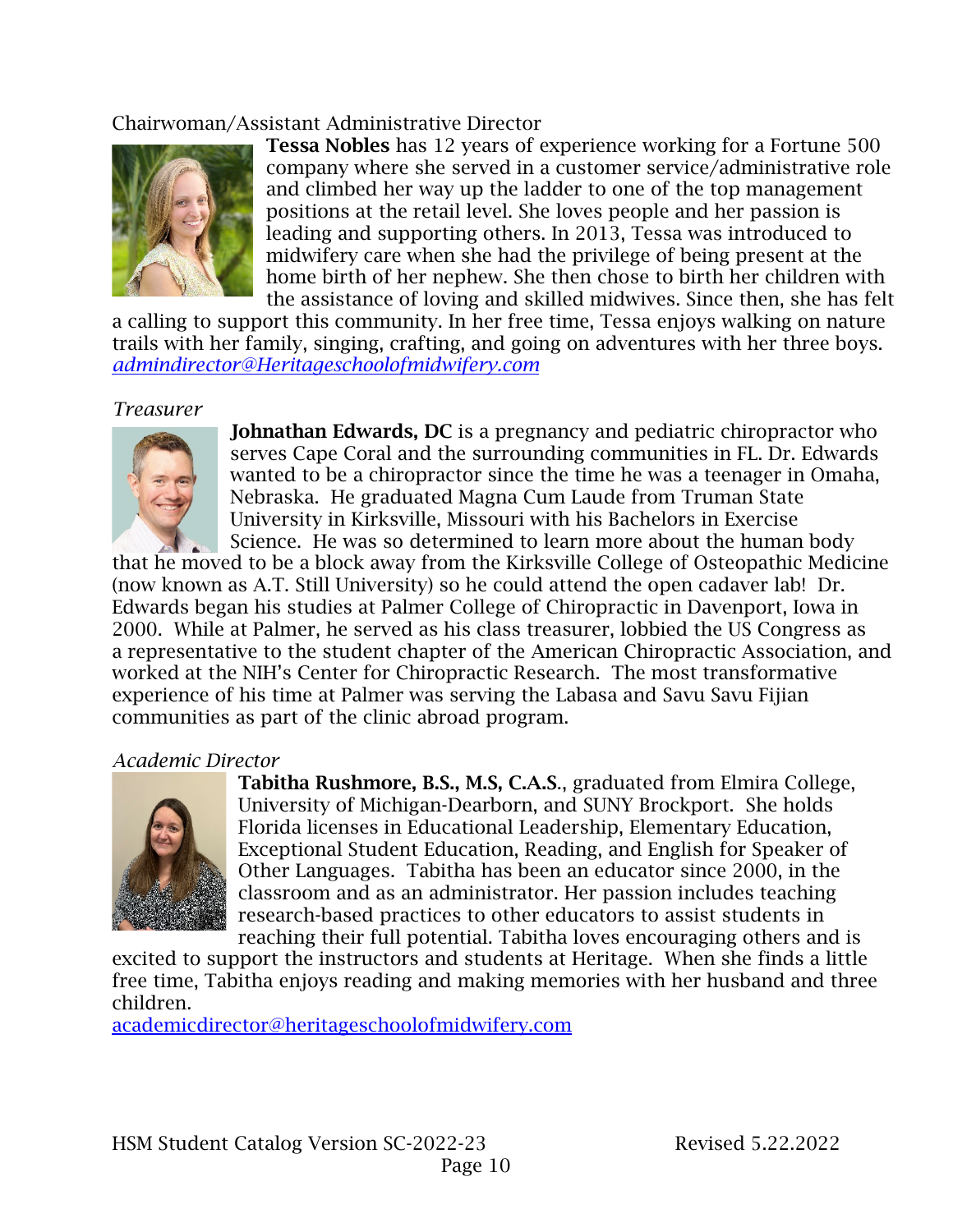Chairwoman/Assistant Administrative Director



Tessa Nobles has 12 years of experience working for a Fortune 500 company where she served in a customer service/administrative role and climbed her way up the ladder to one of the top management positions at the retail level. She loves people and her passion is leading and supporting others. In 2013, Tessa was introduced to midwifery care when she had the privilege of being present at the home birth of her nephew. She then chose to birth her children with the assistance of loving and skilled midwives. Since then, she has felt

a calling to support this community. In her free time, Tessa enjoys walking on nature trails with her family, singing, crafting, and going on adventures with her three boys. *[admindirector@Heritageschoolofmidwifery.com](mailto:admindirector@Heritageschoolofmidwifery.com)*

#### *Treasurer*



Johnathan Edwards, DC is a pregnancy and pediatric chiropractor who serves Cape Coral and the surrounding communities in FL. Dr. Edwards wanted to be a chiropractor since the time he was a teenager in Omaha, Nebraska. He graduated Magna Cum Laude from Truman State University in Kirksville, Missouri with his Bachelors in Exercise Science. He was so determined to learn more about the human body

that he moved to be a block away from the Kirksville College of Osteopathic Medicine (now known as A.T. Still University) so he could attend the open cadaver lab! Dr. Edwards began his studies at Palmer College of Chiropractic in Davenport, Iowa in 2000. While at Palmer, he served as his class treasurer, lobbied the US Congress as a representative to the student chapter of the American Chiropractic Association, and worked at the NIH's Center for Chiropractic Research. The most transformative experience of his time at Palmer was serving the Labasa and Savu Savu Fijian communities as part of the clinic abroad program.

#### *Academic Director*



Tabitha Rushmore, B.S., M.S, C.A.S., graduated from Elmira College, University of Michigan-Dearborn, and SUNY Brockport. She holds Florida licenses in Educational Leadership, Elementary Education, Exceptional Student Education, Reading, and English for Speaker of Other Languages. Tabitha has been an educator since 2000, in the classroom and as an administrator. Her passion includes teaching research-based practices to other educators to assist students in reaching their full potential. Tabitha loves encouraging others and is

excited to support the instructors and students at Heritage. When she finds a little free time, Tabitha enjoys reading and making memories with her husband and three children.

[academicdirector@heritageschoolofmidwifery.com](mailto:academicdirector@heritageschoolofmidwifery.com)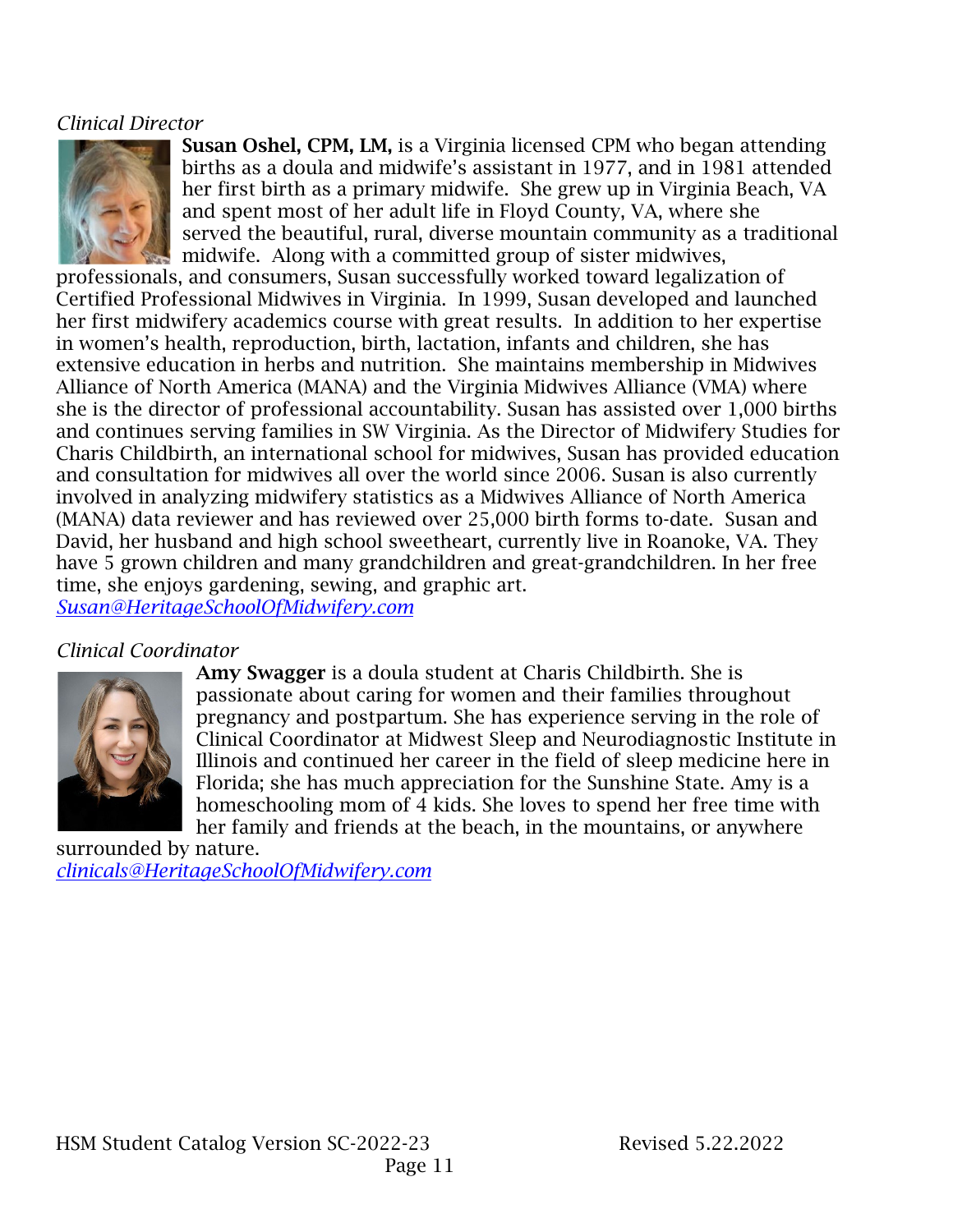#### *Clinical Director*



Susan Oshel, CPM, LM, is a Virginia licensed CPM who began attending births as a doula and midwife's assistant in 1977, and in 1981 attended her first birth as a primary midwife. She grew up in Virginia Beach, VA and spent most of her adult life in Floyd County, VA, where she served the beautiful, rural, diverse mountain community as a traditional midwife. Along with a committed group of sister midwives,

professionals, and consumers, Susan successfully worked toward legalization of Certified Professional Midwives in Virginia. In 1999, Susan developed and launched her first midwifery academics course with great results. In addition to her expertise in women's health, reproduction, birth, lactation, infants and children, she has extensive education in herbs and nutrition. She maintains membership in Midwives Alliance of North America (MANA) and the Virginia Midwives Alliance (VMA) where she is the director of professional accountability. Susan has assisted over 1,000 births and continues serving families in SW Virginia. As the Director of Midwifery Studies for Charis Childbirth, an international school for midwives, Susan has provided education and consultation for midwives all over the world since 2006. Susan is also currently involved in analyzing midwifery statistics as a Midwives Alliance of North America (MANA) data reviewer and has reviewed over 25,000 birth forms to-date. Susan and David, her husband and high school sweetheart, currently live in Roanoke, VA. They have 5 grown children and many grandchildren and great-grandchildren. In her free time, she enjoys gardening, sewing, and graphic art.

*[Susan@HeritageSchoolOfMidwifery.com](mailto:Susan@HeritageSchoolOfMidwifery.com)*

#### *Clinical Coordinator*



Amy Swagger is a doula student at Charis Childbirth. She is passionate about caring for women and their families throughout pregnancy and postpartum. She has experience serving in the role of Clinical Coordinator at Midwest Sleep and Neurodiagnostic Institute in Illinois and continued her career in the field of sleep medicine here in Florida; she has much appreciation for the Sunshine State. Amy is a homeschooling mom of 4 kids. She loves to spend her free time with her family and friends at the beach, in the mountains, or anywhere

surrounded by nature. *[clinicals@HeritageSchoolOfMidwifery.com](mailto:clinicals@HeritageSchoolOfMidwifery.com)*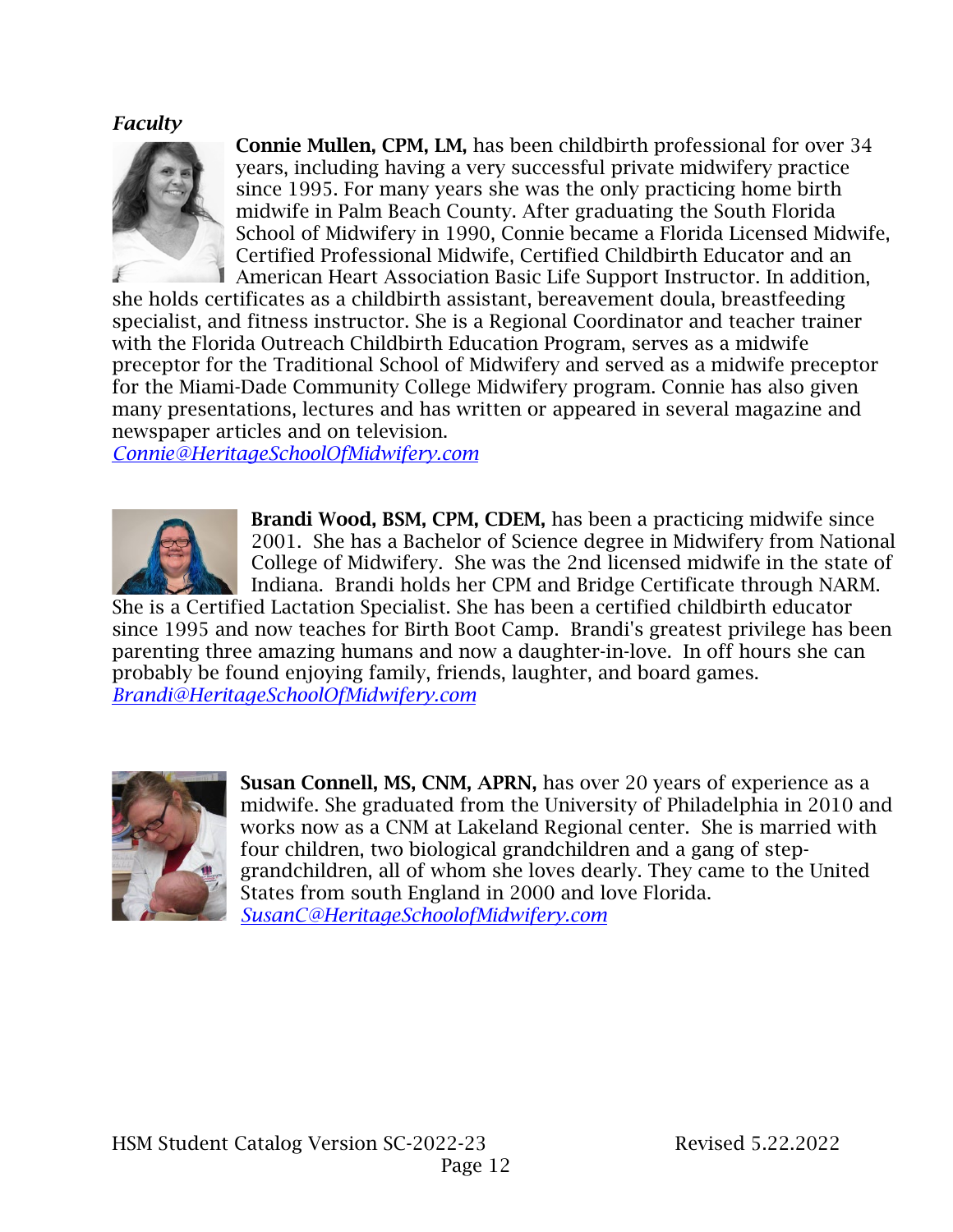#### <span id="page-12-0"></span>*Faculty*



Connie Mullen, CPM, LM, has been childbirth professional for over 34 years, including having a very successful private midwifery practice since 1995. For many years she was the only practicing home birth midwife in Palm Beach County. After graduating the South Florida School of Midwifery in 1990, Connie became a Florida Licensed Midwife, Certified Professional Midwife, Certified Childbirth Educator and an American Heart Association Basic Life Support Instructor. In addition,

she holds certificates as a childbirth assistant, bereavement doula, breastfeeding specialist, and fitness instructor. She is a Regional Coordinator and teacher trainer with the Florida Outreach Childbirth Education Program, serves as a midwife preceptor for the Traditional School of Midwifery and served as a midwife preceptor for the Miami-Dade Community College Midwifery program. Connie has also given many presentations, lectures and has written or appeared in several magazine and newspaper articles and on television.

*[Connie@HeritageSchoolOfMidwifery.com](mailto:Connie@HeritageSchoolOfMidwifery.com)*



Brandi Wood, BSM, CPM, CDEM, has been a practicing midwife since 2001. She has a Bachelor of Science degree in Midwifery from National College of Midwifery. She was the 2nd licensed midwife in the state of Indiana. Brandi holds her CPM and Bridge Certificate through NARM.

She is a Certified Lactation Specialist. She has been a certified childbirth educator since 1995 and now teaches for Birth Boot Camp. Brandi's greatest privilege has been parenting three amazing humans and now a daughter-in-love. In off hours she can probably be found enjoying family, friends, laughter, and board games. *[Brandi@HeritageSchoolOfMidwifery.com](mailto:Brandi@HeritageSchoolOfMidwifery.com)*



Susan Connell, MS, CNM, APRN, has over 20 years of experience as a midwife. She graduated from the University of Philadelphia in 2010 and works now as a CNM at Lakeland Regional center. She is married with four children, two biological grandchildren and a gang of stepgrandchildren, all of whom she loves dearly. They came to the United States from south England in 2000 and love Florida. *[SusanC@HeritageSchoolofMidwifery.com](mailto:SusanC@HeritageSchoolofMidwifery.com)*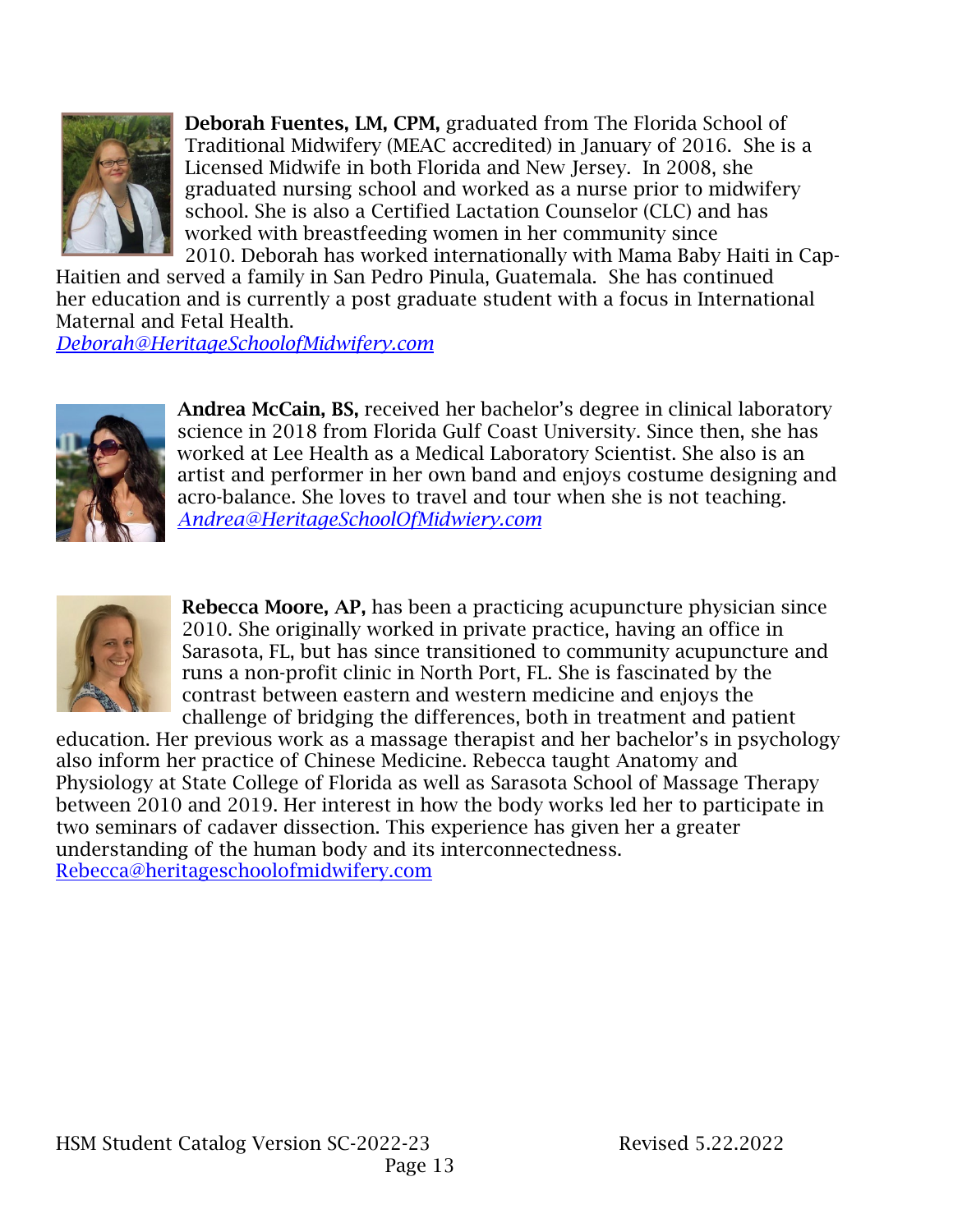

Deborah Fuentes, LM, CPM, graduated from The Florida School of Traditional Midwifery (MEAC accredited) in January of 2016. She is a Licensed Midwife in both Florida and New Jersey. In 2008, she graduated nursing school and worked as a nurse prior to midwifery school. She is also a Certified Lactation Counselor (CLC) and has worked with breastfeeding women in her community since 2010. Deborah has worked internationally with Mama Baby Haiti in Cap-

Haitien and served a family in San Pedro Pinula, Guatemala. She has continued her education and is currently a post graduate student with a focus in International Maternal and Fetal Health.

*[Deborah@HeritageSchoolofMidwifery.com](mailto:Deborah@HeritageSchoolofMidwifery.com)*



Andrea McCain, BS, received her bachelor's degree in clinical laboratory science in 2018 from Florida Gulf Coast University. Since then, she has worked at Lee Health as a Medical Laboratory Scientist. She also is an artist and performer in her own band and enjoys costume designing and acro-balance. She loves to travel and tour when she is not teaching. *[Andrea@HeritageSchoolOfMidwiery.com](mailto:Andrea@HeritageSchoolOfMidwiery.com)*



Rebecca Moore, AP, has been a practicing acupuncture physician since 2010. She originally worked in private practice, having an office in Sarasota, FL, but has since transitioned to community acupuncture and runs a non-profit clinic in North Port, FL. She is fascinated by the contrast between eastern and western medicine and enjoys the challenge of bridging the differences, both in treatment and patient

education. Her previous work as a massage therapist and her bachelor's in psychology also inform her practice of Chinese Medicine. Rebecca taught Anatomy and Physiology at State College of Florida as well as Sarasota School of Massage Therapy between 2010 and 2019. Her interest in how the body works led her to participate in two seminars of cadaver dissection. This experience has given her a greater understanding of the human body and its interconnectedness. [Rebecca@heritageschoolofmidwifery.com](mailto:Rebecca@heritageschoolofmidwifery.com)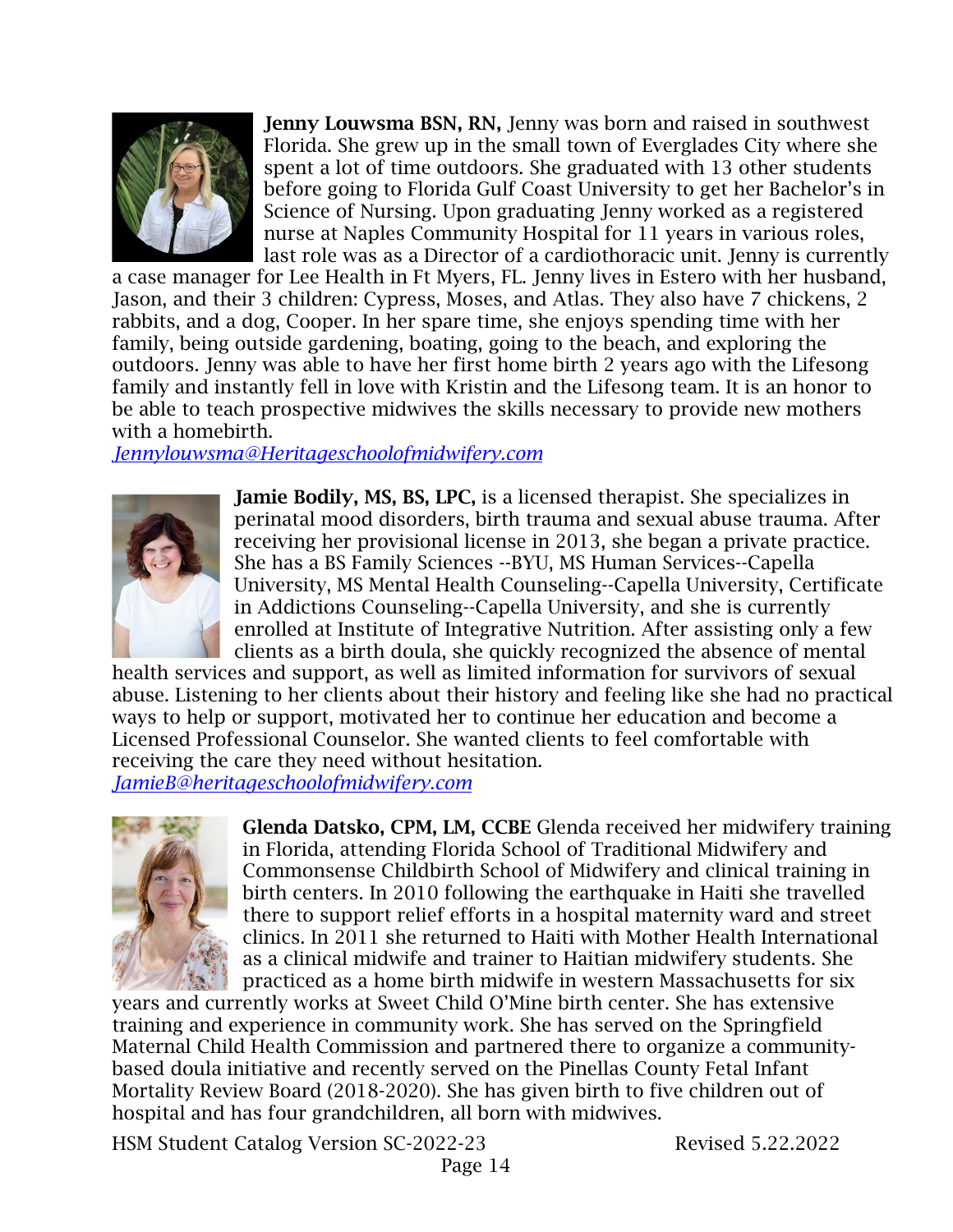

Jenny Louwsma BSN, RN, Jenny was born and raised in southwest Florida. She grew up in the small town of Everglades City where she spent a lot of time outdoors. She graduated with 13 other students before going to Florida Gulf Coast University to get her Bachelor's in Science of Nursing. Upon graduating Jenny worked as a registered nurse at Naples Community Hospital for 11 years in various roles, last role was as a Director of a cardiothoracic unit. Jenny is currently

a case manager for Lee Health in Ft Myers, FL. Jenny lives in Estero with her husband, Jason, and their 3 children: Cypress, Moses, and Atlas. They also have 7 chickens, 2 rabbits, and a dog, Cooper. In her spare time, she enjoys spending time with her family, being outside gardening, boating, going to the beach, and exploring the outdoors. Jenny was able to have her first home birth 2 years ago with the Lifesong family and instantly fell in love with Kristin and the Lifesong team. It is an honor to be able to teach prospective midwives the skills necessary to provide new mothers with a homebirth.

*[Jennylouwsma@Heritageschoolofmidwifery.com](mailto:Jennylouwsma@Heritageschoolofmidwifery.com)*



Jamie Bodily, MS, BS, LPC, is a licensed therapist. She specializes in perinatal mood disorders, birth trauma and sexual abuse trauma. After receiving her provisional license in 2013, she began a private practice. She has a BS Family Sciences --BYU, MS Human Services--Capella University, MS Mental Health Counseling--Capella University, Certificate in Addictions Counseling--Capella University, and she is currently enrolled at Institute of Integrative Nutrition. After assisting only a few clients as a birth doula, she quickly recognized the absence of mental

health services and support, as well as limited information for survivors of sexual abuse. Listening to her clients about their history and feeling like she had no practical ways to help or support, motivated her to continue her education and become a Licensed Professional Counselor. She wanted clients to feel comfortable with receiving the care they need without hesitation.

*[JamieB@heritageschoolofmidwifery.com](mailto:JamieB@heritageschoolofmidwifery.com)*



Glenda Datsko, CPM, LM, CCBE Glenda received her midwifery training in Florida, attending Florida School of Traditional Midwifery and Commonsense Childbirth School of Midwifery and clinical training in birth centers. In 2010 following the earthquake in Haiti she travelled there to support relief efforts in a hospital maternity ward and street clinics. In 2011 she returned to Haiti with Mother Health International as a clinical midwife and trainer to Haitian midwifery students. She practiced as a home birth midwife in western Massachusetts for six

years and currently works at Sweet Child O'Mine birth center. She has extensive training and experience in community work. She has served on the Springfield Maternal Child Health Commission and partnered there to organize a communitybased doula initiative and recently served on the Pinellas County Fetal Infant Mortality Review Board (2018-2020). She has given birth to five children out of hospital and has four grandchildren, all born with midwives.

HSM Student Catalog Version SC-2022-23 Revised 5.22.2022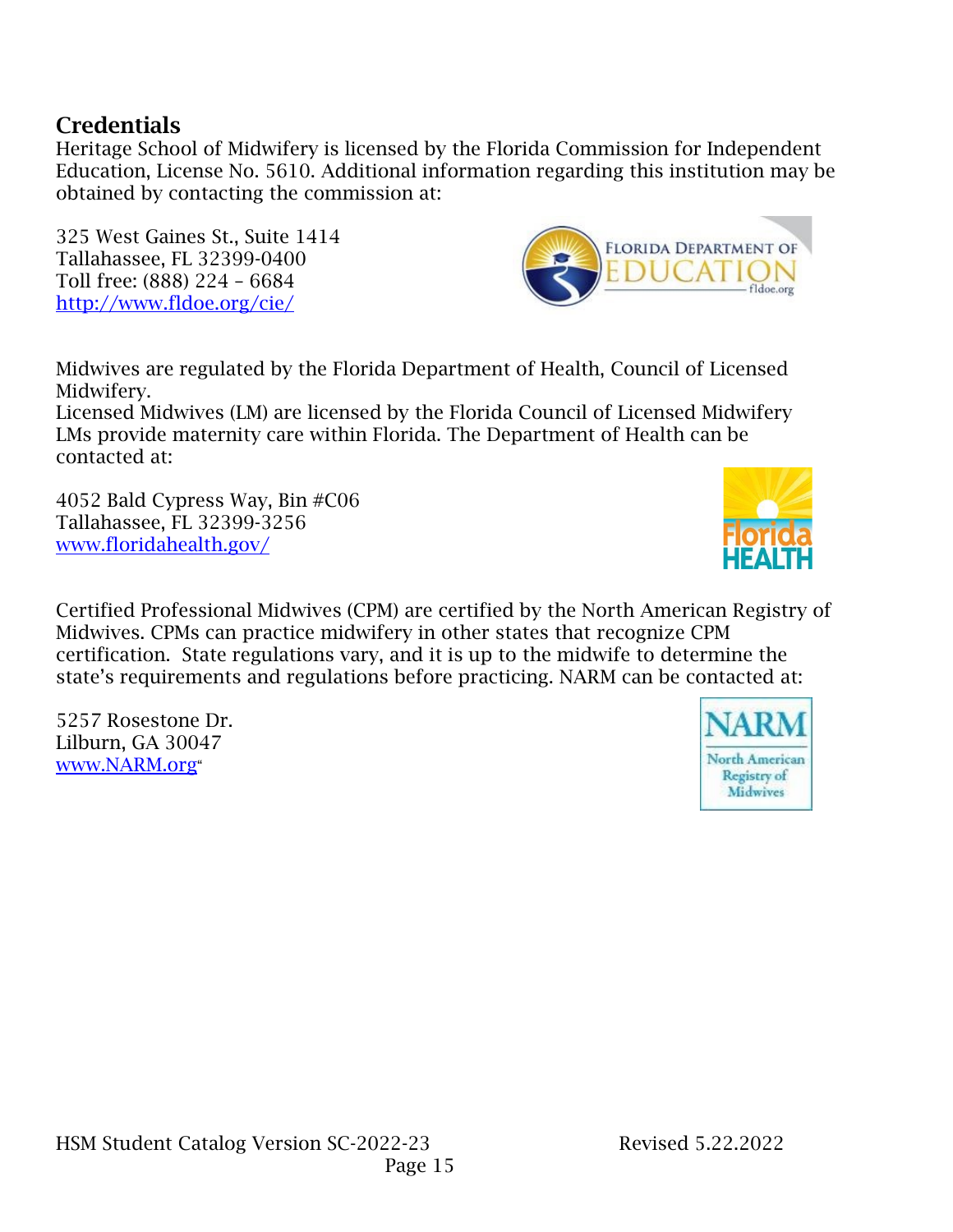## <span id="page-15-0"></span>**Credentials**

Heritage School of Midwifery is licensed by the Florida Commission for Independent Education, License No. 5610. Additional information regarding this institution may be obtained by contacting the commission at:

325 West Gaines St., Suite 1414 Tallahassee, FL 32399-0400 Toll free: (888) 224 – 6684 <http://www.fldoe.org/cie/>



Midwives are regulated by the Florida Department of Health, Council of Licensed Midwifery.

Licensed Midwives (LM) are licensed by the Florida Council of Licensed Midwifery LMs provide maternity care within Florida. The Department of Health can be contacted at:

4052 Bald Cypress Way, Bin #C06 Tallahassee, FL 32399-3256 [www.floridahealth.gov/](http://www.floridahealth.gov/)



Certified Professional Midwives (CPM) are certified by the North American Registry of Midwives. CPMs can practice midwifery in other states that recognize CPM certification. State regulations vary, and it is up to the midwife to determine the state's requirements and regulations before practicing. NARM can be contacted at:

5257 Rosestone Dr. Lilburn, GA 30047 [www.NARM.org](http://www.narm.org/)"

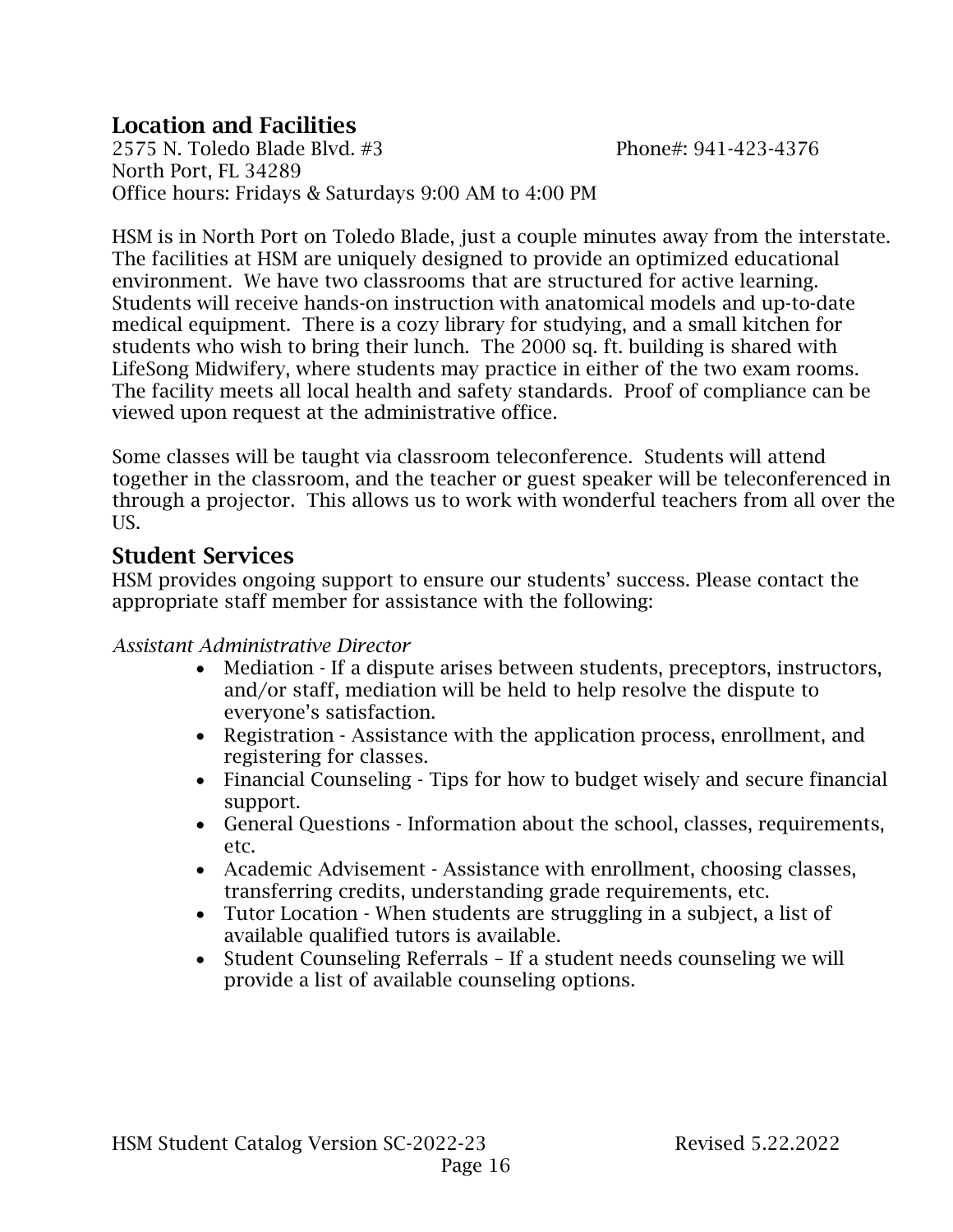## <span id="page-16-0"></span>Location and Facilities

2575 N. Toledo Blade Blvd. #3 Phone#: 941-423-4376 North Port, FL 34289 Office hours: Fridays & Saturdays 9:00 AM to 4:00 PM

HSM is in North Port on Toledo Blade, just a couple minutes away from the interstate. The facilities at HSM are uniquely designed to provide an optimized educational environment. We have two classrooms that are structured for active learning. Students will receive hands-on instruction with anatomical models and up-to-date medical equipment. There is a cozy library for studying, and a small kitchen for students who wish to bring their lunch. The 2000 sq. ft. building is shared with LifeSong Midwifery, where students may practice in either of the two exam rooms. The facility meets all local health and safety standards. Proof of compliance can be viewed upon request at the administrative office.

Some classes will be taught via classroom teleconference. Students will attend together in the classroom, and the teacher or guest speaker will be teleconferenced in through a projector. This allows us to work with wonderful teachers from all over the US.

#### <span id="page-16-1"></span>Student Services

HSM provides ongoing support to ensure our students' success. Please contact the appropriate staff member for assistance with the following:

#### *Assistant Administrative Director*

- Mediation If a dispute arises between students, preceptors, instructors, and/or staff, mediation will be held to help resolve the dispute to everyone's satisfaction.
- Registration Assistance with the application process, enrollment, and registering for classes.
- Financial Counseling Tips for how to budget wisely and secure financial support.
- General Questions Information about the school, classes, requirements, etc.
- Academic Advisement Assistance with enrollment, choosing classes, transferring credits, understanding grade requirements, etc.
- Tutor Location When students are struggling in a subject, a list of available qualified tutors is available.
- Student Counseling Referrals If a student needs counseling we will provide a list of available counseling options.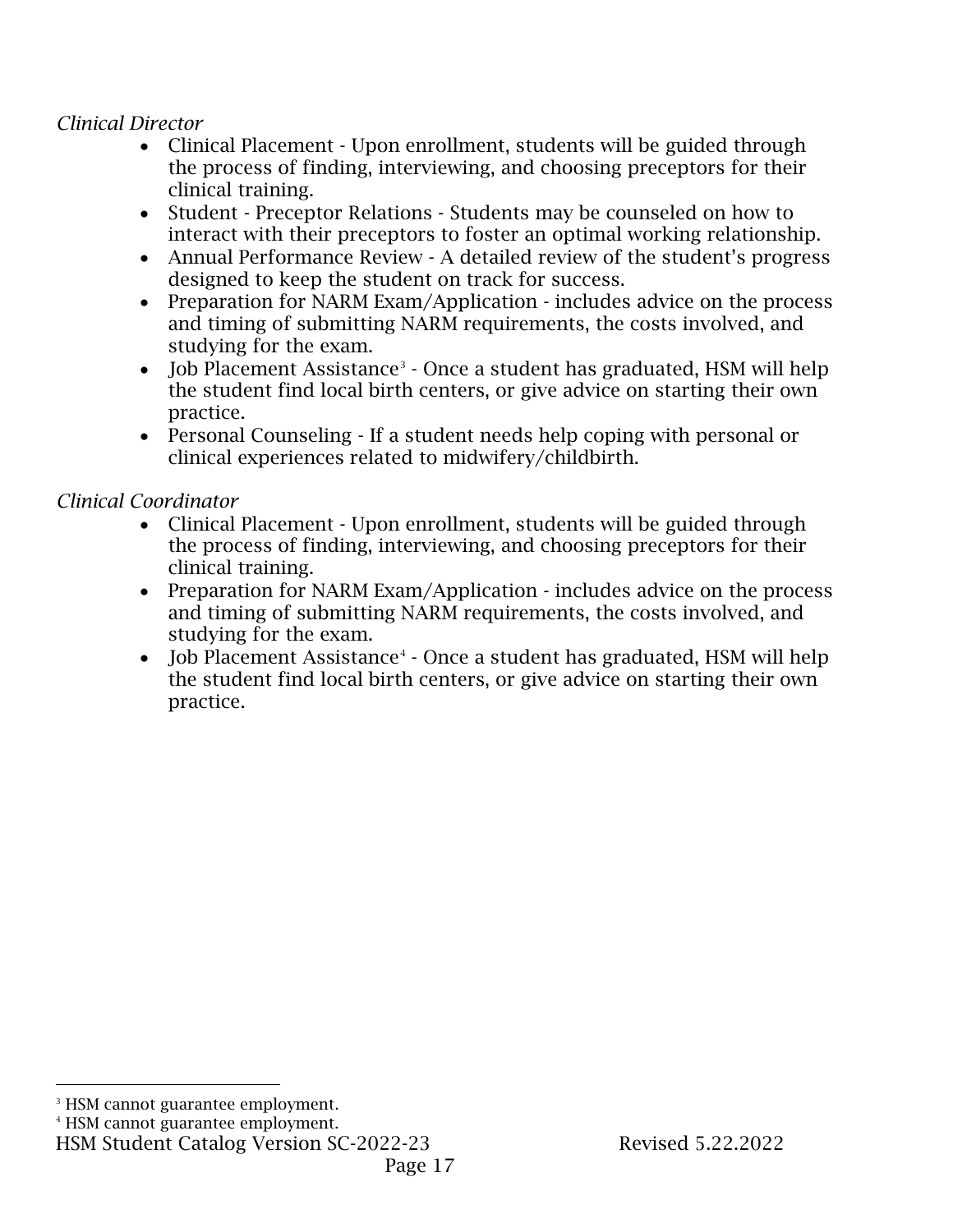#### *Clinical Director*

- Clinical Placement Upon enrollment, students will be guided through the process of finding, interviewing, and choosing preceptors for their clinical training.
- Student Preceptor Relations Students may be counseled on how to interact with their preceptors to foster an optimal working relationship.
- Annual Performance Review A detailed review of the student's progress designed to keep the student on track for success.
- Preparation for NARM Exam/Application includes advice on the process and timing of submitting NARM requirements, the costs involved, and studying for the exam.
- Job Placement Assistance<sup>[3](#page-17-0)</sup> Once a student has graduated, HSM will help the student find local birth centers, or give advice on starting their own practice.
- Personal Counseling If a student needs help coping with personal or clinical experiences related to midwifery/childbirth.

#### *Clinical Coordinator*

- Clinical Placement Upon enrollment, students will be guided through the process of finding, interviewing, and choosing preceptors for their clinical training.
- Preparation for NARM Exam/Application includes advice on the process and timing of submitting NARM requirements, the costs involved, and studying for the exam.
- Job Placement Assistance<sup>[4](#page-17-1)</sup> Once a student has graduated, HSM will help the student find local birth centers, or give advice on starting their own practice.

<span id="page-17-0"></span><sup>&</sup>lt;sup>3</sup> HSM cannot guarantee employment.

<span id="page-17-1"></span><sup>4</sup> HSM cannot guarantee employment.

HSM Student Catalog Version SC-2022-23 Revised 5.22.2022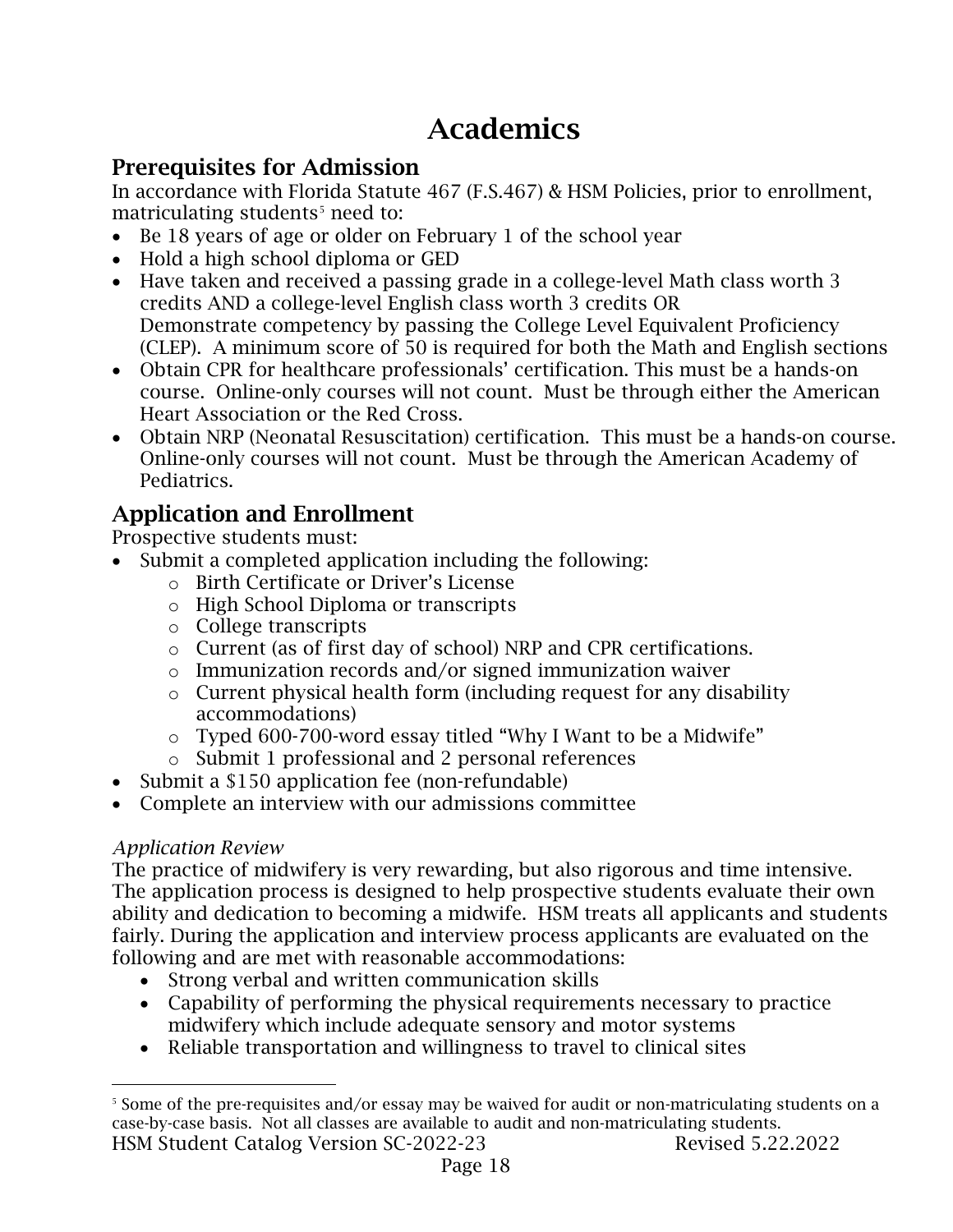## Academics

## <span id="page-18-1"></span><span id="page-18-0"></span>Prerequisites for Admission

In accordance with Florida Statute 467 (F.S.467) & HSM Policies, prior to enrollment, matriculating students<sup> $5$ </sup> need to:

- Be 18 years of age or older on February 1 of the school year
- Hold a high school diploma or GED
- Have taken and received a passing grade in a college-level Math class worth 3 credits AND a college-level English class worth 3 credits OR Demonstrate competency by passing the College Level Equivalent Proficiency (CLEP). A minimum score of 50 is required for both the Math and English sections
- Obtain CPR for healthcare professionals' certification. This must be a hands-on course. Online-only courses will not count. Must be through either the American Heart Association or the Red Cross.
- Obtain NRP (Neonatal Resuscitation) certification. This must be a hands-on course. Online-only courses will not count. Must be through the American Academy of Pediatrics.

## <span id="page-18-2"></span>Application and Enrollment

Prospective students must:

- Submit a completed application including the following:
	- o Birth Certificate or Driver's License
	- o High School Diploma or transcripts
	- o College transcripts
	- o Current (as of first day of school) NRP and CPR certifications.
	- o Immunization records and/or signed immunization waiver
	- o Current physical health form (including request for any disability accommodations)
	- o Typed 600-700-word essay titled "Why I Want to be a Midwife"
	- o Submit 1 professional and 2 personal references
- Submit a \$150 application fee (non-refundable)
- Complete an interview with our admissions committee

## *Application Review*

The practice of midwifery is very rewarding, but also rigorous and time intensive. The application process is designed to help prospective students evaluate their own ability and dedication to becoming a midwife. HSM treats all applicants and students fairly. During the application and interview process applicants are evaluated on the following and are met with reasonable accommodations:

- Strong verbal and written communication skills
- Capability of performing the physical requirements necessary to practice midwifery which include adequate sensory and motor systems
- Reliable transportation and willingness to travel to clinical sites

<span id="page-18-3"></span>HSM Student Catalog Version SC-2022-23 Revised 5.22.2022 <sup>5</sup> Some of the pre-requisites and/or essay may be waived for audit or non-matriculating students on a case-by-case basis. Not all classes are available to audit and non-matriculating students.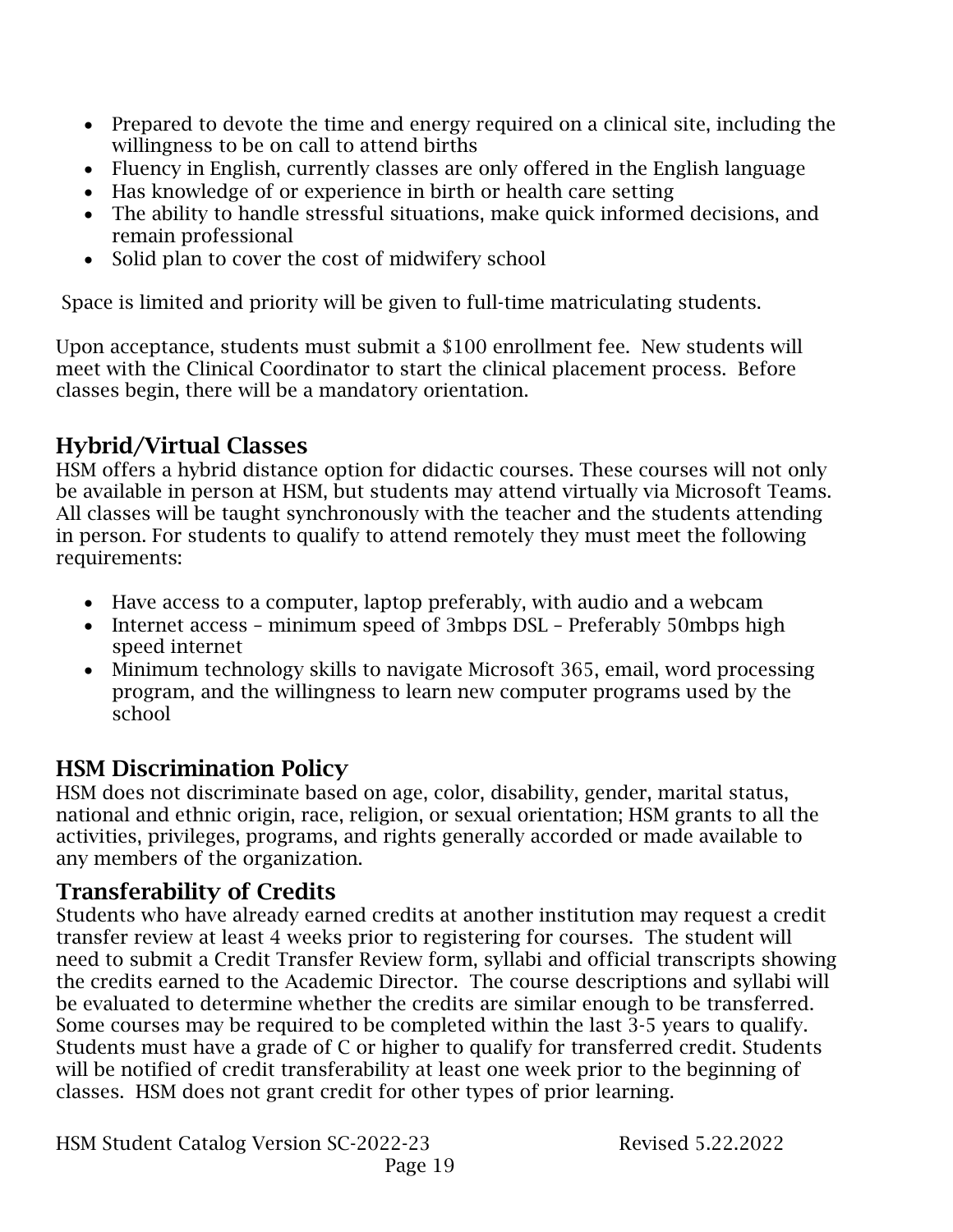- Prepared to devote the time and energy required on a clinical site, including the willingness to be on call to attend births
- Fluency in English, currently classes are only offered in the English language
- Has knowledge of or experience in birth or health care setting
- The ability to handle stressful situations, make quick informed decisions, and remain professional
- Solid plan to cover the cost of midwifery school

Space is limited and priority will be given to full-time matriculating students.

Upon acceptance, students must submit a \$100 enrollment fee. New students will meet with the Clinical Coordinator to start the clinical placement process. Before classes begin, there will be a mandatory orientation.

## <span id="page-19-0"></span>Hybrid/Virtual Classes

HSM offers a hybrid distance option for didactic courses. These courses will not only be available in person at HSM, but students may attend virtually via Microsoft Teams. All classes will be taught synchronously with the teacher and the students attending in person. For students to qualify to attend remotely they must meet the following requirements:

- Have access to a computer, laptop preferably, with audio and a webcam
- Internet access minimum speed of 3mbps DSL Preferably 50mbps high speed internet
- Minimum technology skills to navigate Microsoft 365, email, word processing program, and the willingness to learn new computer programs used by the school

## <span id="page-19-1"></span>HSM Discrimination Policy

HSM does not discriminate based on age, color, disability, gender, marital status, national and ethnic origin, race, religion, or sexual orientation; HSM grants to all the activities, privileges, programs, and rights generally accorded or made available to any members of the organization.

## <span id="page-19-2"></span>Transferability of Credits

Students who have already earned credits at another institution may request a credit transfer review at least 4 weeks prior to registering for courses. The student will need to submit a Credit Transfer Review form, syllabi and official transcripts showing the credits earned to the Academic Director. The course descriptions and syllabi will be evaluated to determine whether the credits are similar enough to be transferred. Some courses may be required to be completed within the last 3-5 years to qualify. Students must have a grade of C or higher to qualify for transferred credit. Students will be notified of credit transferability at least one week prior to the beginning of classes. HSM does not grant credit for other types of prior learning.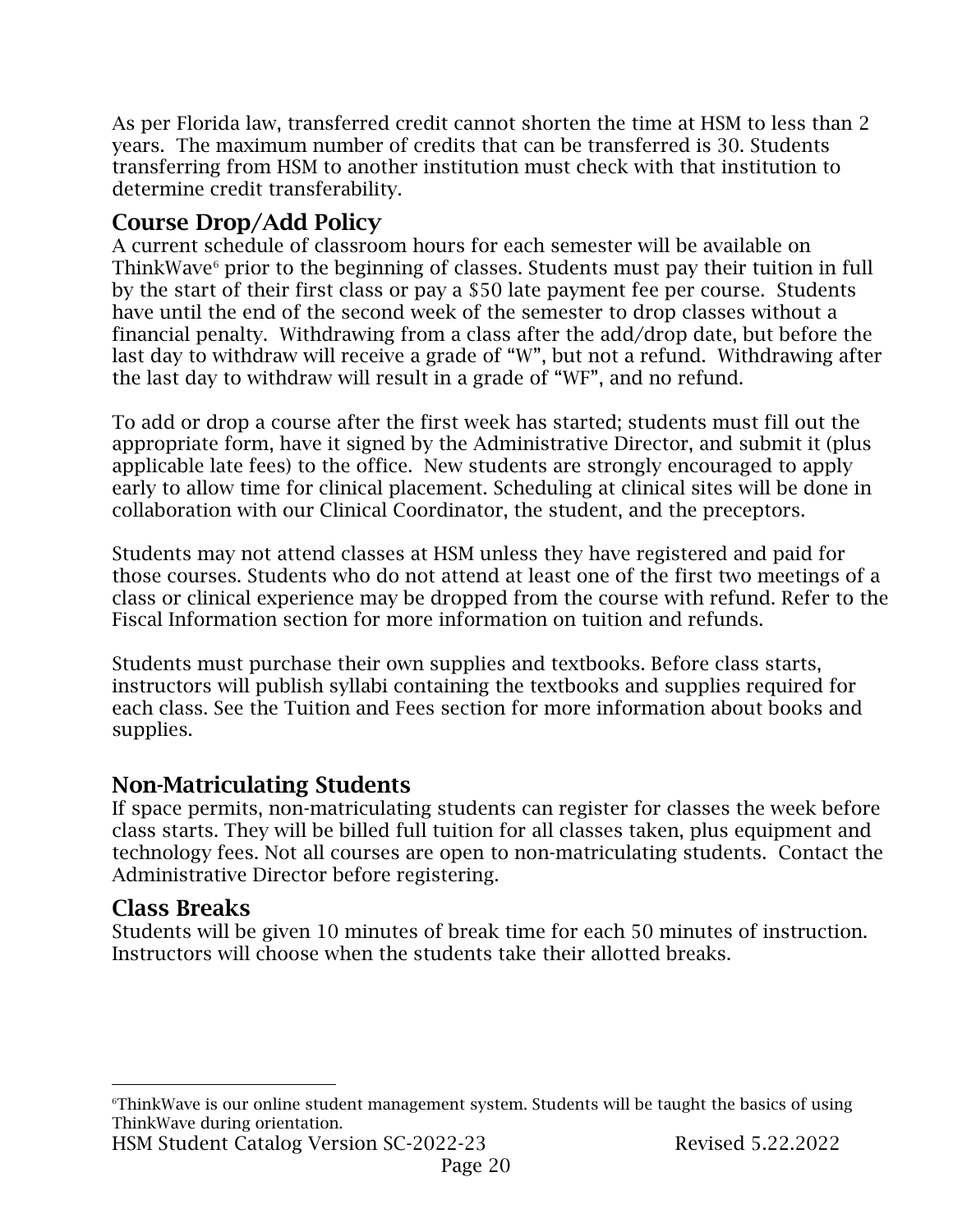As per Florida law, transferred credit cannot shorten the time at HSM to less than 2 years. The maximum number of credits that can be transferred is 30. Students transferring from HSM to another institution must check with that institution to determine credit transferability.

## <span id="page-20-0"></span>Course Drop/Add Policy

A current schedule of classroom hours for each semester will be available on ThinkWave $\epsilon$  prior to the beginning of classes. Students must pay their tuition in full by the start of their first class or pay a \$50 late payment fee per course. Students have until the end of the second week of the semester to drop classes without a financial penalty. Withdrawing from a class after the add/drop date, but before the last day to withdraw will receive a grade of "W", but not a refund. Withdrawing after the last day to withdraw will result in a grade of "WF", and no refund.

To add or drop a course after the first week has started; students must fill out the appropriate form, have it signed by the Administrative Director, and submit it (plus applicable late fees) to the office. New students are strongly encouraged to apply early to allow time for clinical placement. Scheduling at clinical sites will be done in collaboration with our Clinical Coordinator, the student, and the preceptors.

Students may not attend classes at HSM unless they have registered and paid for those courses. Students who do not attend at least one of the first two meetings of a class or clinical experience may be dropped from the course with refund. Refer to the Fiscal Information section for more information on tuition and refunds.

Students must purchase their own supplies and textbooks. Before class starts, instructors will publish syllabi containing the textbooks and supplies required for each class. See the Tuition and Fees section for more information about books and supplies.

## <span id="page-20-1"></span>Non-Matriculating Students

If space permits, non-matriculating students can register for classes the week before class starts. They will be billed full tuition for all classes taken, plus equipment and technology fees. Not all courses are open to non-matriculating students. Contact the Administrative Director before registering.

## <span id="page-20-2"></span>Class Breaks

Students will be given 10 minutes of break time for each 50 minutes of instruction. Instructors will choose when the students take their allotted breaks.

<span id="page-20-3"></span><sup>6</sup> ThinkWave is our online student management system. Students will be taught the basics of using ThinkWave during orientation.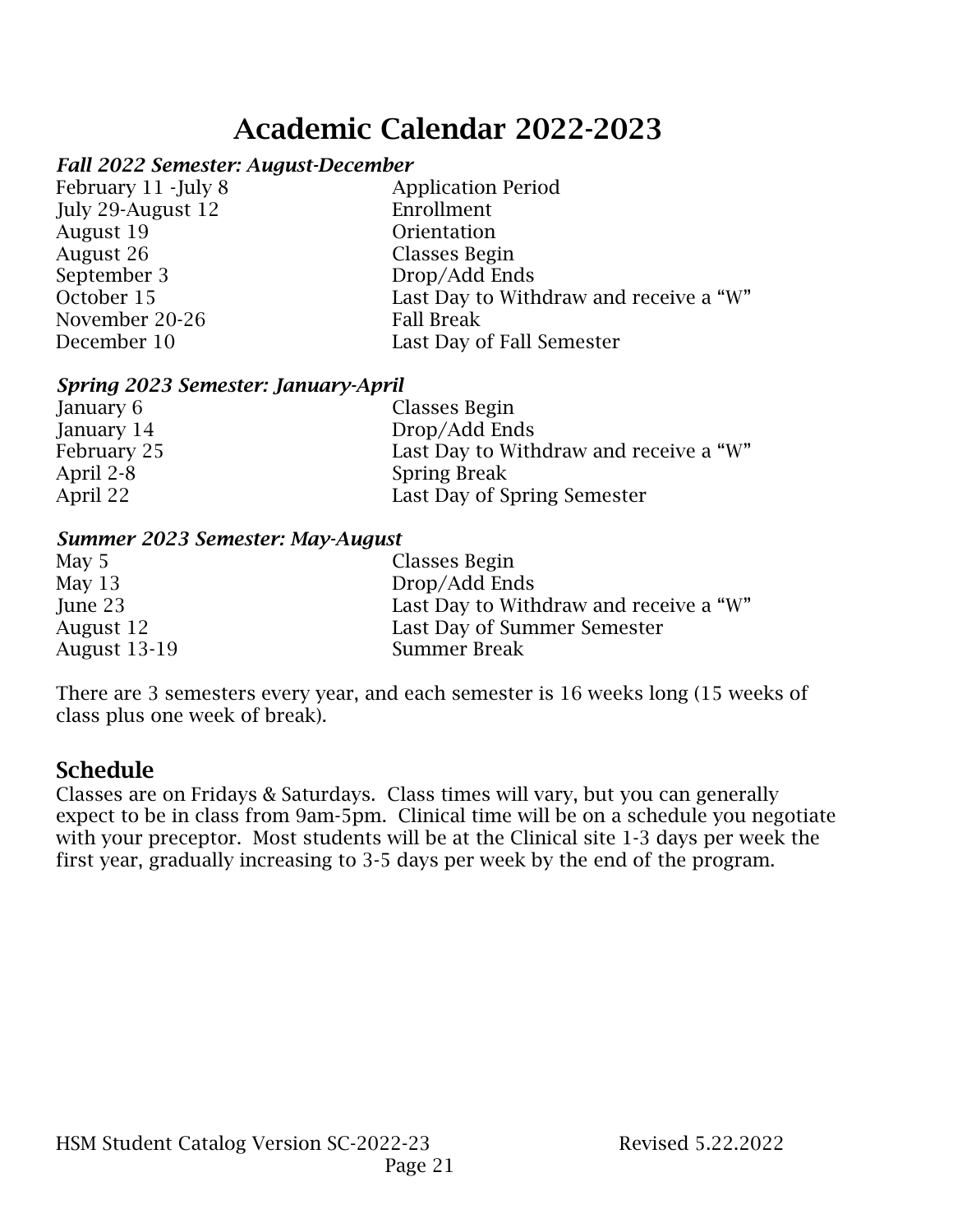## Academic Calendar 2022-2023

#### <span id="page-21-1"></span><span id="page-21-0"></span>*Fall 2022 Semester: August-December*

| February 11 - July 8 | <b>Application Period</b>              |
|----------------------|----------------------------------------|
| July 29-August 12    | Enrollment                             |
| August 19            | Orientation                            |
| August 26            | Classes Begin                          |
| September 3          | Drop/Add Ends                          |
| October 15           | Last Day to Withdraw and receive a "W" |
| November 20-26       | <b>Fall Break</b>                      |
| December 10          | Last Day of Fall Semester              |
|                      |                                        |

#### <span id="page-21-2"></span>*Spring 2023 Semester: January-April*

| January 6   | Classes Begin                          |
|-------------|----------------------------------------|
|             |                                        |
| January 14  | Drop/Add Ends                          |
| February 25 | Last Day to Withdraw and receive a "W" |
| April 2-8   | Spring Break                           |
| April 22    | Last Day of Spring Semester            |

#### <span id="page-21-3"></span>*Summer 2023 Semester: May-August*

| May 5               | Classes Begin                          |
|---------------------|----------------------------------------|
| May $13$            | Drop/Add Ends                          |
| June $23$           | Last Day to Withdraw and receive a "W" |
| August 12           | Last Day of Summer Semester            |
| <b>August 13-19</b> | Summer Break                           |

There are 3 semesters every year, and each semester is 16 weeks long (15 weeks of class plus one week of break).

## <span id="page-21-4"></span>Schedule

Classes are on Fridays & Saturdays. Class times will vary, but you can generally expect to be in class from 9am-5pm. Clinical time will be on a schedule you negotiate with your preceptor. Most students will be at the Clinical site 1-3 days per week the first year, gradually increasing to 3-5 days per week by the end of the program.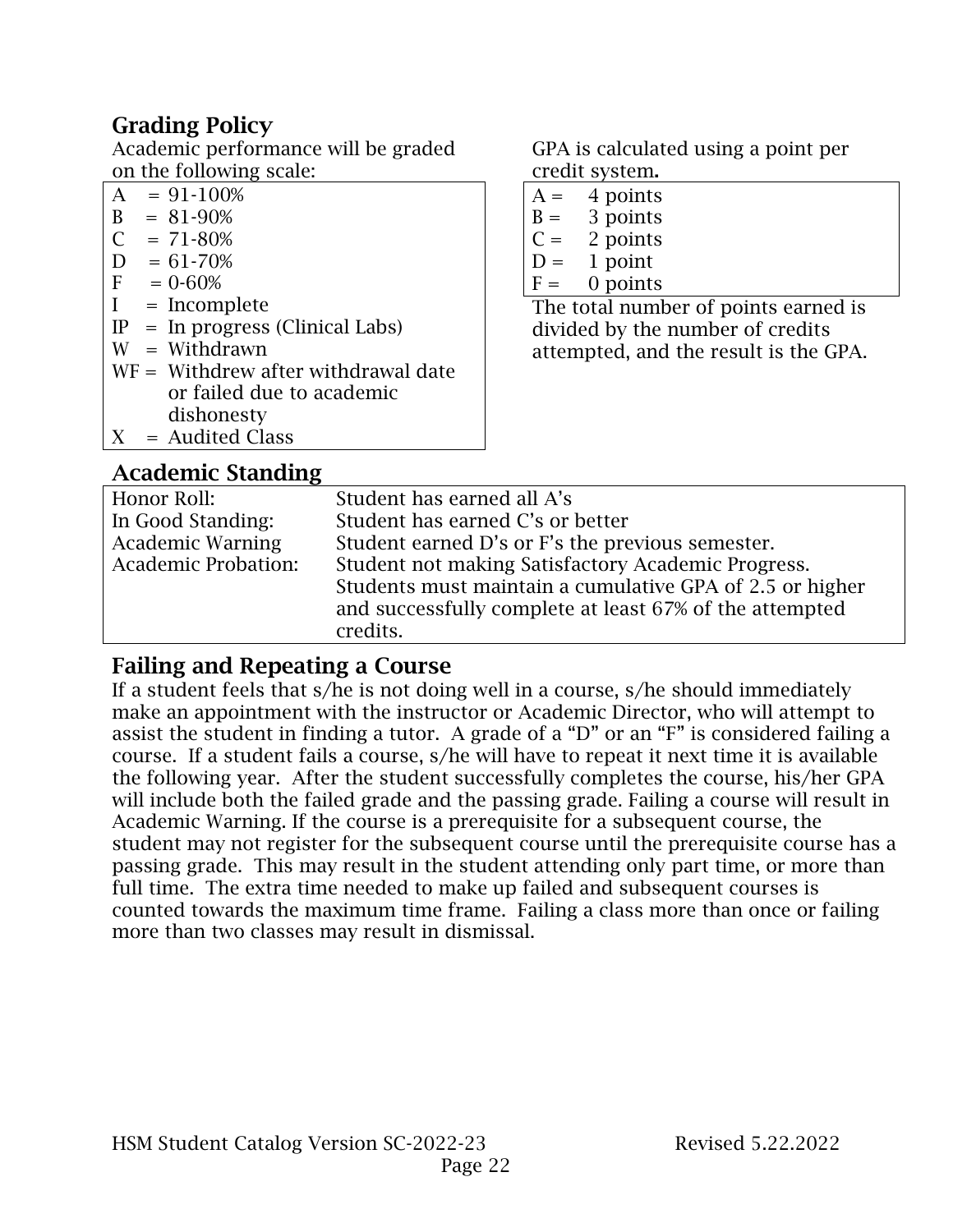## <span id="page-22-0"></span>Grading Policy

Academic performance will be graded on the following scale:

- $A = 91-100\%$
- $B = 81-90%$
- $C = 71-80%$  $D = 61 - 70%$
- $F = 0.60\%$
- I = Incomplete
- $IP = In progress (Clinical Labs)$
- W = Withdrawn
- WF = Withdrew after withdrawal date or failed due to academic dishonesty
- $X =$  Audited Class

#### GPA is calculated using a point per credit system.

- $A = 4$  points
- $B = 3$  points
- $C = 2$  points
- $D = 1$  point
- $F = 0$  points

The total number of points earned is divided by the number of credits attempted, and the result is the GPA.

## <span id="page-22-1"></span>Academic Standing

| Honor Roll:                | Student has earned all A's                               |
|----------------------------|----------------------------------------------------------|
| In Good Standing:          | Student has earned C's or better                         |
| <b>Academic Warning</b>    | Student earned D's or F's the previous semester.         |
| <b>Academic Probation:</b> | Student not making Satisfactory Academic Progress.       |
|                            | Students must maintain a cumulative GPA of 2.5 or higher |
|                            | and successfully complete at least 67% of the attempted  |
|                            | credits.                                                 |

## <span id="page-22-2"></span>Failing and Repeating a Course

If a student feels that s/he is not doing well in a course, s/he should immediately make an appointment with the instructor or Academic Director, who will attempt to assist the student in finding a tutor. A grade of a "D" or an "F" is considered failing a course. If a student fails a course, s/he will have to repeat it next time it is available the following year. After the student successfully completes the course, his/her GPA will include both the failed grade and the passing grade. Failing a course will result in Academic Warning. If the course is a prerequisite for a subsequent course, the student may not register for the subsequent course until the prerequisite course has a passing grade. This may result in the student attending only part time, or more than full time. The extra time needed to make up failed and subsequent courses is counted towards the maximum time frame. Failing a class more than once or failing more than two classes may result in dismissal.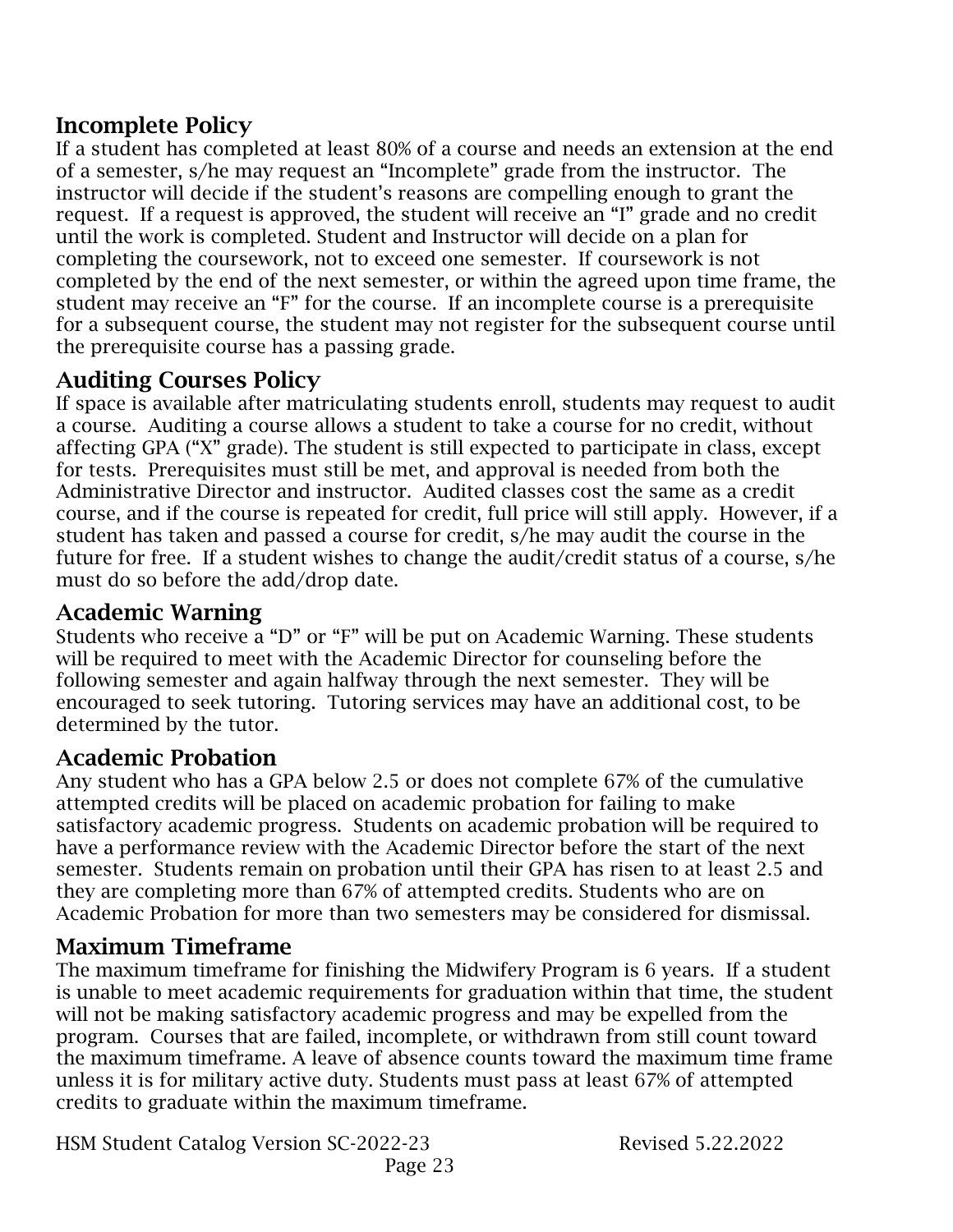## <span id="page-23-0"></span>Incomplete Policy

If a student has completed at least 80% of a course and needs an extension at the end of a semester, s/he may request an "Incomplete" grade from the instructor. The instructor will decide if the student's reasons are compelling enough to grant the request. If a request is approved, the student will receive an "I" grade and no credit until the work is completed. Student and Instructor will decide on a plan for completing the coursework, not to exceed one semester. If coursework is not completed by the end of the next semester, or within the agreed upon time frame, the student may receive an "F" for the course. If an incomplete course is a prerequisite for a subsequent course, the student may not register for the subsequent course until the prerequisite course has a passing grade.

## <span id="page-23-1"></span>Auditing Courses Policy

If space is available after matriculating students enroll, students may request to audit a course. Auditing a course allows a student to take a course for no credit, without affecting GPA ("X" grade). The student is still expected to participate in class, except for tests. Prerequisites must still be met, and approval is needed from both the Administrative Director and instructor. Audited classes cost the same as a credit course, and if the course is repeated for credit, full price will still apply. However, if a student has taken and passed a course for credit, s/he may audit the course in the future for free. If a student wishes to change the audit/credit status of a course, s/he must do so before the add/drop date.

### <span id="page-23-2"></span>Academic Warning

Students who receive a "D" or "F" will be put on Academic Warning. These students will be required to meet with the Academic Director for counseling before the following semester and again halfway through the next semester. They will be encouraged to seek tutoring. Tutoring services may have an additional cost, to be determined by the tutor.

## <span id="page-23-3"></span>Academic Probation

Any student who has a GPA below 2.5 or does not complete 67% of the cumulative attempted credits will be placed on academic probation for failing to make satisfactory academic progress. Students on academic probation will be required to have a performance review with the Academic Director before the start of the next semester. Students remain on probation until their GPA has risen to at least 2.5 and they are completing more than 67% of attempted credits. Students who are on Academic Probation for more than two semesters may be considered for dismissal.

## <span id="page-23-4"></span>Maximum Timeframe

The maximum timeframe for finishing the Midwifery Program is 6 years. If a student is unable to meet academic requirements for graduation within that time, the student will not be making satisfactory academic progress and may be expelled from the program. Courses that are failed, incomplete, or withdrawn from still count toward the maximum timeframe. A leave of absence counts toward the maximum time frame unless it is for military active duty. Students must pass at least 67% of attempted credits to graduate within the maximum timeframe.

HSM Student Catalog Version SC-2022-23 Revised 5.22.2022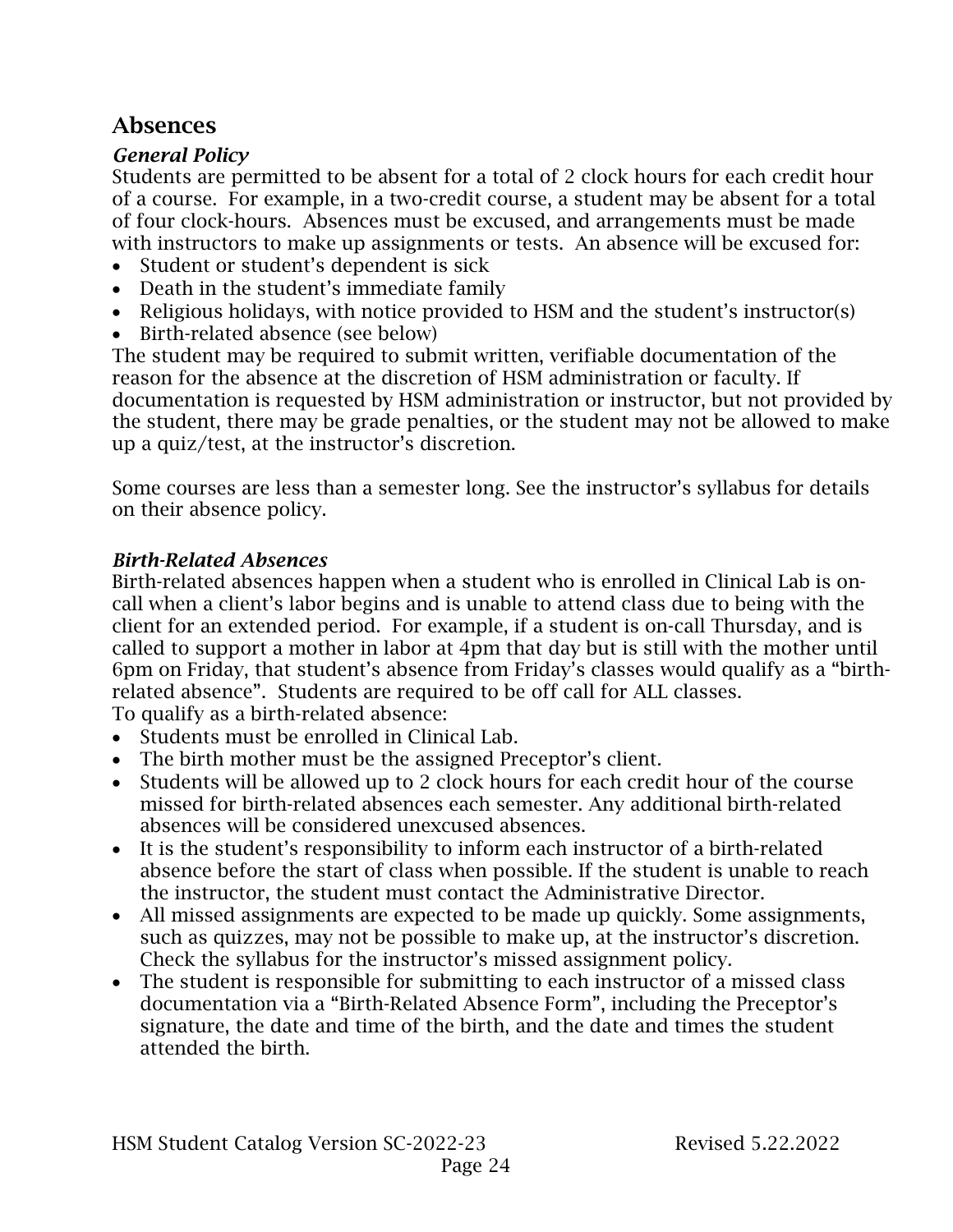## <span id="page-24-0"></span>Absences

#### <span id="page-24-1"></span>*General Policy*

Students are permitted to be absent for a total of 2 clock hours for each credit hour of a course. For example, in a two-credit course, a student may be absent for a total of four clock-hours. Absences must be excused, and arrangements must be made with instructors to make up assignments or tests. An absence will be excused for:

- Student or student's dependent is sick
- Death in the student's immediate family
- Religious holidays, with notice provided to HSM and the student's instructor(s)
- Birth-related absence (see below)

The student may be required to submit written, verifiable documentation of the reason for the absence at the discretion of HSM administration or faculty. If documentation is requested by HSM administration or instructor, but not provided by the student, there may be grade penalties, or the student may not be allowed to make up a quiz/test, at the instructor's discretion.

Some courses are less than a semester long. See the instructor's syllabus for details on their absence policy.

#### <span id="page-24-2"></span>*Birth-Related Absences*

Birth-related absences happen when a student who is enrolled in Clinical Lab is oncall when a client's labor begins and is unable to attend class due to being with the client for an extended period. For example, if a student is on-call Thursday, and is called to support a mother in labor at 4pm that day but is still with the mother until 6pm on Friday, that student's absence from Friday's classes would qualify as a "birthrelated absence". Students are required to be off call for ALL classes.

To qualify as a birth-related absence:

- Students must be enrolled in Clinical Lab.
- The birth mother must be the assigned Preceptor's client.
- Students will be allowed up to 2 clock hours for each credit hour of the course missed for birth-related absences each semester. Any additional birth-related absences will be considered unexcused absences.
- It is the student's responsibility to inform each instructor of a birth-related absence before the start of class when possible. If the student is unable to reach the instructor, the student must contact the Administrative Director.
- All missed assignments are expected to be made up quickly. Some assignments, such as quizzes, may not be possible to make up, at the instructor's discretion. Check the syllabus for the instructor's missed assignment policy.
- The student is responsible for submitting to each instructor of a missed class documentation via a "Birth-Related Absence Form", including the Preceptor's signature, the date and time of the birth, and the date and times the student attended the birth.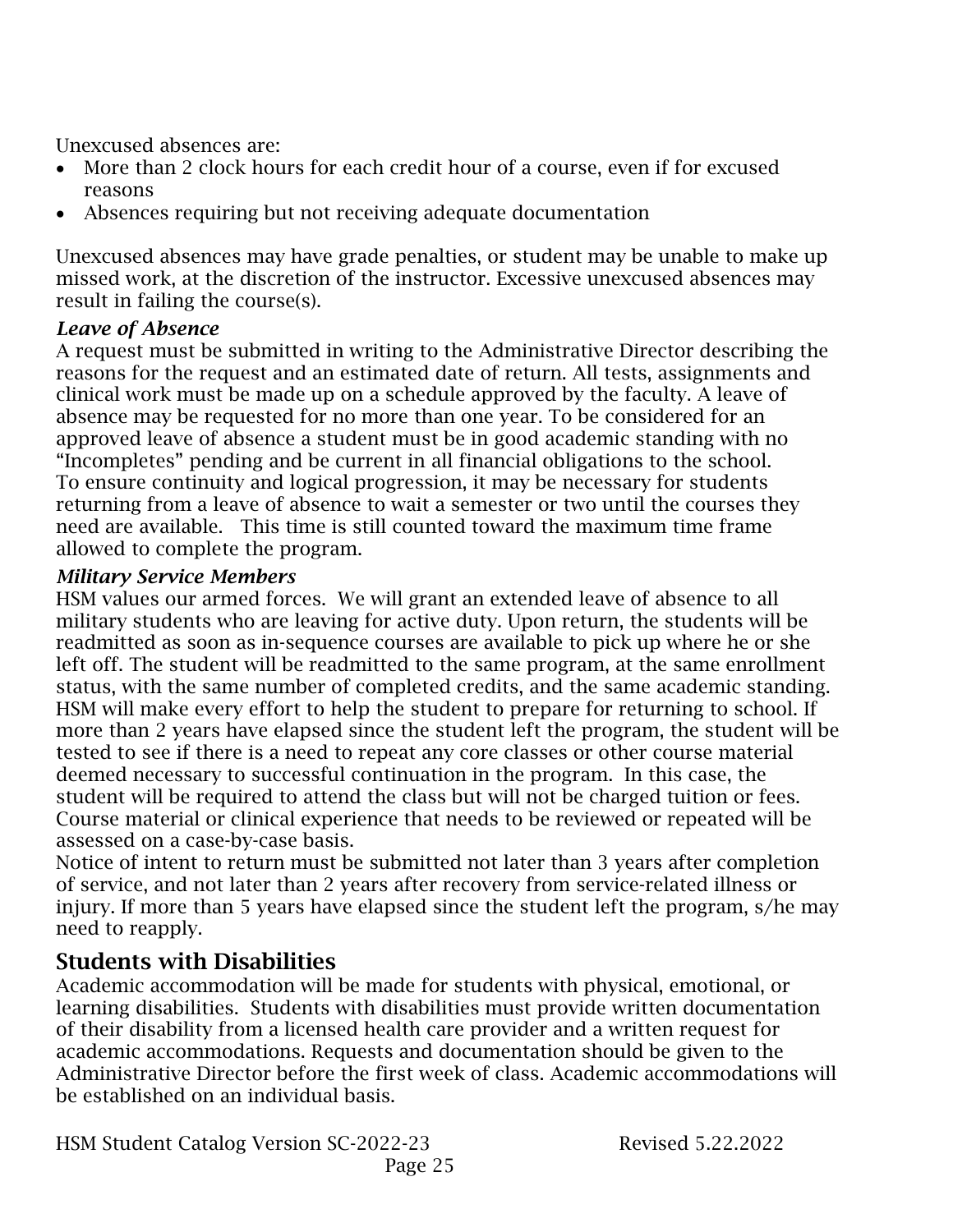Unexcused absences are:

- More than 2 clock hours for each credit hour of a course, even if for excused reasons
- Absences requiring but not receiving adequate documentation

Unexcused absences may have grade penalties, or student may be unable to make up missed work, at the discretion of the instructor. Excessive unexcused absences may result in failing the course(s).

#### <span id="page-25-0"></span>*Leave of Absence*

A request must be submitted in writing to the Administrative Director describing the reasons for the request and an estimated date of return. All tests, assignments and clinical work must be made up on a schedule approved by the faculty. A leave of absence may be requested for no more than one year. To be considered for an approved leave of absence a student must be in good academic standing with no "Incompletes" pending and be current in all financial obligations to the school. To ensure continuity and logical progression, it may be necessary for students returning from a leave of absence to wait a semester or two until the courses they need are available. This time is still counted toward the maximum time frame allowed to complete the program.

#### <span id="page-25-1"></span>*Military Service Members*

HSM values our armed forces. We will grant an extended leave of absence to all military students who are leaving for active duty. Upon return, the students will be readmitted as soon as in-sequence courses are available to pick up where he or she left off. The student will be readmitted to the same program, at the same enrollment status, with the same number of completed credits, and the same academic standing. HSM will make every effort to help the student to prepare for returning to school. If more than 2 years have elapsed since the student left the program, the student will be tested to see if there is a need to repeat any core classes or other course material deemed necessary to successful continuation in the program. In this case, the student will be required to attend the class but will not be charged tuition or fees. Course material or clinical experience that needs to be reviewed or repeated will be assessed on a case-by-case basis.

Notice of intent to return must be submitted not later than 3 years after completion of service, and not later than 2 years after recovery from service-related illness or injury. If more than 5 years have elapsed since the student left the program, s/he may need to reapply.

## <span id="page-25-2"></span>Students with Disabilities

Academic accommodation will be made for students with physical, emotional, or learning disabilities. Students with disabilities must provide written documentation of their disability from a licensed health care provider and a written request for academic accommodations. Requests and documentation should be given to the Administrative Director before the first week of class. Academic accommodations will be established on an individual basis.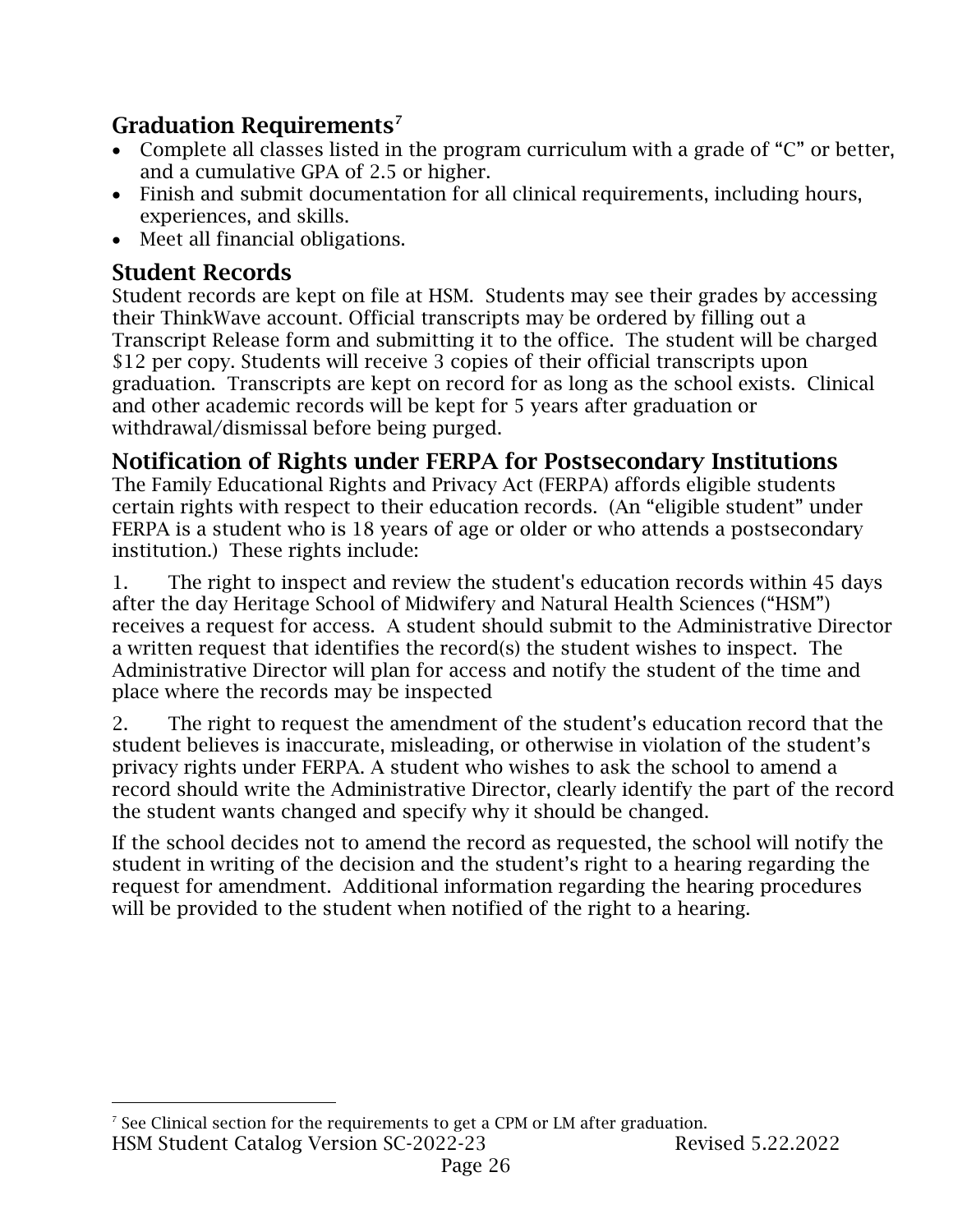## <span id="page-26-0"></span>Graduation Requirements<sup>[7](#page-26-3)</sup>

- Complete all classes listed in the program curriculum with a grade of "C" or better, and a cumulative GPA of 2.5 or higher.
- Finish and submit documentation for all clinical requirements, including hours, experiences, and skills.
- Meet all financial obligations.

## <span id="page-26-1"></span>Student Records

Student records are kept on file at HSM. Students may see their grades by accessing their ThinkWave account. Official transcripts may be ordered by filling out a Transcript Release form and submitting it to the office. The student will be charged \$12 per copy. Students will receive 3 copies of their official transcripts upon graduation. Transcripts are kept on record for as long as the school exists. Clinical and other academic records will be kept for 5 years after graduation or withdrawal/dismissal before being purged.

## <span id="page-26-2"></span>Notification of Rights under FERPA for Postsecondary Institutions

The Family Educational Rights and Privacy Act (FERPA) affords eligible students certain rights with respect to their education records. (An "eligible student" under FERPA is a student who is 18 years of age or older or who attends a postsecondary institution.) These rights include:

1. The right to inspect and review the student's education records within 45 days after the day Heritage School of Midwifery and Natural Health Sciences ("HSM") receives a request for access. A student should submit to the Administrative Director a written request that identifies the record(s) the student wishes to inspect. The Administrative Director will plan for access and notify the student of the time and place where the records may be inspected

2. The right to request the amendment of the student's education record that the student believes is inaccurate, misleading, or otherwise in violation of the student's privacy rights under FERPA. A student who wishes to ask the school to amend a record should write the Administrative Director, clearly identify the part of the record the student wants changed and specify why it should be changed.

If the school decides not to amend the record as requested, the school will notify the student in writing of the decision and the student's right to a hearing regarding the request for amendment. Additional information regarding the hearing procedures will be provided to the student when notified of the right to a hearing.

<span id="page-26-3"></span>HSM Student Catalog Version SC-2022-23 Revised 5.22.2022  $<sup>7</sup>$  See Clinical section for the requirements to get a CPM or LM after graduation.</sup>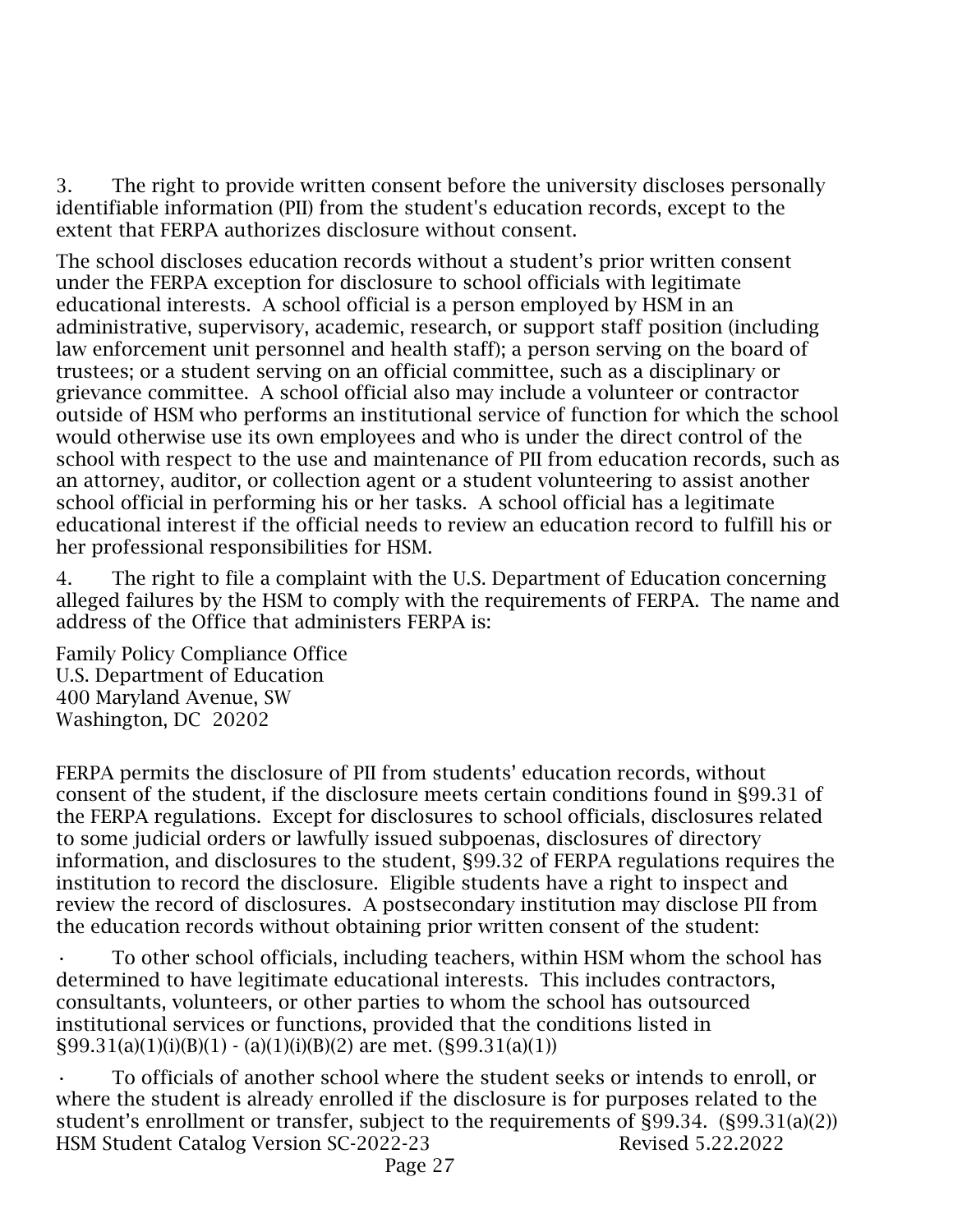3. The right to provide written consent before the university discloses personally identifiable information (PII) from the student's education records, except to the extent that FERPA authorizes disclosure without consent.

The school discloses education records without a student's prior written consent under the FERPA exception for disclosure to school officials with legitimate educational interests. A school official is a person employed by HSM in an administrative, supervisory, academic, research, or support staff position (including law enforcement unit personnel and health staff); a person serving on the board of trustees; or a student serving on an official committee, such as a disciplinary or grievance committee. A school official also may include a volunteer or contractor outside of HSM who performs an institutional service of function for which the school would otherwise use its own employees and who is under the direct control of the school with respect to the use and maintenance of PII from education records, such as an attorney, auditor, or collection agent or a student volunteering to assist another school official in performing his or her tasks. A school official has a legitimate educational interest if the official needs to review an education record to fulfill his or her professional responsibilities for HSM.

4. The right to file a complaint with the U.S. Department of Education concerning alleged failures by the HSM to comply with the requirements of FERPA. The name and address of the Office that administers FERPA is:

Family Policy Compliance Office U.S. Department of Education 400 Maryland Avenue, SW Washington, DC 20202

FERPA permits the disclosure of PII from students' education records, without consent of the student, if the disclosure meets certain conditions found in §99.31 of the FERPA regulations. Except for disclosures to school officials, disclosures related to some judicial orders or lawfully issued subpoenas, disclosures of directory information, and disclosures to the student, §99.32 of FERPA regulations requires the institution to record the disclosure. Eligible students have a right to inspect and review the record of disclosures. A postsecondary institution may disclose PII from the education records without obtaining prior written consent of the student:

• To other school officials, including teachers, within HSM whom the school has determined to have legitimate educational interests. This includes contractors, consultants, volunteers, or other parties to whom the school has outsourced institutional services or functions, provided that the conditions listed in  $\S 99.31(a)(1)(i)(B)(1) - (a)(1)(i)(B)(2)$  are met.  $(S 99.31(a)(1))$ 

HSM Student Catalog Version SC-2022-23 Revised 5.22.2022 • To officials of another school where the student seeks or intends to enroll, or where the student is already enrolled if the disclosure is for purposes related to the student's enrollment or transfer, subject to the requirements of §99.34. (§99.31(a)(2))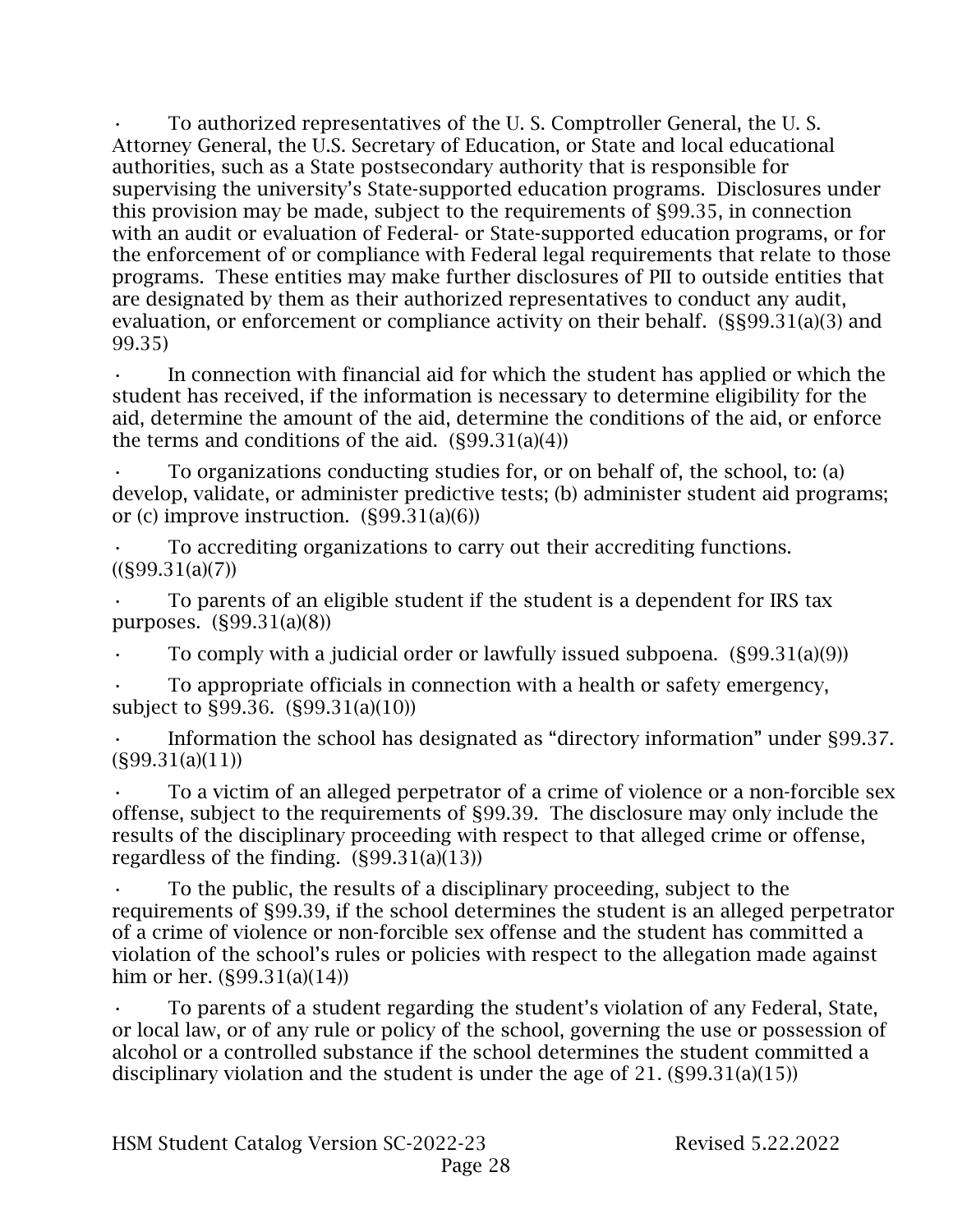• To authorized representatives of the U. S. Comptroller General, the U. S. Attorney General, the U.S. Secretary of Education, or State and local educational authorities, such as a State postsecondary authority that is responsible for supervising the university's State-supported education programs. Disclosures under this provision may be made, subject to the requirements of §99.35, in connection with an audit or evaluation of Federal- or State-supported education programs, or for the enforcement of or compliance with Federal legal requirements that relate to those programs. These entities may make further disclosures of PII to outside entities that are designated by them as their authorized representatives to conduct any audit, evaluation, or enforcement or compliance activity on their behalf. (§§99.31(a)(3) and 99.35)

In connection with financial aid for which the student has applied or which the student has received, if the information is necessary to determine eligibility for the aid, determine the amount of the aid, determine the conditions of the aid, or enforce the terms and conditions of the aid.  $(S99.31(a)(4))$ 

• To organizations conducting studies for, or on behalf of, the school, to: (a) develop, validate, or administer predictive tests; (b) administer student aid programs; or (c) improve instruction. (§99.31(a)(6))

• To accrediting organizations to carry out their accrediting functions.  $((\S 99.31(a)(7)))$ 

• To parents of an eligible student if the student is a dependent for IRS tax purposes. (§99.31(a)(8))

• To comply with a judicial order or lawfully issued subpoena. (§99.31(a)(9))

• To appropriate officials in connection with a health or safety emergency, subject to §99.36. (§99.31(a)(10))

Information the school has designated as "directory information" under §99.37.  $(S99.31(a)(11))$ 

• To a victim of an alleged perpetrator of a crime of violence or a non-forcible sex offense, subject to the requirements of §99.39. The disclosure may only include the results of the disciplinary proceeding with respect to that alleged crime or offense, regardless of the finding.  $(S99.31(a)(13))$ 

• To the public, the results of a disciplinary proceeding, subject to the requirements of §99.39, if the school determines the student is an alleged perpetrator of a crime of violence or non-forcible sex offense and the student has committed a violation of the school's rules or policies with respect to the allegation made against him or her.  $(\$99.31(a)(14))$ 

• To parents of a student regarding the student's violation of any Federal, State, or local law, or of any rule or policy of the school, governing the use or possession of alcohol or a controlled substance if the school determines the student committed a disciplinary violation and the student is under the age of  $21. (§99.31(a)(15))$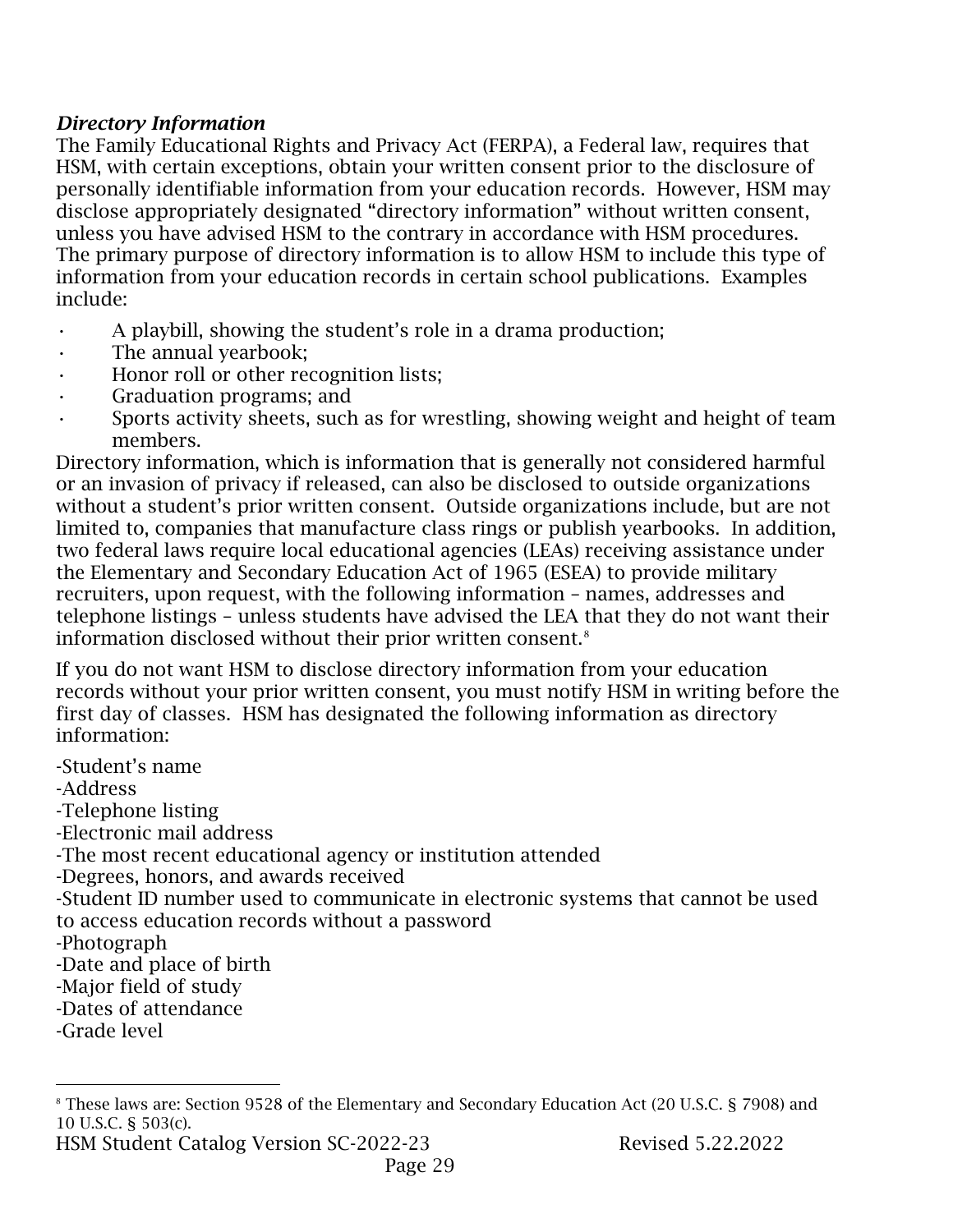#### <span id="page-29-0"></span>*Directory Information*

The Family Educational Rights and Privacy Act (FERPA), a Federal law, requires that HSM, with certain exceptions, obtain your written consent prior to the disclosure of personally identifiable information from your education records. However, HSM may disclose appropriately designated "directory information" without written consent, unless you have advised HSM to the contrary in accordance with HSM procedures. The primary purpose of directory information is to allow HSM to include this type of information from your education records in certain school publications. Examples include:

- A playbill, showing the student's role in a drama production;
- The annual vearbook:
- Honor roll or other recognition lists;
- Graduation programs; and
- Sports activity sheets, such as for wrestling, showing weight and height of team members.

Directory information, which is information that is generally not considered harmful or an invasion of privacy if released, can also be disclosed to outside organizations without a student's prior written consent. Outside organizations include, but are not limited to, companies that manufacture class rings or publish yearbooks. In addition, two federal laws require local educational agencies (LEAs) receiving assistance under the Elementary and Secondary Education Act of 1965 (ESEA) to provide military recruiters, upon request, with the following information – names, addresses and telephone listings – unless students have advised the LEA that they do not want their information disclosed without their prior written consent.<sup>[8](#page-29-1)</sup>

If you do not want HSM to disclose directory information from your education records without your prior written consent, you must notify HSM in writing before the first day of classes. HSM has designated the following information as directory information:

- -Student's name
- -Address
- -Telephone listing
- -Electronic mail address
- -The most recent educational agency or institution attended
- -Degrees, honors, and awards received
- -Student ID number used to communicate in electronic systems that cannot be used to access education records without a password
- -Photograph
- -Date and place of birth
- -Major field of study
- -Dates of attendance
- -Grade level

HSM Student Catalog Version SC-2022-23 Revised 5.22.2022

<span id="page-29-1"></span><sup>8</sup> These laws are: Section 9528 of the Elementary and Secondary Education Act (20 U.S.C. § 7908) and 10 U.S.C. § 503(c).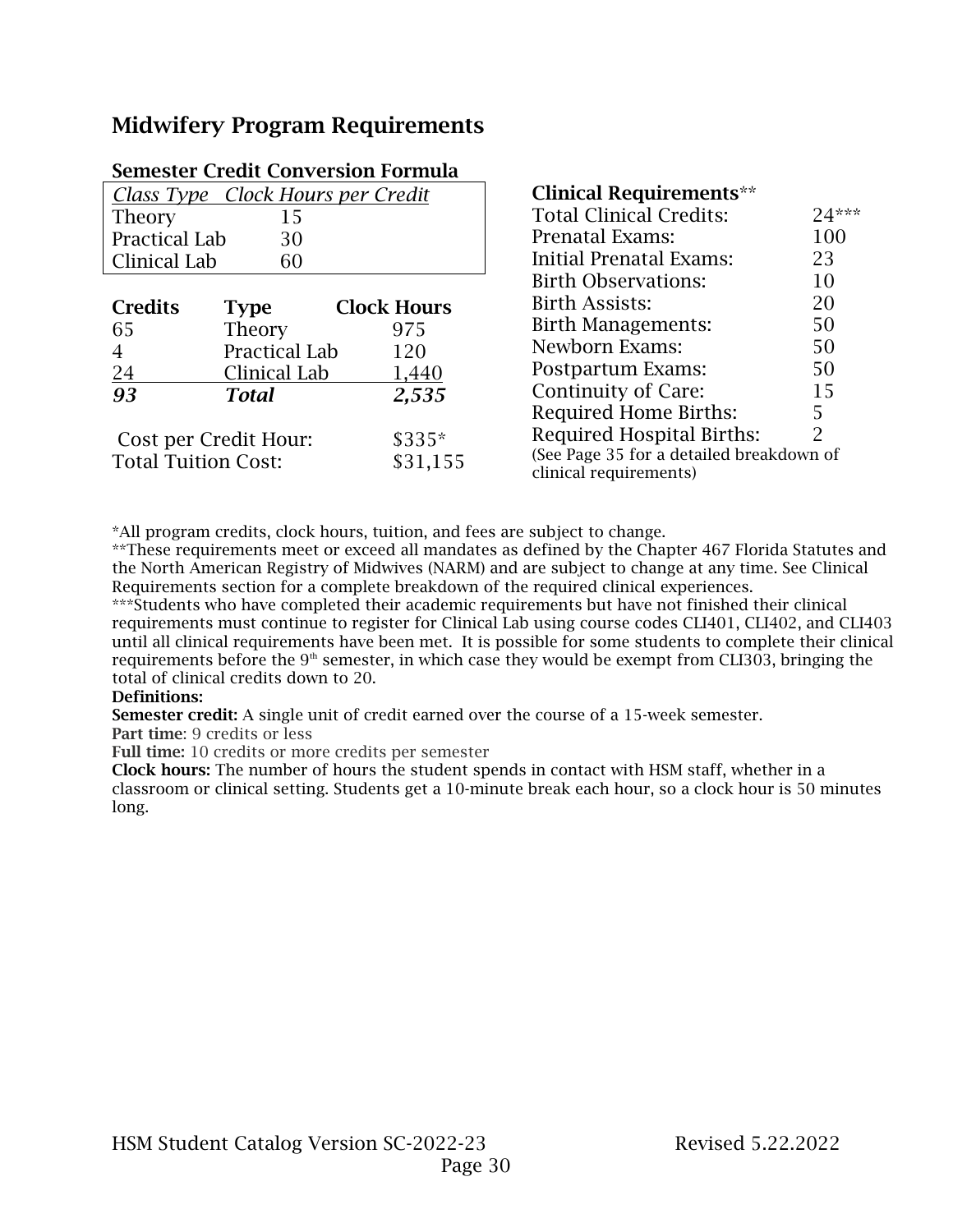## <span id="page-30-0"></span>Midwifery Program Requirements

|                                                                                                              |                                      | belliestel Credit Conversion Formula |                                |                |
|--------------------------------------------------------------------------------------------------------------|--------------------------------------|--------------------------------------|--------------------------------|----------------|
|                                                                                                              | Class Type Clock Hours per Credit    |                                      | <b>Clinical Requirements**</b> |                |
| Theory                                                                                                       | <b>Total Clinical Credits:</b><br>15 |                                      |                                | 24***          |
| Practical Lab                                                                                                | 30                                   |                                      | Prenatal Exams:                | 100            |
| Clinical Lab                                                                                                 | 60                                   |                                      | <b>Initial Prenatal Exams:</b> | 23             |
|                                                                                                              |                                      |                                      | <b>Birth Observations:</b>     | 10             |
| <b>Credits</b>                                                                                               | Type                                 | <b>Clock Hours</b>                   | <b>Birth Assists:</b>          | 20             |
| 65                                                                                                           | Theory                               | 975                                  | <b>Birth Managements:</b>      | 50             |
| $\overline{4}$                                                                                               | Practical Lab                        | 120                                  | Newborn Exams:                 | 50             |
| $\overline{24}$                                                                                              | Clinical Lab                         | 1,440                                | Postpartum Exams:              | 50             |
| 93                                                                                                           | <b>Total</b>                         | 2,535                                | Continuity of Care:            | 15             |
|                                                                                                              |                                      |                                      | Required Home Births:          | 5              |
| Cost per Credit Hour:                                                                                        |                                      | \$335*                               | Required Hospital Births:      | $\overline{2}$ |
| (See Page 35 for a detailed breakdown of<br><b>Total Tuition Cost:</b><br>\$31,155<br>clinical requirements) |                                      |                                      |                                |                |

#### Semester Credit Conversion Formula

\*All program credits, clock hours, tuition, and fees are subject to change.

\*\*These requirements meet or exceed all mandates as defined by the Chapter 467 Florida Statutes and the North American Registry of Midwives (NARM) and are subject to change at any time. See Clinical Requirements section for a complete breakdown of the required clinical experiences.

\*\*\*Students who have completed their academic requirements but have not finished their clinical requirements must continue to register for Clinical Lab using course codes CLI401, CLI402, and CLI403 until all clinical requirements have been met. It is possible for some students to complete their clinical requirements before the  $9<sup>th</sup>$  semester, in which case they would be exempt from CLI303, bringing the total of clinical credits down to 20.

#### Definitions:

Semester credit: A single unit of credit earned over the course of a 15-week semester.

Part time: 9 credits or less

Full time: 10 credits or more credits per semester

Clock hours: The number of hours the student spends in contact with HSM staff, whether in a classroom or clinical setting. Students get a 10-minute break each hour, so a clock hour is 50 minutes long.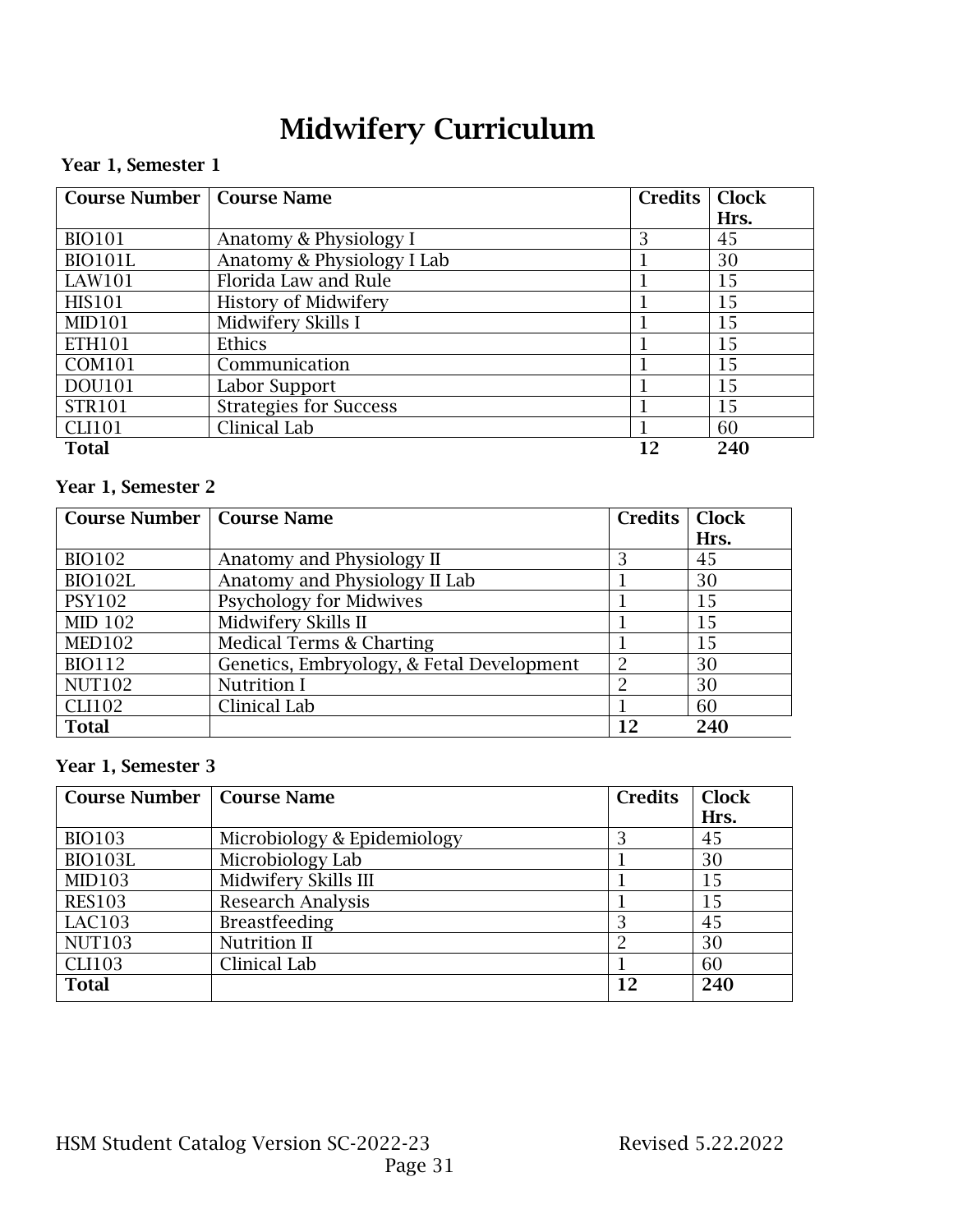## Midwifery Curriculum

#### <span id="page-31-0"></span>Year 1, Semester 1

| <b>Course Number   Course Name</b> |                               | <b>Credits</b> | Clock |
|------------------------------------|-------------------------------|----------------|-------|
|                                    |                               |                | Hrs.  |
| <b>BIO101</b>                      | Anatomy & Physiology I        | 3              | 45    |
| BIO101L                            | Anatomy & Physiology I Lab    |                | 30    |
| <b>LAW101</b>                      | Florida Law and Rule          |                | 15    |
| <b>HIS101</b>                      | <b>History of Midwifery</b>   |                | 15    |
| MID101                             | Midwifery Skills I            |                | 15    |
| <b>ETH101</b>                      | Ethics                        |                | 15    |
| <b>COM101</b>                      | Communication                 |                | 15    |
| <b>DOU101</b>                      | Labor Support                 |                | 15    |
| <b>STR101</b>                      | <b>Strategies for Success</b> |                | 15    |
| <b>CLI101</b>                      | Clinical Lab                  |                | 60    |
| <b>Total</b>                       |                               | 12             | 240   |

#### Year 1, Semester 2

| <b>Course Number   Course Name</b> |                                           | Credits | Clock |
|------------------------------------|-------------------------------------------|---------|-------|
|                                    |                                           |         | Hrs.  |
| <b>BIO102</b>                      | Anatomy and Physiology II                 |         | 45    |
| BIO102L                            | Anatomy and Physiology II Lab             |         | 30    |
| <b>PSY102</b>                      | <b>Psychology for Midwives</b>            |         | 15    |
| <b>MID 102</b>                     | Midwifery Skills II                       |         | 15    |
| <b>MED102</b>                      | <b>Medical Terms &amp; Charting</b>       |         | 15    |
| <b>BIO112</b>                      | Genetics, Embryology, & Fetal Development | っ       | 30    |
| <b>NUT102</b>                      | Nutrition I                               | റ       | 30    |
| <b>CLI102</b>                      | Clinical Lab                              |         | 60    |
| <b>Total</b>                       |                                           | 12      | 240   |

#### Year 1, Semester 3

| <b>Course Number</b> | <b>Course Name</b>          | <b>Credits</b> | <b>Clock</b> |
|----------------------|-----------------------------|----------------|--------------|
|                      |                             |                | Hrs.         |
| <b>BIO103</b>        | Microbiology & Epidemiology | 3              | 45           |
| BIO103L              | Microbiology Lab            |                | 30           |
| <b>MID103</b>        | Midwifery Skills III        |                | 15           |
| <b>RES103</b>        | <b>Research Analysis</b>    |                | 15           |
| LAC103               | <b>Breastfeeding</b>        |                | 45           |
| <b>NUT103</b>        | Nutrition II                |                | 30           |
| <b>CLI103</b>        | Clinical Lab                |                | 60           |
| <b>Total</b>         |                             | 12             | 240          |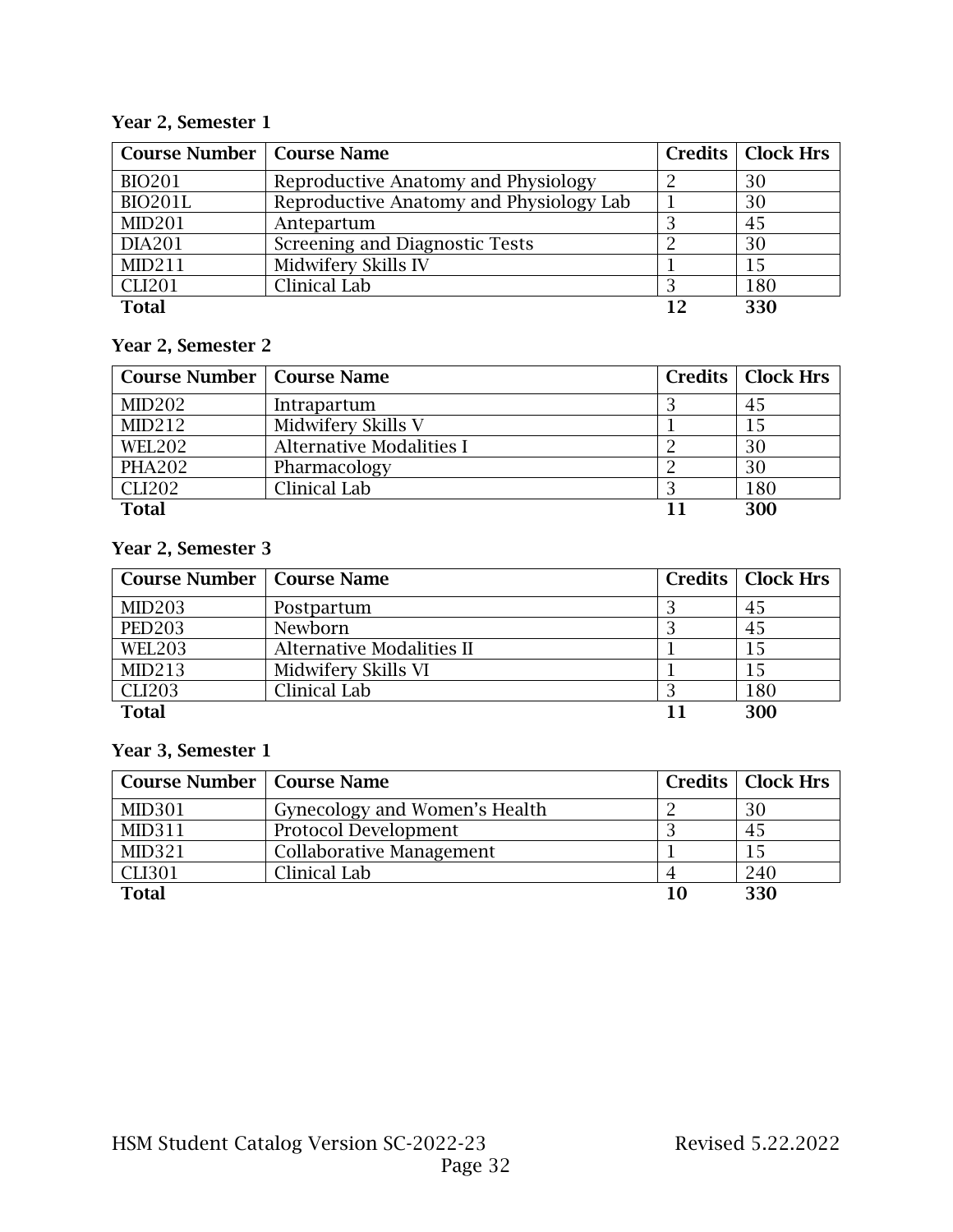#### Year 2, Semester 1

| <b>Course Number   Course Name</b> |                                         |    | <b>Credits</b>   Clock Hrs |
|------------------------------------|-----------------------------------------|----|----------------------------|
| <b>BIO201</b>                      | Reproductive Anatomy and Physiology     |    | 30                         |
| BIO201L                            | Reproductive Anatomy and Physiology Lab |    | 30                         |
| <b>MID201</b>                      | Antepartum                              |    | 45                         |
| <b>DIA201</b>                      | Screening and Diagnostic Tests          |    | 30                         |
| MID211                             | Midwifery Skills IV                     |    | 15                         |
| <b>CLI201</b>                      | Clinical Lab                            |    | 180                        |
| <b>Total</b>                       |                                         | 12 | 330                        |

#### Year 2, Semester 2

| Course Number   Course Name |                                 | <b>Credits   Clock Hrs</b> |
|-----------------------------|---------------------------------|----------------------------|
| <b>MID202</b>               | Intrapartum                     | 45                         |
| MID212                      | Midwifery Skills V              | 15                         |
| <b>WEL202</b>               | <b>Alternative Modalities I</b> | 30                         |
| <b>PHA202</b>               | Pharmacology                    | 30                         |
| <b>CLI202</b>               | Clinical Lab                    | 180                        |
| <b>Total</b>                |                                 | 300                        |

#### Year 2, Semester 3

| <b>Course Number   Course Name</b> |                                  | <b>Credits   Clock Hrs</b> |
|------------------------------------|----------------------------------|----------------------------|
| MID203                             | Postpartum                       | 45                         |
| <b>PED203</b>                      | <b>Newborn</b>                   | 45                         |
| <b>WEL203</b>                      | <b>Alternative Modalities II</b> | 15                         |
| MID213                             | Midwifery Skills VI              | 15                         |
| <b>CLI203</b>                      | Clinical Lab                     | 180                        |
| <b>Total</b>                       |                                  | 300                        |

#### Year 3, Semester 1

| <b>Course Number   Course Name</b> |                                 |    | <b>Credits   Clock Hrs</b> |
|------------------------------------|---------------------------------|----|----------------------------|
| <b>MID301</b>                      | Gynecology and Women's Health   |    | 30                         |
| MID311                             | <b>Protocol Development</b>     |    | 45                         |
| <b>MID321</b>                      | <b>Collaborative Management</b> |    | 15                         |
| <b>CLI301</b>                      | Clinical Lab                    |    | 240                        |
| <b>Total</b>                       |                                 | 10 | 330                        |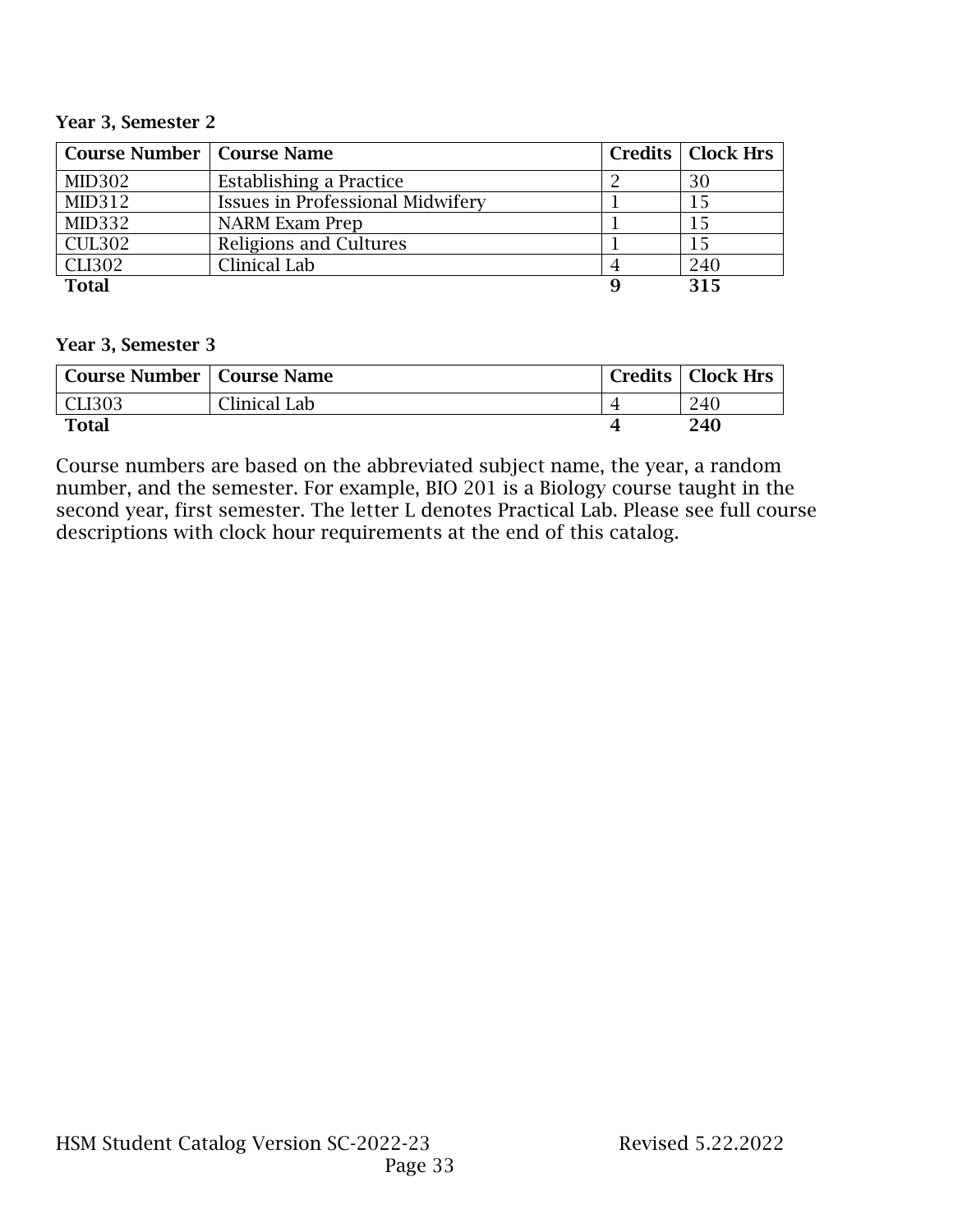Year 3, Semester 2

| Course Number   Course Name |                                         | <b>Credits</b>   Clock Hrs |
|-----------------------------|-----------------------------------------|----------------------------|
| <b>MID302</b>               | Establishing a Practice                 | 30                         |
| MID312                      | <b>Issues in Professional Midwifery</b> | 15                         |
| <b>MID332</b>               | NARM Exam Prep                          | 15                         |
| <b>CUL302</b>               | <b>Religions and Cultures</b>           | 15                         |
| <b>CLI302</b>               | Clinical Lab                            | 240                        |
| <b>Total</b>                |                                         | 315                        |

Year 3, Semester 3

| Course Number   Course Name |              | <b>Credits</b>   Clock Hrs |
|-----------------------------|--------------|----------------------------|
| <b>CLI303</b>               | Clinical Lab | 240                        |
| <b>Total</b>                |              | 240                        |

Course numbers are based on the abbreviated subject name, the year, a random number, and the semester. For example, BIO 201 is a Biology course taught in the second year, first semester. The letter L denotes Practical Lab. Please see full course descriptions with clock hour requirements at the end of this catalog.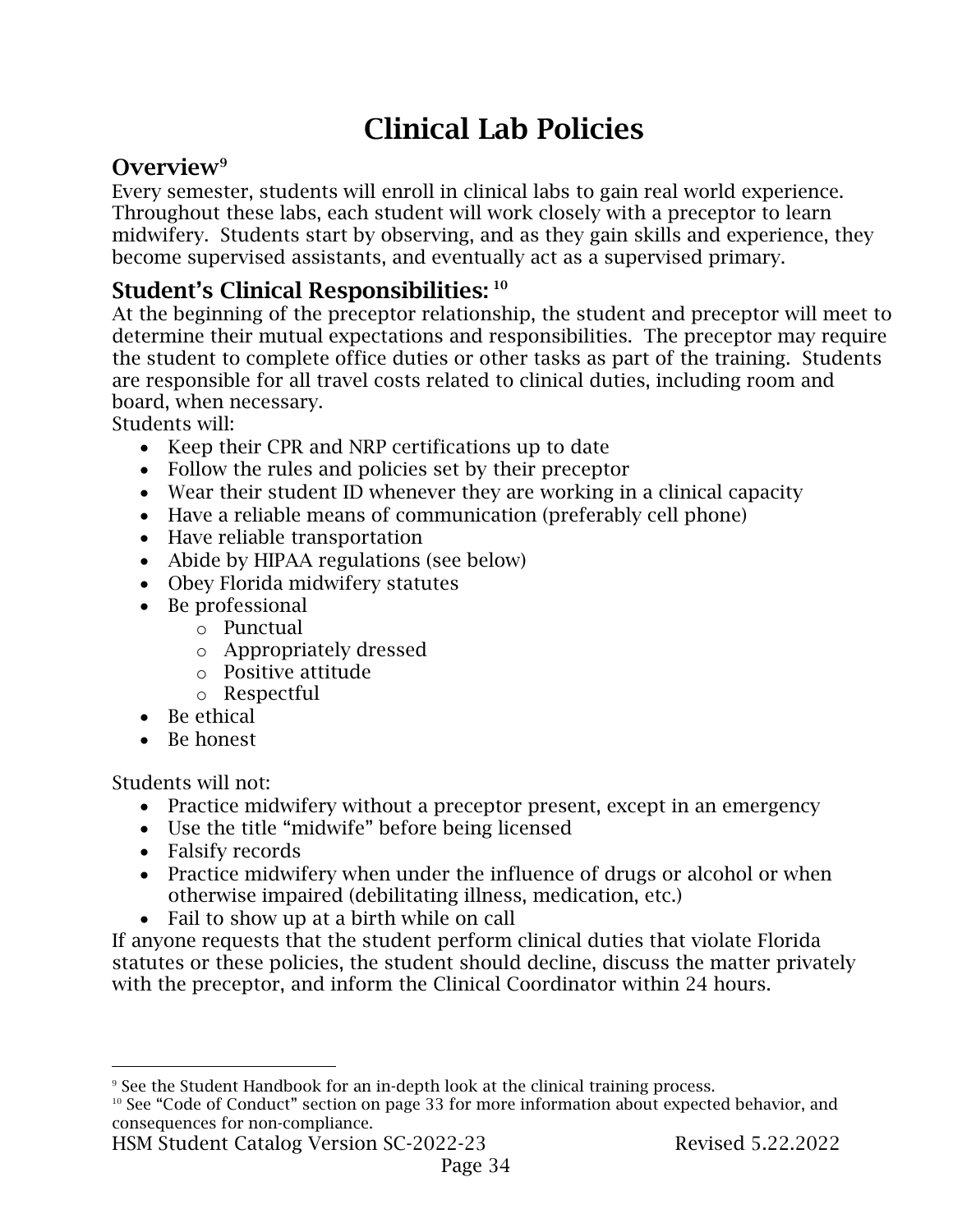## Clinical Lab Policies

## <span id="page-34-1"></span><span id="page-34-0"></span>Overview<sup>[9](#page-34-3)</sup>

Every semester, students will enroll in clinical labs to gain real world experience. Throughout these labs, each student will work closely with a preceptor to learn midwifery. Students start by observing, and as they gain skills and experience, they become supervised assistants, and eventually act as a supervised primary.

## <span id="page-34-2"></span>Student's Clinical Responsibilities: [10](#page-34-4)

At the beginning of the preceptor relationship, the student and preceptor will meet to determine their mutual expectations and responsibilities. The preceptor may require the student to complete office duties or other tasks as part of the training. Students are responsible for all travel costs related to clinical duties, including room and board, when necessary.

Students will:

- Keep their CPR and NRP certifications up to date
- Follow the rules and policies set by their preceptor
- Wear their student ID whenever they are working in a clinical capacity
- Have a reliable means of communication (preferably cell phone)
- Have reliable transportation
- Abide by HIPAA regulations (see below)
- Obey Florida midwifery statutes
- Be professional
	- o Punctual
	- o Appropriately dressed
	- o Positive attitude
	- o Respectful
- Be ethical
- Be honest

Students will not:

- Practice midwifery without a preceptor present, except in an emergency
- Use the title "midwife" before being licensed
- Falsify records
- Practice midwifery when under the influence of drugs or alcohol or when otherwise impaired (debilitating illness, medication, etc.)
- Fail to show up at a birth while on call

If anyone requests that the student perform clinical duties that violate Florida statutes or these policies, the student should decline, discuss the matter privately with the preceptor, and inform the Clinical Coordinator within 24 hours.

HSM Student Catalog Version SC-2022-23 Revised 5.22.2022

<span id="page-34-3"></span><sup>9</sup> See the Student Handbook for an in-depth look at the clinical training process.

<span id="page-34-4"></span><sup>&</sup>lt;sup>10</sup> See "Code of Conduct" section on page 33 for more information about expected behavior, and consequences for non-compliance.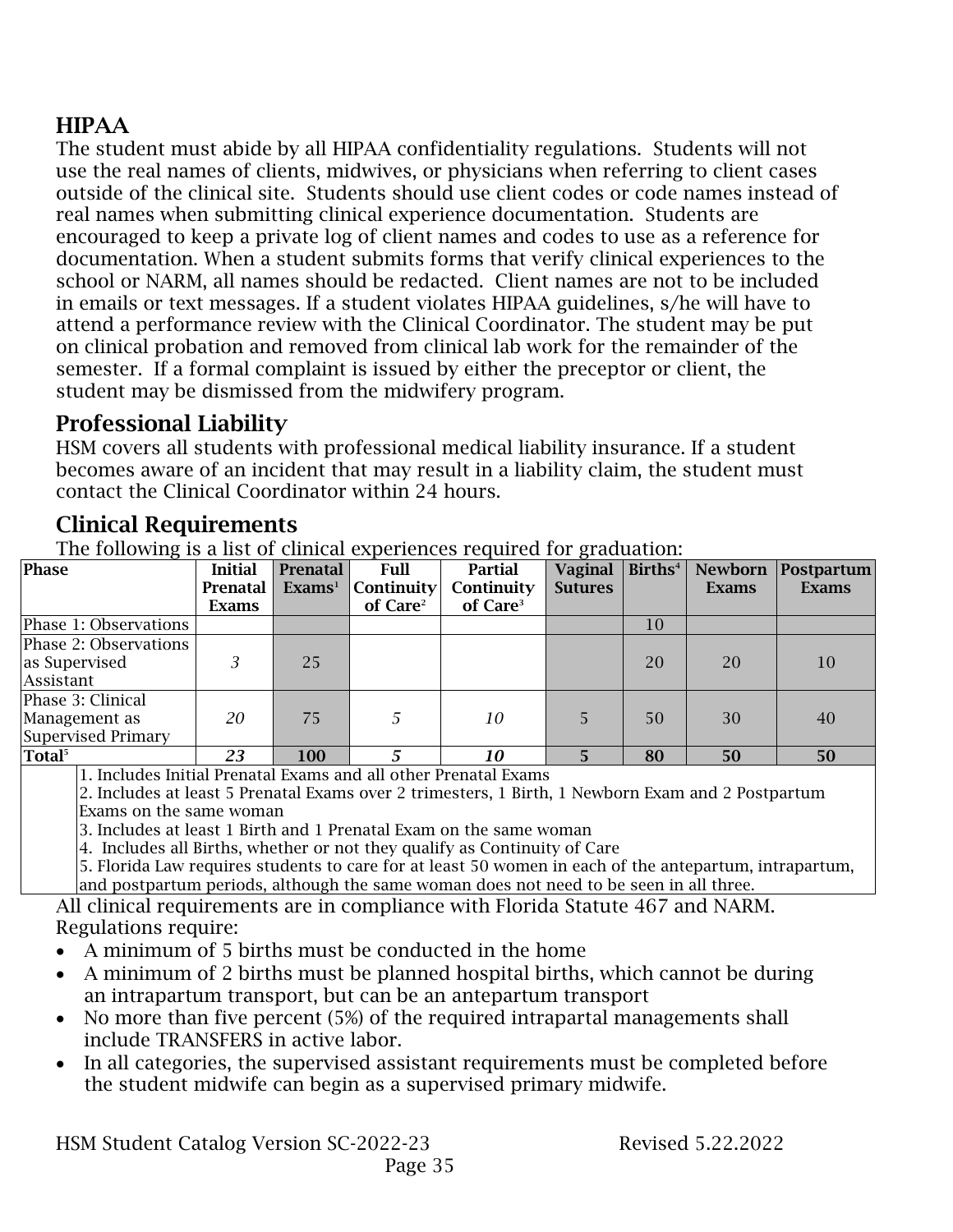## <span id="page-35-0"></span>HIPAA

The student must abide by all HIPAA confidentiality regulations. Students will not use the real names of clients, midwives, or physicians when referring to client cases outside of the clinical site. Students should use client codes or code names instead of real names when submitting clinical experience documentation. Students are encouraged to keep a private log of client names and codes to use as a reference for documentation. When a student submits forms that verify clinical experiences to the school or NARM, all names should be redacted. Client names are not to be included in emails or text messages. If a student violates HIPAA guidelines, s/he will have to attend a performance review with the Clinical Coordinator. The student may be put on clinical probation and removed from clinical lab work for the remainder of the semester. If a formal complaint is issued by either the preceptor or client, the student may be dismissed from the midwifery program.

## <span id="page-35-1"></span>Professional Liability

HSM covers all students with professional medical liability insurance. If a student becomes aware of an incident that may result in a liability claim, the student must contact the Clinical Coordinator within 24 hours.

## <span id="page-35-2"></span>Clinical Requirements

The following is a list of clinical experiences required for graduation:

| <b>Phase</b>          | <b>Initial</b> | Prenatal           | Full                 | <b>Partial</b>       | <b>Vaginal</b> | Births <sup>4</sup> | Newborn      | <b>Postpartum</b> |
|-----------------------|----------------|--------------------|----------------------|----------------------|----------------|---------------------|--------------|-------------------|
|                       | Prenatal       | Exams <sup>1</sup> | <b>Continuity</b>    | Continuity           | <b>Sutures</b> |                     | <b>Exams</b> | <b>Exams</b>      |
|                       | Exams          |                    | of Care <sup>2</sup> | of Care <sup>3</sup> |                |                     |              |                   |
| Phase 1: Observations |                |                    |                      |                      |                | 10                  |              |                   |
| Phase 2: Observations |                |                    |                      |                      |                |                     |              |                   |
| as Supervised         |                | 25                 |                      |                      |                | 20                  | 20           | 10                |
| Assistant             |                |                    |                      |                      |                |                     |              |                   |
| Phase 3: Clinical     |                |                    |                      |                      |                |                     |              |                   |
| Management as         | 20             | 75                 |                      | 10                   |                | 50                  | 30           | 40                |
| Supervised Primary    |                |                    |                      |                      |                |                     |              |                   |
| Total <sup>5</sup>    | 23             | 100                |                      | 10                   |                | 80                  | 50           | 50                |

1. Includes Initial Prenatal Exams and all other Prenatal Exams

2. Includes at least 5 Prenatal Exams over 2 trimesters, 1 Birth, 1 Newborn Exam and 2 Postpartum Exams on the same woman

3. Includes at least 1 Birth and 1 Prenatal Exam on the same woman

4. Includes all Births, whether or not they qualify as Continuity of Care

5. Florida Law requires students to care for at least 50 women in each of the antepartum, intrapartum, and postpartum periods, although the same woman does not need to be seen in all three.

All clinical requirements are in compliance with Florida Statute 467 and NARM. Regulations require:

- A minimum of 5 births must be conducted in the home
- A minimum of 2 births must be planned hospital births, which cannot be during an intrapartum transport, but can be an antepartum transport
- No more than five percent (5%) of the required intrapartal managements shall include TRANSFERS in active labor.
- In all categories, the supervised assistant requirements must be completed before the student midwife can begin as a supervised primary midwife.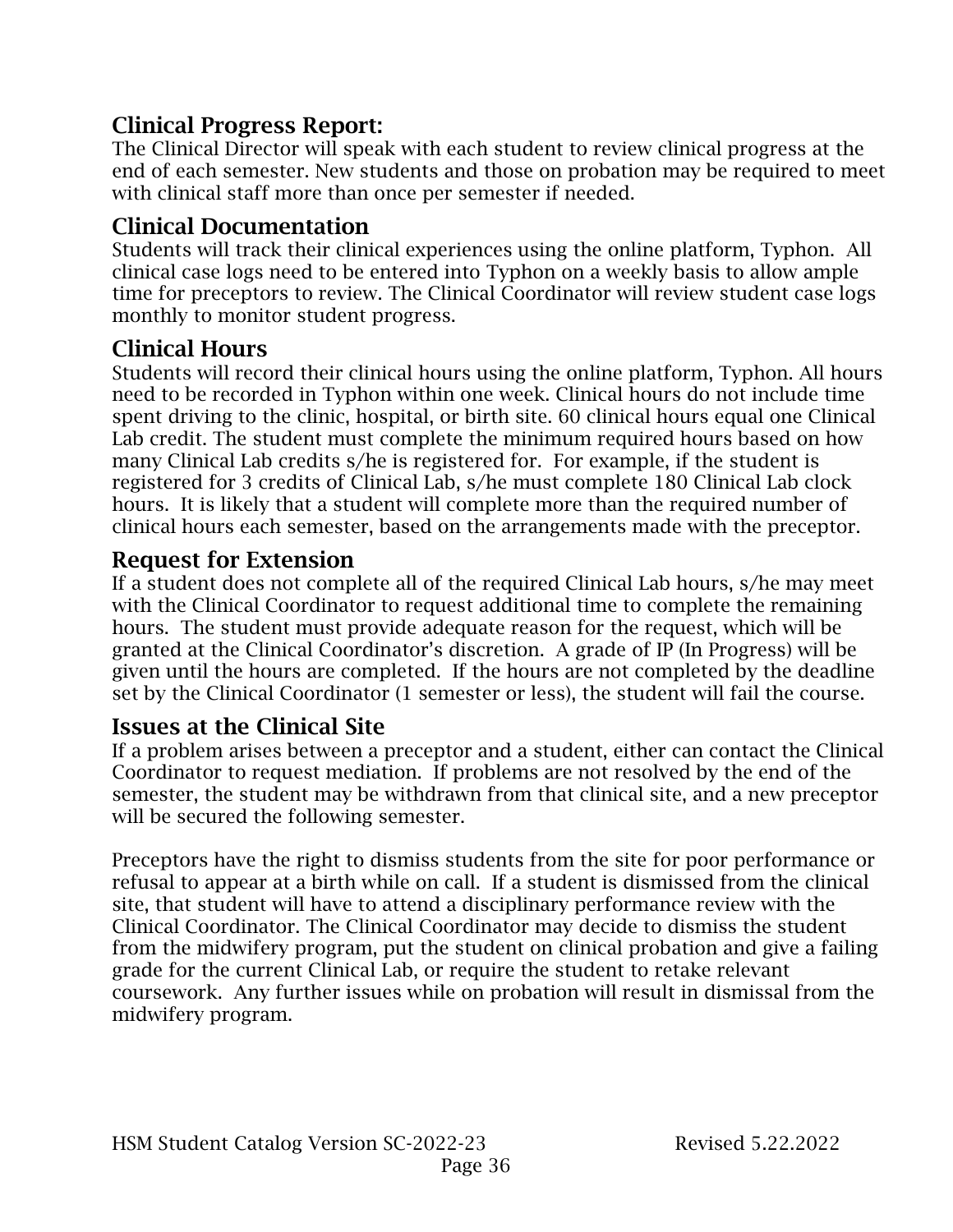## <span id="page-36-0"></span>Clinical Progress Report:

The Clinical Director will speak with each student to review clinical progress at the end of each semester. New students and those on probation may be required to meet with clinical staff more than once per semester if needed.

### <span id="page-36-1"></span>Clinical Documentation

Students will track their clinical experiences using the online platform, Typhon. All clinical case logs need to be entered into Typhon on a weekly basis to allow ample time for preceptors to review. The Clinical Coordinator will review student case logs monthly to monitor student progress.

## <span id="page-36-2"></span>Clinical Hours

Students will record their clinical hours using the online platform, Typhon. All hours need to be recorded in Typhon within one week. Clinical hours do not include time spent driving to the clinic, hospital, or birth site. 60 clinical hours equal one Clinical Lab credit. The student must complete the minimum required hours based on how many Clinical Lab credits s/he is registered for. For example, if the student is registered for 3 credits of Clinical Lab, s/he must complete 180 Clinical Lab clock hours. It is likely that a student will complete more than the required number of clinical hours each semester, based on the arrangements made with the preceptor.

### <span id="page-36-3"></span>Request for Extension

If a student does not complete all of the required Clinical Lab hours, s/he may meet with the Clinical Coordinator to request additional time to complete the remaining hours. The student must provide adequate reason for the request, which will be granted at the Clinical Coordinator's discretion. A grade of IP (In Progress) will be given until the hours are completed. If the hours are not completed by the deadline set by the Clinical Coordinator (1 semester or less), the student will fail the course.

#### <span id="page-36-4"></span>Issues at the Clinical Site

If a problem arises between a preceptor and a student, either can contact the Clinical Coordinator to request mediation. If problems are not resolved by the end of the semester, the student may be withdrawn from that clinical site, and a new preceptor will be secured the following semester.

Preceptors have the right to dismiss students from the site for poor performance or refusal to appear at a birth while on call. If a student is dismissed from the clinical site, that student will have to attend a disciplinary performance review with the Clinical Coordinator. The Clinical Coordinator may decide to dismiss the student from the midwifery program, put the student on clinical probation and give a failing grade for the current Clinical Lab, or require the student to retake relevant coursework. Any further issues while on probation will result in dismissal from the midwifery program.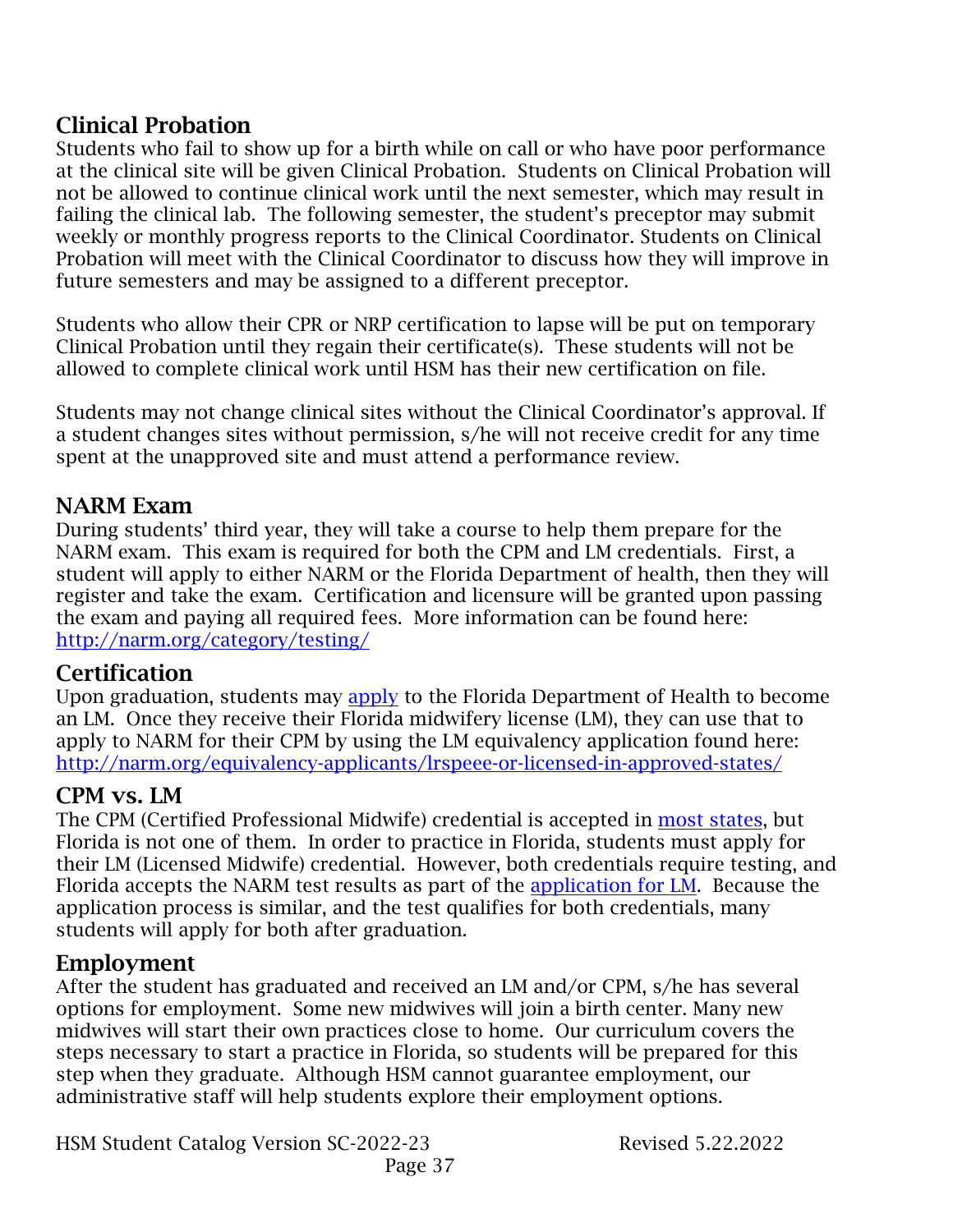## <span id="page-37-0"></span>Clinical Probation

Students who fail to show up for a birth while on call or who have poor performance at the clinical site will be given Clinical Probation. Students on Clinical Probation will not be allowed to continue clinical work until the next semester, which may result in failing the clinical lab. The following semester, the student's preceptor may submit weekly or monthly progress reports to the Clinical Coordinator. Students on Clinical Probation will meet with the Clinical Coordinator to discuss how they will improve in future semesters and may be assigned to a different preceptor.

Students who allow their CPR or NRP certification to lapse will be put on temporary Clinical Probation until they regain their certificate(s). These students will not be allowed to complete clinical work until HSM has their new certification on file.

Students may not change clinical sites without the Clinical Coordinator's approval. If a student changes sites without permission, s/he will not receive credit for any time spent at the unapproved site and must attend a performance review.

## NARM Exam

During students' third year, they will take a course to help them prepare for the NARM exam. This exam is required for both the CPM and LM credentials. First, a student will apply to either NARM or the Florida Department of health, then they will register and take the exam. Certification and licensure will be granted upon passing the exam and paying all required fees. More information can be found here: <http://narm.org/category/testing/>

#### <span id="page-37-1"></span>**Certification**

Upon graduation, students may [apply](http://www.floridahealth.gov/licensing-and-regulation/midwifery/licensing/index.html) to the Florida Department of Health to become an LM. Once they receive their Florida midwifery license (LM), they can use that to apply to NARM for their CPM by using the LM equivalency application found here: <http://narm.org/equivalency-applicants/lrspeee-or-licensed-in-approved-states/>

#### <span id="page-37-2"></span>CPM vs. LM

The CPM (Certified Professional Midwife) credential is accepted in most [states,](http://narm.org/pdffiles/Statechart.pdf) but Florida is not one of them. In order to practice in Florida, students must apply for their LM (Licensed Midwife) credential. However, both credentials require testing, and Florida accepts the NARM test results as part of the [application for LM.](http://www.floridahealth.gov/licensing-and-regulation/midwifery/licensing/index.html) Because the application process is similar, and the test qualifies for both credentials, many students will apply for both after graduation.

#### <span id="page-37-3"></span>Employment

After the student has graduated and received an LM and/or CPM, s/he has several options for employment. Some new midwives will join a birth center. Many new midwives will start their own practices close to home. Our curriculum covers the steps necessary to start a practice in Florida, so students will be prepared for this step when they graduate. Although HSM cannot guarantee employment, our administrative staff will help students explore their employment options.

HSM Student Catalog Version SC-2022-23 Revised 5.22.2022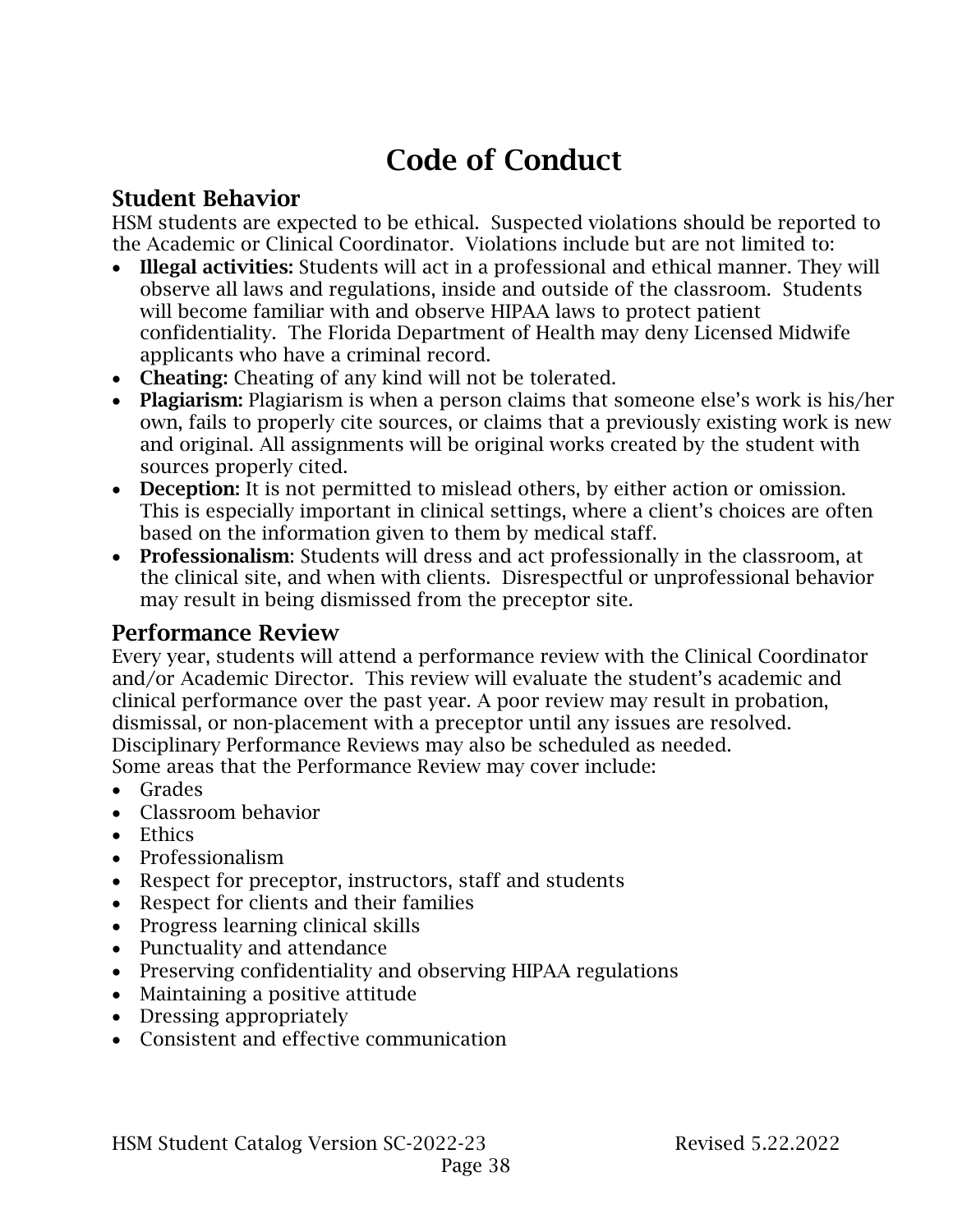## Code of Conduct

## <span id="page-38-1"></span><span id="page-38-0"></span>Student Behavior

HSM students are expected to be ethical. Suspected violations should be reported to the Academic or Clinical Coordinator. Violations include but are not limited to:

- Illegal activities: Students will act in a professional and ethical manner. They will observe all laws and regulations, inside and outside of the classroom. Students will become familiar with and observe HIPAA laws to protect patient confidentiality. The Florida Department of Health may deny Licensed Midwife applicants who have a criminal record.
- Cheating: Cheating of any kind will not be tolerated.
- Plagiarism: Plagiarism is when a person claims that someone else's work is his/her own, fails to properly cite sources, or claims that a previously existing work is new and original. All assignments will be original works created by the student with sources properly cited.
- Deception: It is not permitted to mislead others, by either action or omission. This is especially important in clinical settings, where a client's choices are often based on the information given to them by medical staff.
- Professionalism: Students will dress and act professionally in the classroom, at the clinical site, and when with clients. Disrespectful or unprofessional behavior may result in being dismissed from the preceptor site.

## <span id="page-38-2"></span>Performance Review

Every year, students will attend a performance review with the Clinical Coordinator and/or Academic Director. This review will evaluate the student's academic and clinical performance over the past year. A poor review may result in probation, dismissal, or non-placement with a preceptor until any issues are resolved. Disciplinary Performance Reviews may also be scheduled as needed. Some areas that the Performance Review may cover include:

- Grades
- Classroom behavior
- Ethics
- Professionalism
- Respect for preceptor, instructors, staff and students
- Respect for clients and their families
- Progress learning clinical skills
- Punctuality and attendance
- Preserving confidentiality and observing HIPAA regulations
- Maintaining a positive attitude
- Dressing appropriately
- Consistent and effective communication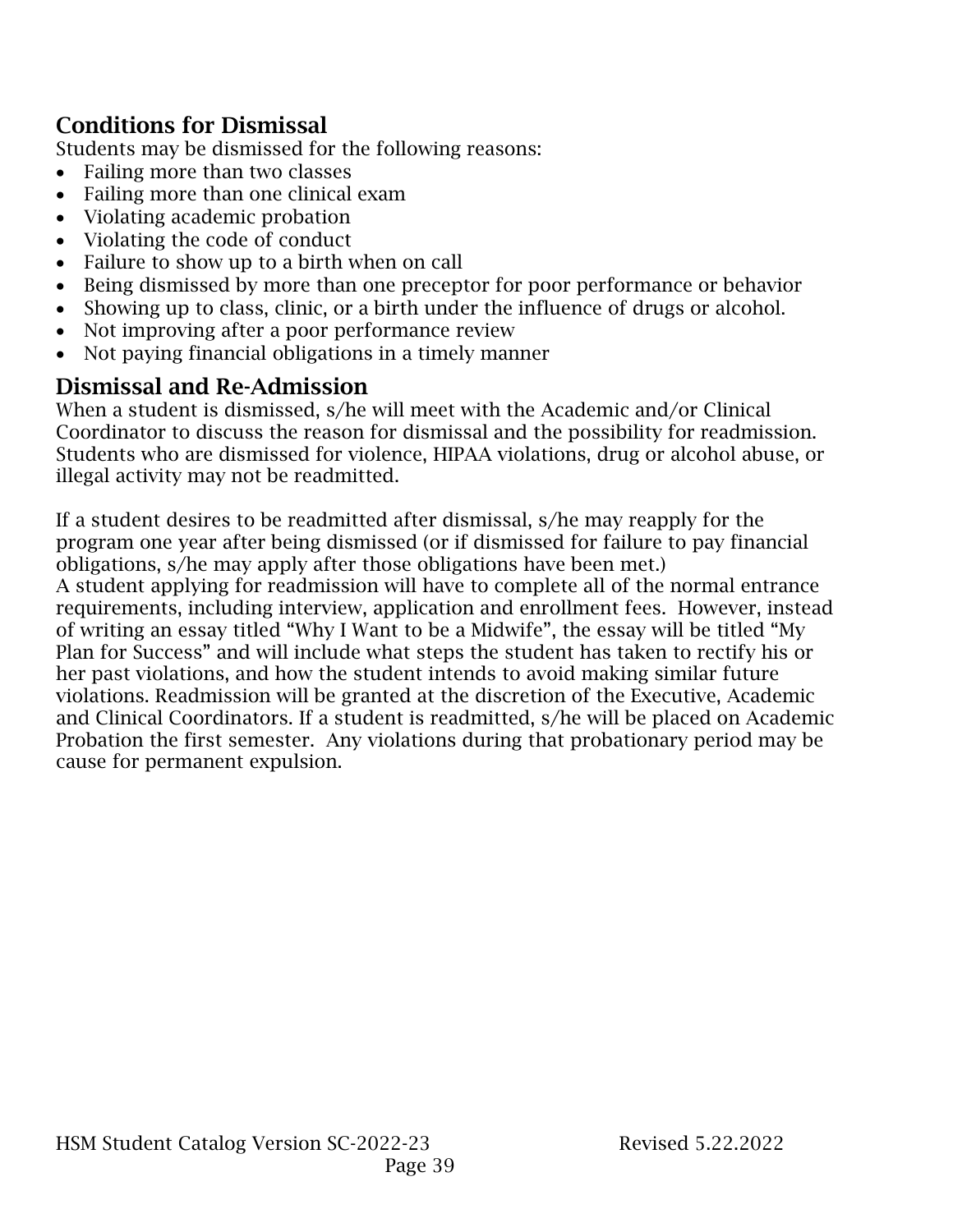## <span id="page-39-0"></span>Conditions for Dismissal

Students may be dismissed for the following reasons:

- Failing more than two classes
- Failing more than one clinical exam
- Violating academic probation
- Violating the code of conduct
- Failure to show up to a birth when on call
- Being dismissed by more than one preceptor for poor performance or behavior
- Showing up to class, clinic, or a birth under the influence of drugs or alcohol.
- Not improving after a poor performance review
- Not paying financial obligations in a timely manner

## <span id="page-39-1"></span>Dismissal and Re-Admission

When a student is dismissed, s/he will meet with the Academic and/or Clinical Coordinator to discuss the reason for dismissal and the possibility for readmission. Students who are dismissed for violence, HIPAA violations, drug or alcohol abuse, or illegal activity may not be readmitted.

If a student desires to be readmitted after dismissal, s/he may reapply for the program one year after being dismissed (or if dismissed for failure to pay financial obligations, s/he may apply after those obligations have been met.) A student applying for readmission will have to complete all of the normal entrance requirements, including interview, application and enrollment fees. However, instead of writing an essay titled "Why I Want to be a Midwife", the essay will be titled "My Plan for Success" and will include what steps the student has taken to rectify his or her past violations, and how the student intends to avoid making similar future violations. Readmission will be granted at the discretion of the Executive, Academic and Clinical Coordinators. If a student is readmitted, s/he will be placed on Academic Probation the first semester. Any violations during that probationary period may be cause for permanent expulsion.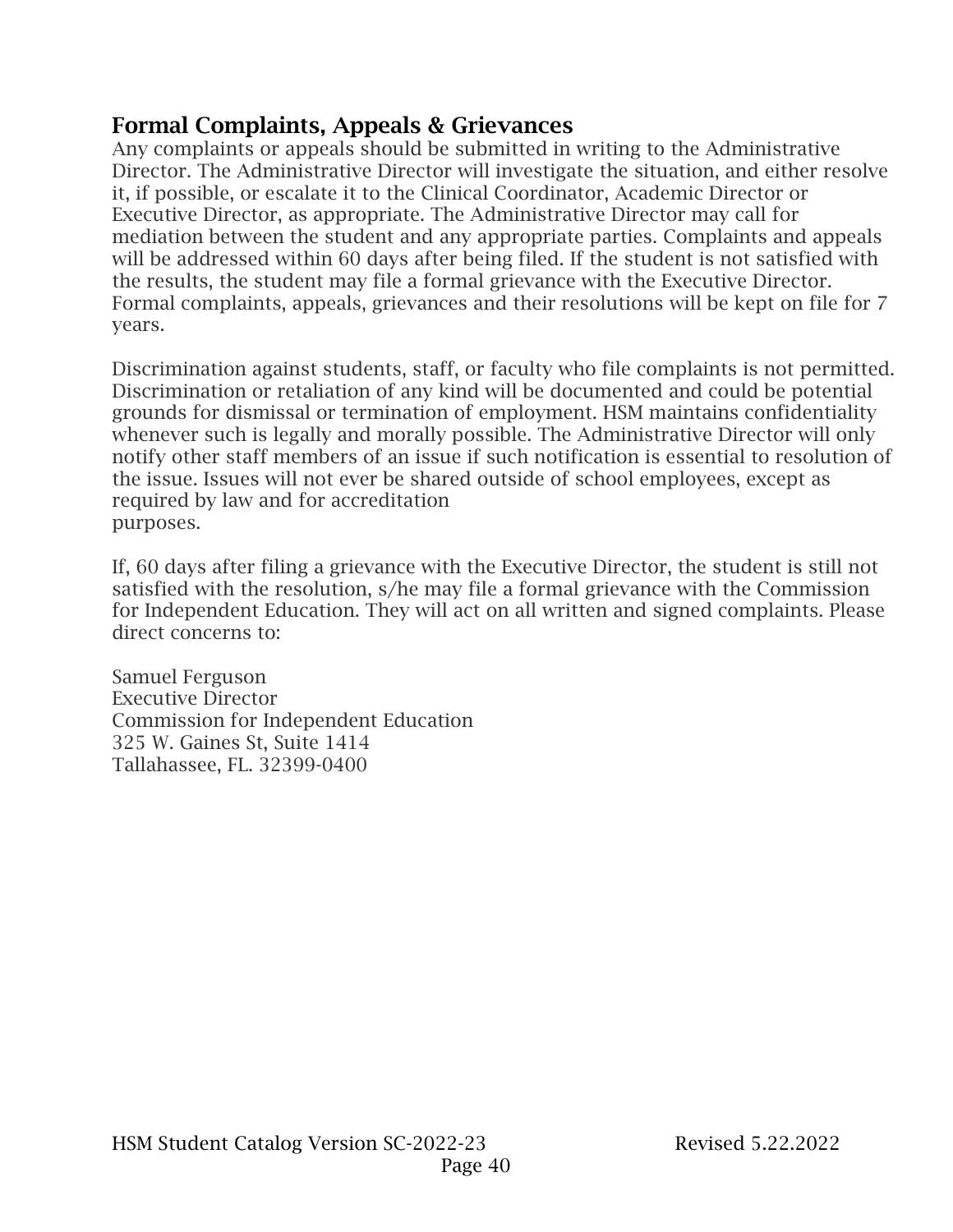## <span id="page-40-0"></span>Formal Complaints, Appeals & Grievances

Any complaints or appeals should be submitted in writing to the Administrative Director. The Administrative Director will investigate the situation, and either resolve it, if possible, or escalate it to the Clinical Coordinator, Academic Director or Executive Director, as appropriate. The Administrative Director may call for mediation between the student and any appropriate parties. Complaints and appeals will be addressed within 60 days after being filed. If the student is not satisfied with the results, the student may file a formal grievance with the Executive Director. Formal complaints, appeals, grievances and their resolutions will be kept on file for 7 years.

Discrimination against students, staff, or faculty who file complaints is not permitted. Discrimination or retaliation of any kind will be documented and could be potential grounds for dismissal or termination of employment. HSM maintains confidentiality whenever such is legally and morally possible. The Administrative Director will only notify other staff members of an issue if such notification is essential to resolution of the issue. Issues will not ever be shared outside of school employees, except as required by law and for accreditation purposes.

If, 60 days after filing a grievance with the Executive Director, the student is still not satisfied with the resolution, s/he may file a formal grievance with the Commission for Independent Education. They will act on all written and signed complaints. Please direct concerns to:

Samuel Ferguson Executive Director Commission for Independent Education 325 W. Gaines St, Suite 1414 Tallahassee, FL. 32399-0400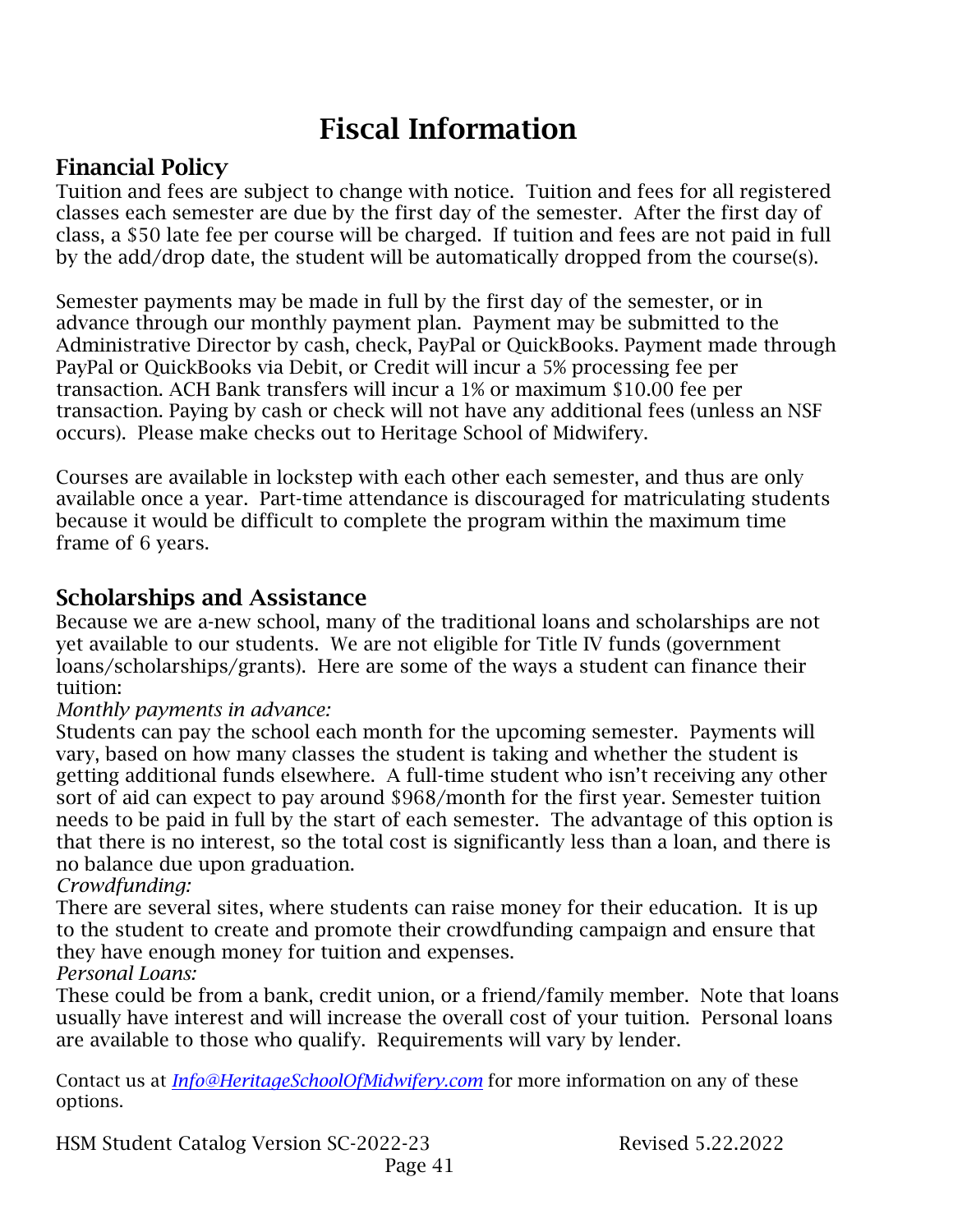## Fiscal Information

## <span id="page-41-1"></span><span id="page-41-0"></span>Financial Policy

Tuition and fees are subject to change with notice. Tuition and fees for all registered classes each semester are due by the first day of the semester. After the first day of class, a \$50 late fee per course will be charged. If tuition and fees are not paid in full by the add/drop date, the student will be automatically dropped from the course(s).

Semester payments may be made in full by the first day of the semester, or in advance through our monthly payment plan. Payment may be submitted to the Administrative Director by cash, check, PayPal or QuickBooks. Payment made through PayPal or QuickBooks via Debit, or Credit will incur a 5% processing fee per transaction. ACH Bank transfers will incur a 1% or maximum \$10.00 fee per transaction. Paying by cash or check will not have any additional fees (unless an NSF occurs). Please make checks out to Heritage School of Midwifery.

Courses are available in lockstep with each other each semester, and thus are only available once a year. Part-time attendance is discouraged for matriculating students because it would be difficult to complete the program within the maximum time frame of 6 years.

### <span id="page-41-2"></span>Scholarships and Assistance

Because we are a-new school, many of the traditional loans and scholarships are not yet available to our students. We are not eligible for Title IV funds (government loans/scholarships/grants). Here are some of the ways a student can finance their tuition:

#### <span id="page-41-3"></span>*Monthly payments in advance:*

Students can pay the school each month for the upcoming semester. Payments will vary, based on how many classes the student is taking and whether the student is getting additional funds elsewhere. A full-time student who isn't receiving any other sort of aid can expect to pay around \$968/month for the first year. Semester tuition needs to be paid in full by the start of each semester. The advantage of this option is that there is no interest, so the total cost is significantly less than a loan, and there is no balance due upon graduation.

#### <span id="page-41-4"></span>*Crowdfunding:*

There are several sites, where students can raise money for their education. It is up to the student to create and promote their crowdfunding campaign and ensure that they have enough money for tuition and expenses.

#### <span id="page-41-5"></span>*Personal Loans:*

These could be from a bank, credit union, or a friend/family member. Note that loans usually have interest and will increase the overall cost of your tuition. Personal loans are available to those who qualify. Requirements will vary by lender.

Contact us at *[Info@HeritageSchoolOfMidwifery.com](mailto:Info@HeritageSchoolOfMidwifery.com)* for more information on any of these options.

HSM Student Catalog Version SC-2022-23 Revised 5.22.2022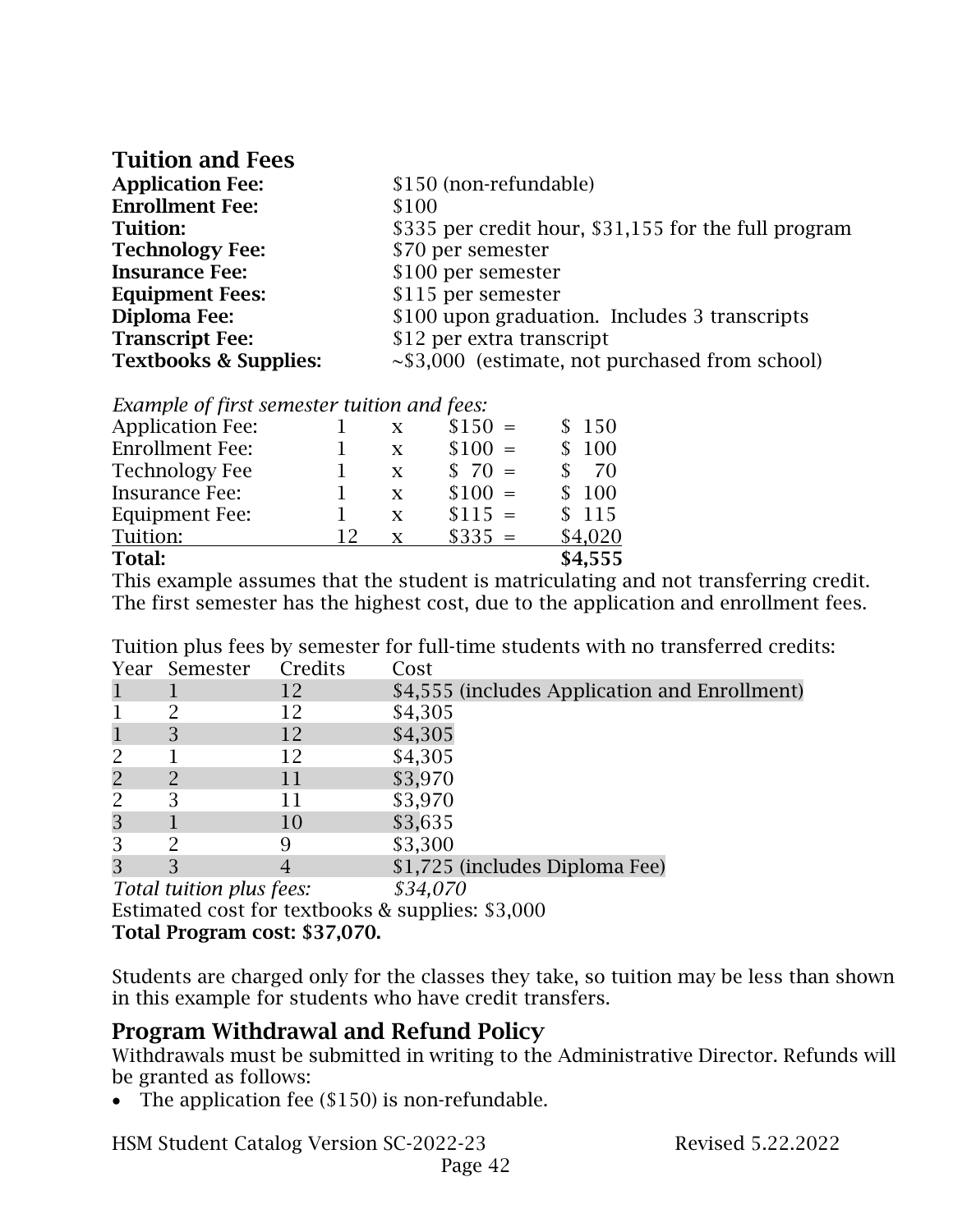#### <span id="page-42-0"></span>Tuition and Fees

| \$150 (non-refundable)                               |
|------------------------------------------------------|
| \$100                                                |
| \$335 per credit hour, \$31,155 for the full program |
| \$70 per semester                                    |
| \$100 per semester                                   |
| \$115 per semester                                   |
| \$100 upon graduation. Includes 3 transcripts        |
| \$12 per extra transcript                            |
| $\sim$ \$3,000 (estimate, not purchased from school) |
|                                                      |

*Example of first semester tuition and fees:*

| <b>Application Fee:</b> |    | X            | $$150 =$ | \$150   |
|-------------------------|----|--------------|----------|---------|
| <b>Enrollment Fee:</b>  |    | X            | $$100 =$ | \$ 100  |
| <b>Technology Fee</b>   |    | $\mathbf{x}$ | $$70 =$  | 70      |
| <b>Insurance Fee:</b>   |    | $\mathbf{x}$ | $$100 =$ | \$ 100  |
| Equipment Fee:          |    | $\mathbf{x}$ | $$115 =$ | \$115   |
| Tuition:                | 12 | X            | $$335 =$ | \$4,020 |
| Total:                  |    |              |          | \$4,555 |
|                         |    |              |          |         |

This example assumes that the student is matriculating and not transferring credit. The first semester has the highest cost, due to the application and enrollment fees.

Tuition plus fees by semester for full-time students with no transferred credits: Year Semester Credits Cost

| т сат | perricater              | Creato  | CUST                                          |
|-------|-------------------------|---------|-----------------------------------------------|
|       |                         | 12      | \$4,555 (includes Application and Enrollment) |
|       |                         | 12      | \$4,305                                       |
|       |                         | 12      | \$4,305                                       |
|       |                         | 12      | \$4,305                                       |
|       |                         | $\perp$ | \$3,970                                       |
|       |                         |         | \$3,970                                       |
| 3     |                         | 10      | \$3,635                                       |
|       |                         |         | \$3,300                                       |
|       |                         |         | \$1,725 (includes Diploma Fee)                |
|       | Total tuition plus fees |         | \$34.070                                      |

*Total tuition plus fees: \$34,070* Estimated cost for textbooks & supplies: \$3,000 Total Program cost: \$37,070.

Students are charged only for the classes they take, so tuition may be less than shown in this example for students who have credit transfers.

#### <span id="page-42-1"></span>Program Withdrawal and Refund Policy

Withdrawals must be submitted in writing to the Administrative Director. Refunds will be granted as follows:

• The application fee (\$150) is non-refundable.

HSM Student Catalog Version SC-2022-23 Revised 5.22.2022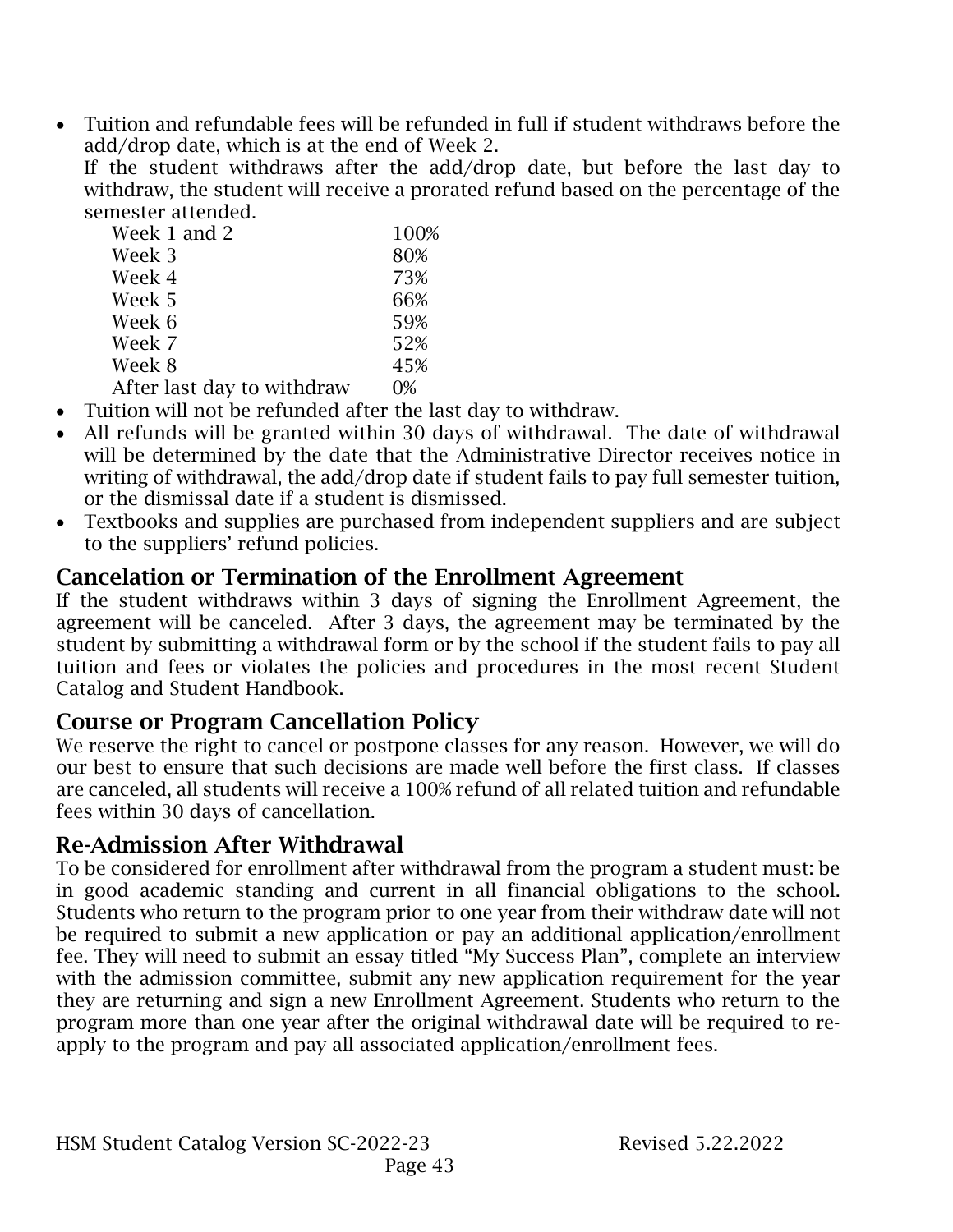• Tuition and refundable fees will be refunded in full if student withdraws before the add/drop date, which is at the end of Week 2.

If the student withdraws after the add/drop date, but before the last day to withdraw, the student will receive a prorated refund based on the percentage of the semester attended.

| Week 1 and 2               | 100% |
|----------------------------|------|
| Week 3                     | 80%  |
| Week 4                     | 73%  |
| Week 5                     | 66%  |
| Week 6                     | 59%  |
| Week 7                     | 52%  |
| Week 8                     | 45%  |
| After last day to withdraw | 0%   |

- Tuition will not be refunded after the last day to withdraw.
- All refunds will be granted within 30 days of withdrawal. The date of withdrawal will be determined by the date that the Administrative Director receives notice in writing of withdrawal, the add/drop date if student fails to pay full semester tuition, or the dismissal date if a student is dismissed.
- Textbooks and supplies are purchased from independent suppliers and are subject to the suppliers' refund policies.

## <span id="page-43-0"></span>Cancelation or Termination of the Enrollment Agreement

If the student withdraws within 3 days of signing the Enrollment Agreement, the agreement will be canceled. After 3 days, the agreement may be terminated by the student by submitting a withdrawal form or by the school if the student fails to pay all tuition and fees or violates the policies and procedures in the most recent Student Catalog and Student Handbook.

## <span id="page-43-1"></span>Course or Program Cancellation Policy

We reserve the right to cancel or postpone classes for any reason. However, we will do our best to ensure that such decisions are made well before the first class. If classes are canceled, all students will receive a 100% refund of all related tuition and refundable fees within 30 days of cancellation.

## <span id="page-43-2"></span>Re-Admission After Withdrawal

To be considered for enrollment after withdrawal from the program a student must: be in good academic standing and current in all financial obligations to the school. Students who return to the program prior to one year from their withdraw date will not be required to submit a new application or pay an additional application/enrollment fee. They will need to submit an essay titled "My Success Plan", complete an interview with the admission committee, submit any new application requirement for the year they are returning and sign a new Enrollment Agreement. Students who return to the program more than one year after the original withdrawal date will be required to reapply to the program and pay all associated application/enrollment fees.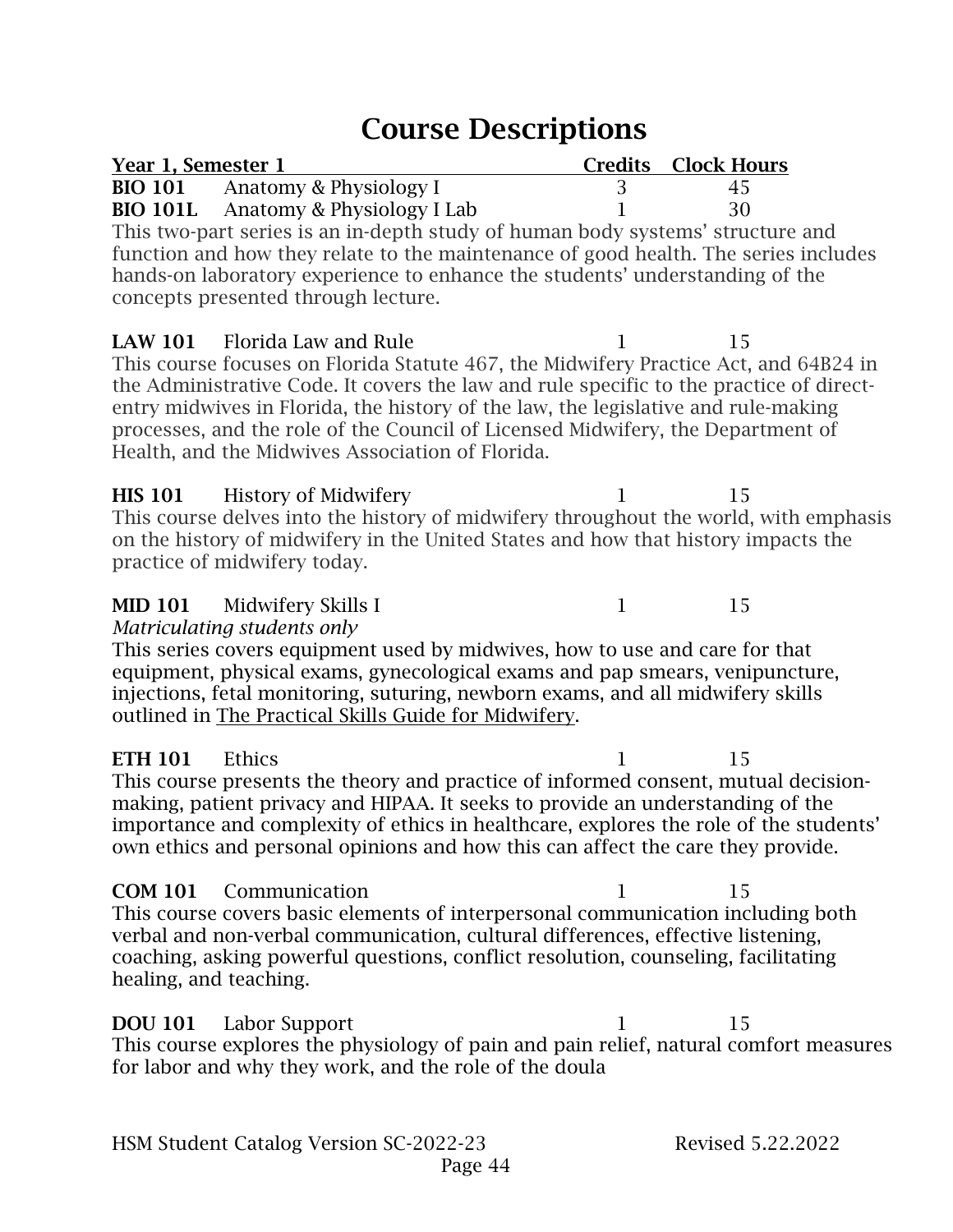## Course Descriptions

<span id="page-44-0"></span>

| Year 1, Semester 1                                                                                                                                                                                                                                                                                                                                                                                                                                     | Credits      | <b>Clock Hours</b> |
|--------------------------------------------------------------------------------------------------------------------------------------------------------------------------------------------------------------------------------------------------------------------------------------------------------------------------------------------------------------------------------------------------------------------------------------------------------|--------------|--------------------|
| Anatomy & Physiology I<br><b>BIO 101</b><br>Anatomy & Physiology I Lab<br><b>BIO 101L</b><br>This two-part series is an in-depth study of human body systems' structure and<br>function and how they relate to the maintenance of good health. The series includes<br>hands-on laboratory experience to enhance the students' understanding of the<br>concepts presented through lecture.                                                              | 3            | 45<br>30           |
| Florida Law and Rule<br><b>LAW 101</b><br>This course focuses on Florida Statute 467, the Midwifery Practice Act, and 64B24 in<br>the Administrative Code. It covers the law and rule specific to the practice of direct-<br>entry midwives in Florida, the history of the law, the legislative and rule-making<br>processes, and the role of the Council of Licensed Midwifery, the Department of<br>Health, and the Midwives Association of Florida. | 1            | 15                 |
| <b>History of Midwifery</b><br><b>HIS 101</b><br>This course delves into the history of midwifery throughout the world, with emphasis<br>on the history of midwifery in the United States and how that history impacts the<br>practice of midwifery today.                                                                                                                                                                                             | 1            | 15                 |
| <b>MID 101</b> Midwifery Skills I<br>Matriculating students only<br>This series covers equipment used by midwives, how to use and care for that<br>equipment, physical exams, gynecological exams and pap smears, venipuncture,<br>injections, fetal monitoring, suturing, newborn exams, and all midwifery skills<br>outlined in The Practical Skills Guide for Midwifery.                                                                            | $\mathbf{1}$ | 15                 |
| Ethics<br><b>ETH 101</b><br>This course presents the theory and practice of informed consent, mutual decision-<br>making, patient privacy and HIPAA. It seeks to provide an understanding of the<br>importance and complexity of ethics in healthcare, explores the role of the students'<br>own ethics and personal opinions and how this can affect the care they provide.                                                                           |              | 15                 |
| <b>COM 101</b><br>Communication<br>This course covers basic elements of interpersonal communication including both<br>verbal and non-verbal communication, cultural differences, effective listening,<br>coaching, asking powerful questions, conflict resolution, counseling, facilitating<br>healing, and teaching.                                                                                                                                  | 1            | 15                 |
| Labor Support<br><b>DOU 101</b><br>This course explores the physiology of pain and pain relief, natural comfort measures<br>for labor and why they work, and the role of the doula                                                                                                                                                                                                                                                                     | 1            | 15                 |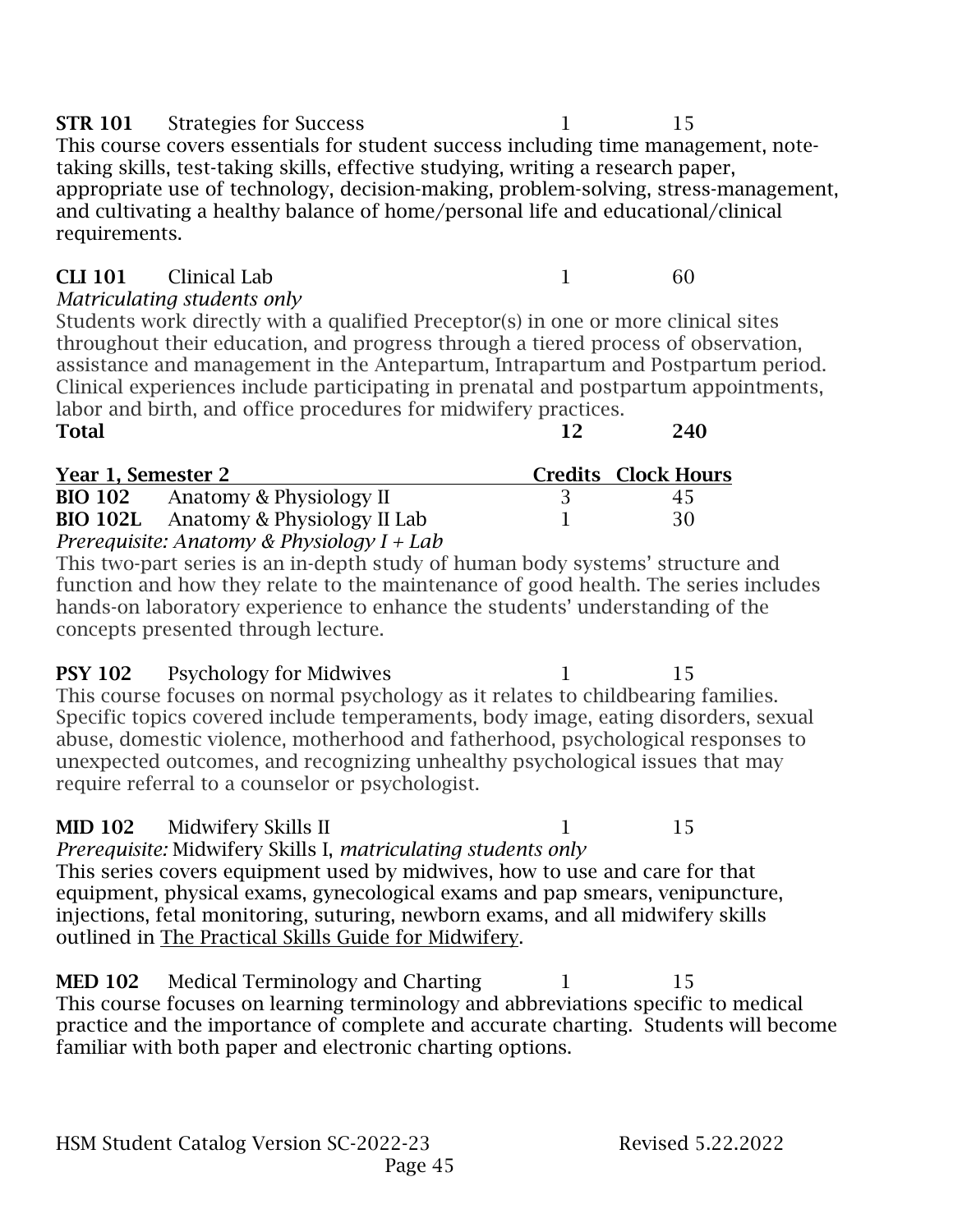#### STR 101 Strategies for Success 1 15

This course covers essentials for student success including time management, notetaking skills, test-taking skills, effective studying, writing a research paper, appropriate use of technology, decision-making, problem-solving, stress-management, and cultivating a healthy balance of home/personal life and educational/clinical requirements.

#### CLI 101 Clinical Lab 1 60

*Matriculating students only*

Students work directly with a qualified Preceptor(s) in one or more clinical sites throughout their education, and progress through a tiered process of observation, assistance and management in the Antepartum, Intrapartum and Postpartum period. Clinical experiences include participating in prenatal and postpartum appointments, labor and birth, and office procedures for midwifery practices.  $\Gamma$ otal  $12$   $240$ 

| Year 1, Semester 2 |                                              | <b>Credits Clock Hours</b> |
|--------------------|----------------------------------------------|----------------------------|
| <b>BIO 102</b>     | Anatomy & Physiology II                      | 45.                        |
|                    | <b>BIO 102L</b> Anatomy & Physiology II Lab  | 30                         |
|                    | Prerequisite: Anatomy & Physiology $I + Lab$ |                            |

This two-part series is an in-depth study of human body systems' structure and function and how they relate to the maintenance of good health. The series includes hands-on laboratory experience to enhance the students' understanding of the concepts presented through lecture.

**PSY 102** Psychology for Midwives 1 15 This course focuses on normal psychology as it relates to childbearing families. Specific topics covered include temperaments, body image, eating disorders, sexual abuse, domestic violence, motherhood and fatherhood, psychological responses to unexpected outcomes, and recognizing unhealthy psychological issues that may require referral to a counselor or psychologist.

#### MID 102 Midwifery Skills II 1 15

*Prerequisite:* Midwifery Skills I, *matriculating students only*

This series covers equipment used by midwives, how to use and care for that equipment, physical exams, gynecological exams and pap smears, venipuncture, injections, fetal monitoring, suturing, newborn exams, and all midwifery skills outlined in The Practical Skills Guide for Midwifery.

MED 102 Medical Terminology and Charting 1 15 This course focuses on learning terminology and abbreviations specific to medical practice and the importance of complete and accurate charting. Students will become familiar with both paper and electronic charting options.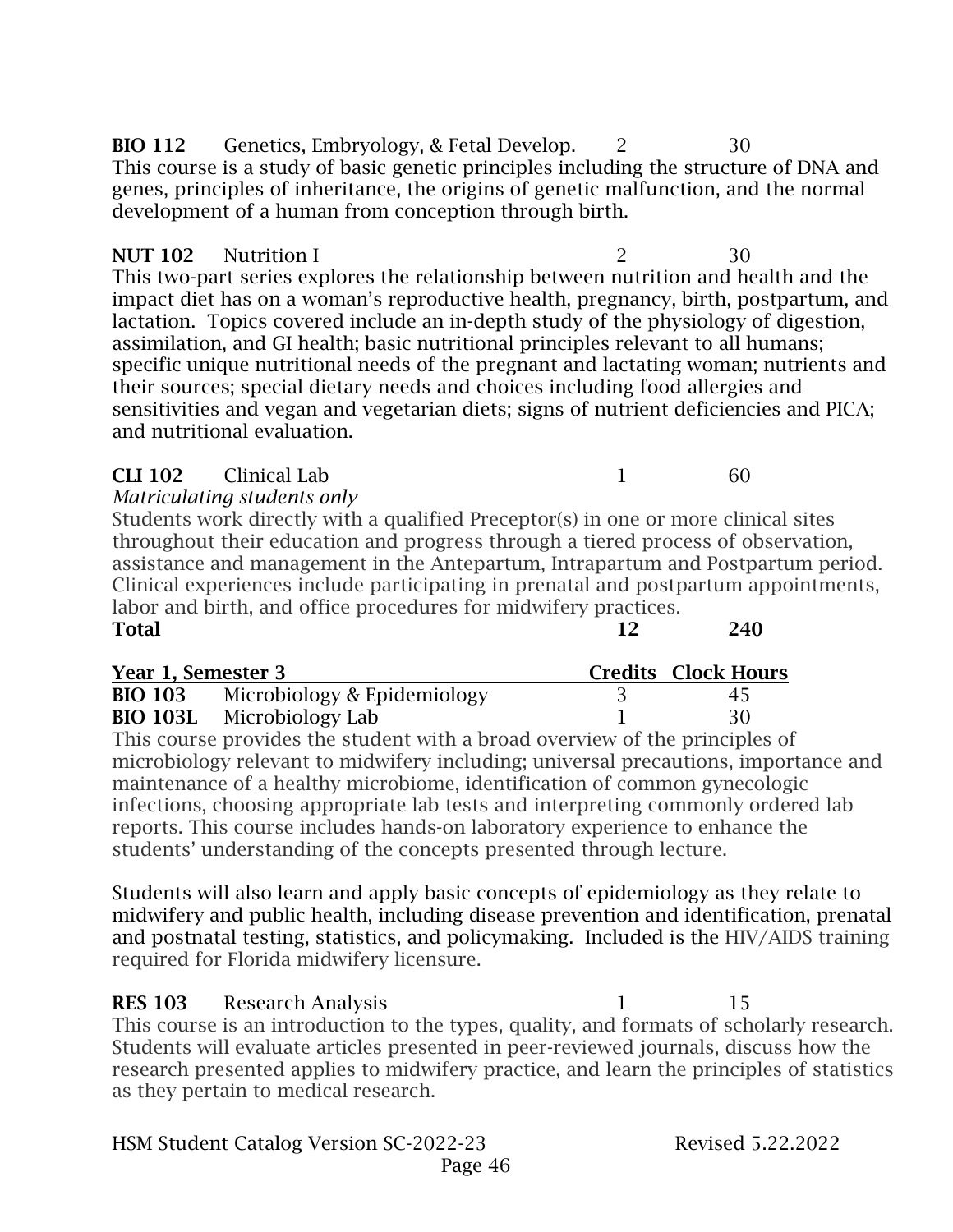BIO 112 Genetics, Embryology, & Fetal Develop. 2 30 This course is a study of basic genetic principles including the structure of DNA and genes, principles of inheritance, the origins of genetic malfunction, and the normal development of a human from conception through birth.

#### NUT 102 Nutrition I 2 30

This two-part series explores the relationship between nutrition and health and the impact diet has on a woman's reproductive health, pregnancy, birth, postpartum, and lactation. Topics covered include an in-depth study of the physiology of digestion, assimilation, and GI health; basic nutritional principles relevant to all humans; specific unique nutritional needs of the pregnant and lactating woman; nutrients and their sources; special dietary needs and choices including food allergies and sensitivities and vegan and vegetarian diets; signs of nutrient deficiencies and PICA; and nutritional evaluation.

#### CLI 102 Clinical Lab 1 60

*Matriculating students only*

Students work directly with a qualified Preceptor(s) in one or more clinical sites throughout their education and progress through a tiered process of observation, assistance and management in the Antepartum, Intrapartum and Postpartum period. Clinical experiences include participating in prenatal and postpartum appointments, labor and birth, and office procedures for midwifery practices.  $\Gamma$ Otal  $12$   $240$ 

| Year 1, Semester 3 |                                  |  | <b>Credits Clock Hours</b> |
|--------------------|----------------------------------|--|----------------------------|
| <b>BIO 103</b>     | Microbiology & Epidemiology      |  | 4 <sub>5</sub>             |
|                    | <b>BIO 103L</b> Microbiology Lab |  | 30                         |
| $-1$               |                                  |  |                            |

This course provides the student with a broad overview of the principles of microbiology relevant to midwifery including; universal precautions, importance and maintenance of a healthy microbiome, identification of common gynecologic infections, choosing appropriate lab tests and interpreting commonly ordered lab reports. This course includes hands-on laboratory experience to enhance the students' understanding of the concepts presented through lecture.

Students will also learn and apply basic concepts of epidemiology as they relate to midwifery and public health, including disease prevention and identification, prenatal and postnatal testing, statistics, and policymaking. Included is the HIV/AIDS training required for Florida midwifery licensure.

RES 103 Research Analysis 1 15 This course is an introduction to the types, quality, and formats of scholarly research. Students will evaluate articles presented in peer-reviewed journals, discuss how the research presented applies to midwifery practice, and learn the principles of statistics as they pertain to medical research.

#### HSM Student Catalog Version SC-2022-23 Revised 5.22.2022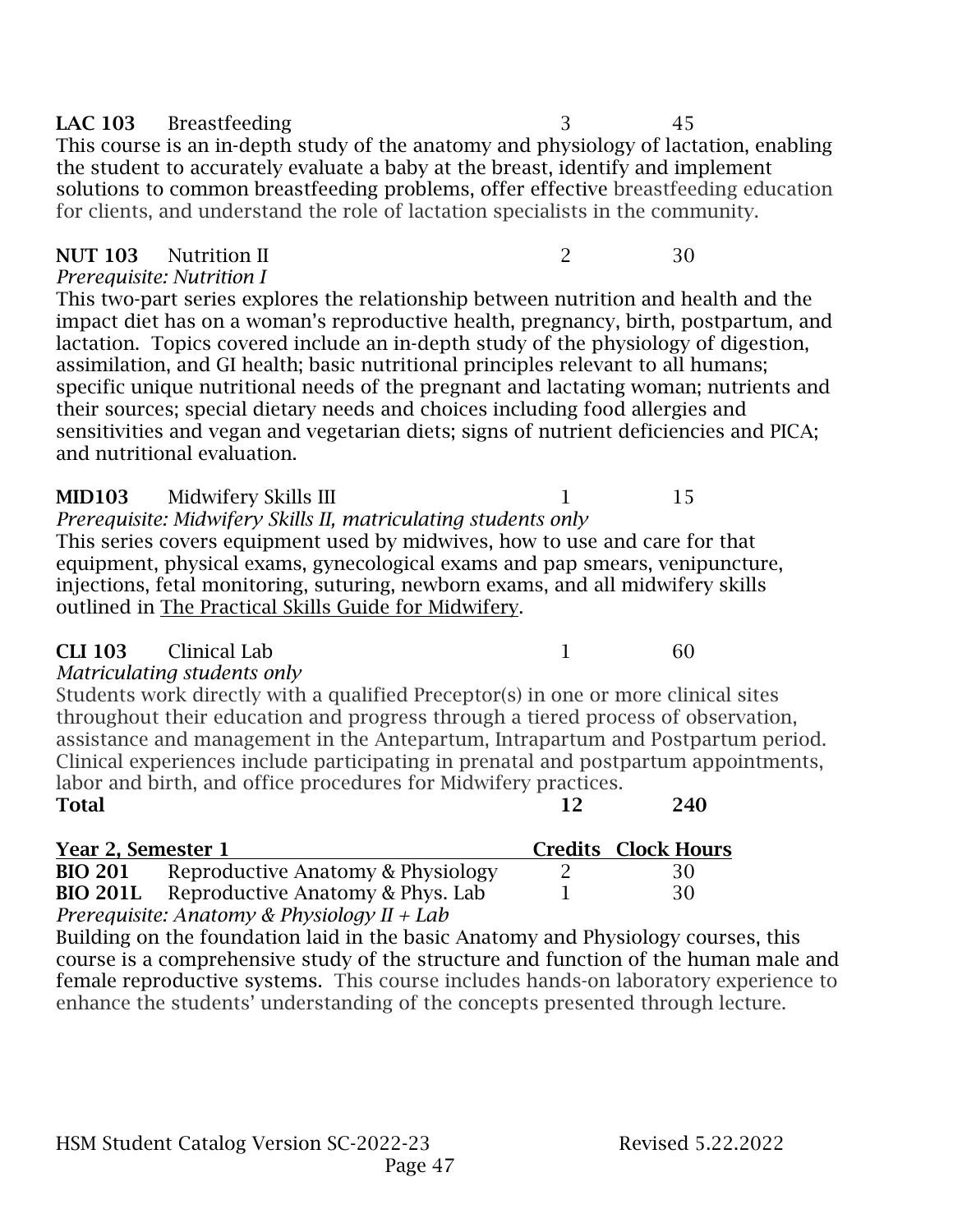#### LAC 103 Breastfeeding 3 3 45

This course is an in-depth study of the anatomy and physiology of lactation, enabling the student to accurately evaluate a baby at the breast, identify and implement solutions to common breastfeeding problems, offer effective breastfeeding education for clients, and understand the role of lactation specialists in the community.

#### NUT 103 Nutrition II 2 30

*Prerequisite: Nutrition I* This two-part series explores the relationship between nutrition and health and the impact diet has on a woman's reproductive health, pregnancy, birth, postpartum, and lactation. Topics covered include an in-depth study of the physiology of digestion, assimilation, and GI health; basic nutritional principles relevant to all humans; specific unique nutritional needs of the pregnant and lactating woman; nutrients and their sources; special dietary needs and choices including food allergies and sensitivities and vegan and vegetarian diets; signs of nutrient deficiencies and PICA; and nutritional evaluation.

MID103 Midwifery Skills III 15 *Prerequisite: Midwifery Skills II, matriculating students only* This series covers equipment used by midwives, how to use and care for that equipment, physical exams, gynecological exams and pap smears, venipuncture, injections, fetal monitoring, suturing, newborn exams, and all midwifery skills outlined in The Practical Skills Guide for Midwifery.

#### CLI 103 Clinical Lab 1 60

*Matriculating students only*

Students work directly with a qualified Preceptor(s) in one or more clinical sites throughout their education and progress through a tiered process of observation, assistance and management in the Antepartum, Intrapartum and Postpartum period. Clinical experiences include participating in prenatal and postpartum appointments, labor and birth, and office procedures for Midwifery practices.  $\Gamma$ otal  $12$   $240$ 

| Year 2, Semester 1 |                                               | <b>Credits Clock Hours</b> |
|--------------------|-----------------------------------------------|----------------------------|
| <b>BIO 201</b>     | Reproductive Anatomy & Physiology             | 30                         |
| <b>BIO 201L</b>    | Reproductive Anatomy & Phys. Lab              | 30                         |
|                    | Prerequisite: Anatomy & Physiology $II + Lab$ |                            |

Building on the foundation laid in the basic Anatomy and Physiology courses, this course is a comprehensive study of the structure and function of the human male and female reproductive systems. This course includes hands-on laboratory experience to enhance the students' understanding of the concepts presented through lecture.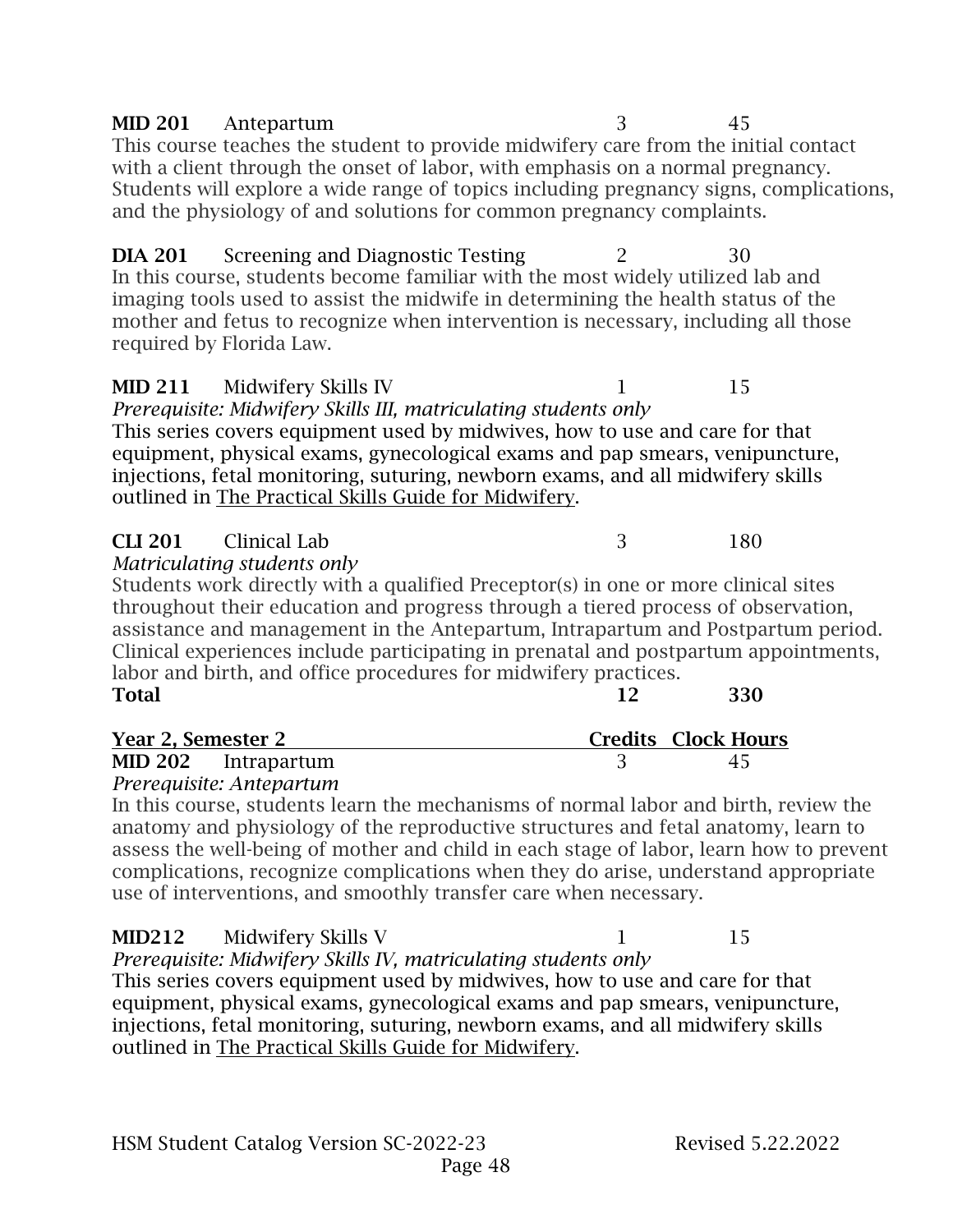MID 201 Antepartum 3 45 This course teaches the student to provide midwifery care from the initial contact with a client through the onset of labor, with emphasis on a normal pregnancy. Students will explore a wide range of topics including pregnancy signs, complications, and the physiology of and solutions for common pregnancy complaints.

**DIA 201** Screening and Diagnostic Testing 2 30 In this course, students become familiar with the most widely utilized lab and imaging tools used to assist the midwife in determining the health status of the mother and fetus to recognize when intervention is necessary, including all those required by Florida Law.

MID 211 Midwifery Skills IV 1 15 *Prerequisite: Midwifery Skills III, matriculating students only* This series covers equipment used by midwives, how to use and care for that equipment, physical exams, gynecological exams and pap smears, venipuncture, injections, fetal monitoring, suturing, newborn exams, and all midwifery skills outlined in The Practical Skills Guide for Midwifery.

#### CLI 201 Clinical Lab 3 180

*Matriculating students only*

Students work directly with a qualified Preceptor(s) in one or more clinical sites throughout their education and progress through a tiered process of observation, assistance and management in the Antepartum, Intrapartum and Postpartum period. Clinical experiences include participating in prenatal and postpartum appointments, labor and birth, and office procedures for midwifery practices.  $\Gamma$ otal  $12$   $330$ 

| Year 2, Semester 2 |                     | <b>Credits Clock Hours</b> |
|--------------------|---------------------|----------------------------|
|                    | MID 202 Intrapartum | 4 <sub>2</sub>             |

*Prerequisite: Antepartum*

In this course, students learn the mechanisms of normal labor and birth, review the anatomy and physiology of the reproductive structures and fetal anatomy, learn to assess the well-being of mother and child in each stage of labor, learn how to prevent complications, recognize complications when they do arise, understand appropriate use of interventions, and smoothly transfer care when necessary.

MID212 Midwifery Skills V 1 15 *Prerequisite: Midwifery Skills IV, matriculating students only*

This series covers equipment used by midwives, how to use and care for that equipment, physical exams, gynecological exams and pap smears, venipuncture, injections, fetal monitoring, suturing, newborn exams, and all midwifery skills outlined in The Practical Skills Guide for Midwifery.

Page 48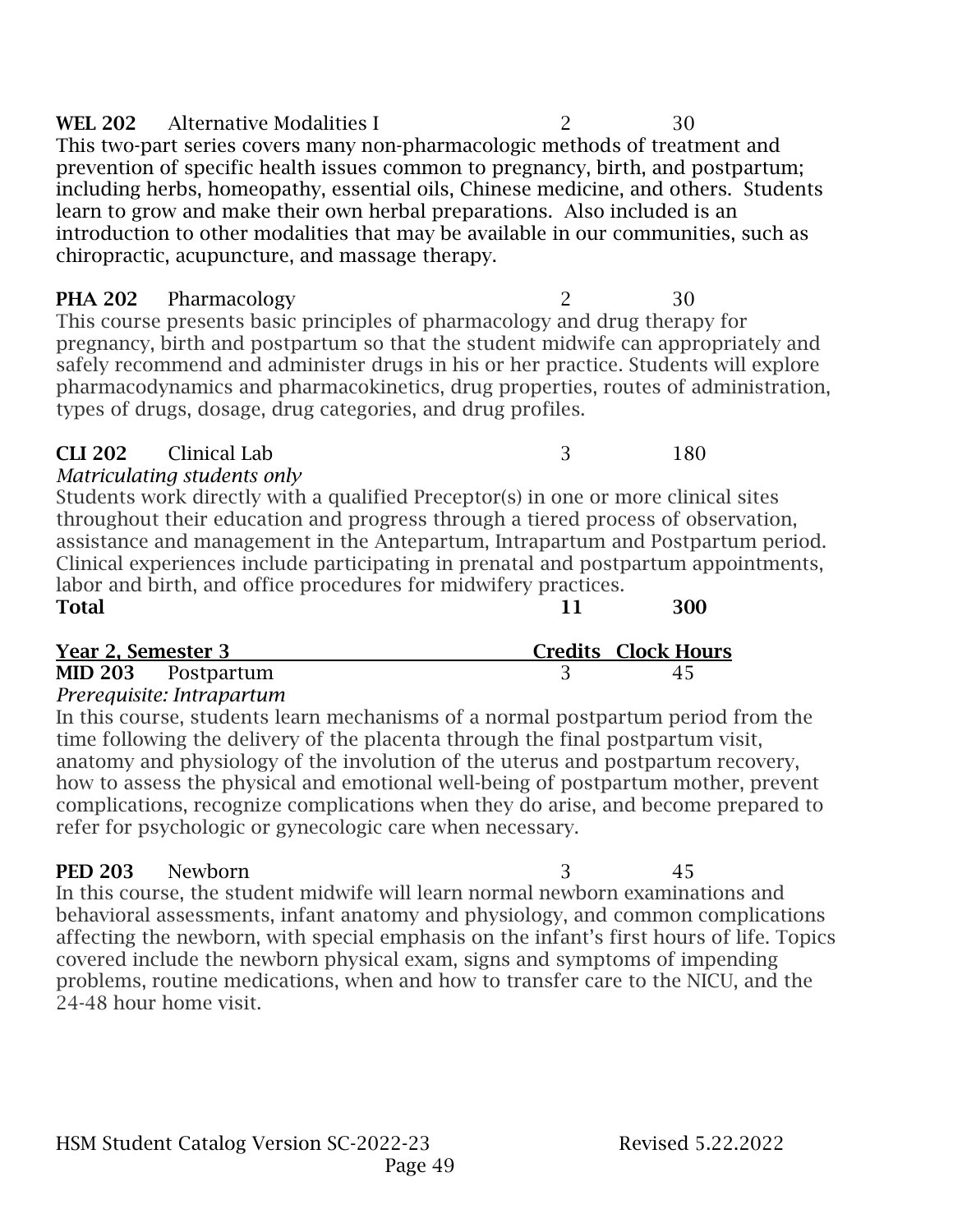WEL 202 Alternative Modalities I 2 30 This two-part series covers many non-pharmacologic methods of treatment and prevention of specific health issues common to pregnancy, birth, and postpartum; including herbs, homeopathy, essential oils, Chinese medicine, and others. Students learn to grow and make their own herbal preparations. Also included is an introduction to other modalities that may be available in our communities, such as chiropractic, acupuncture, and massage therapy.

#### PHA 202 Pharmacology 2 30

This course presents basic principles of pharmacology and drug therapy for pregnancy, birth and postpartum so that the student midwife can appropriately and safely recommend and administer drugs in his or her practice. Students will explore pharmacodynamics and pharmacokinetics, drug properties, routes of administration, types of drugs, dosage, drug categories, and drug profiles.

#### CLI 202 Clinical Lab 3 180

*Matriculating students only*

Students work directly with a qualified Preceptor(s) in one or more clinical sites throughout their education and progress through a tiered process of observation, assistance and management in the Antepartum, Intrapartum and Postpartum period. Clinical experiences include participating in prenatal and postpartum appointments, labor and birth, and office procedures for midwifery practices. Total 11 300

| Year 2, Semester 3 |                           | <b>Credits Clock Hours</b> |
|--------------------|---------------------------|----------------------------|
|                    | <b>MID 203</b> Postpartum | 45                         |

#### *Prerequisite: Intrapartum*

In this course, students learn mechanisms of a normal postpartum period from the time following the delivery of the placenta through the final postpartum visit, anatomy and physiology of the involution of the uterus and postpartum recovery, how to assess the physical and emotional well-being of postpartum mother, prevent complications, recognize complications when they do arise, and become prepared to refer for psychologic or gynecologic care when necessary.

#### PED 203 Newborn 3 45

In this course, the student midwife will learn normal newborn examinations and behavioral assessments, infant anatomy and physiology, and common complications affecting the newborn, with special emphasis on the infant's first hours of life. Topics covered include the newborn physical exam, signs and symptoms of impending problems, routine medications, when and how to transfer care to the NICU, and the 24-48 hour home visit.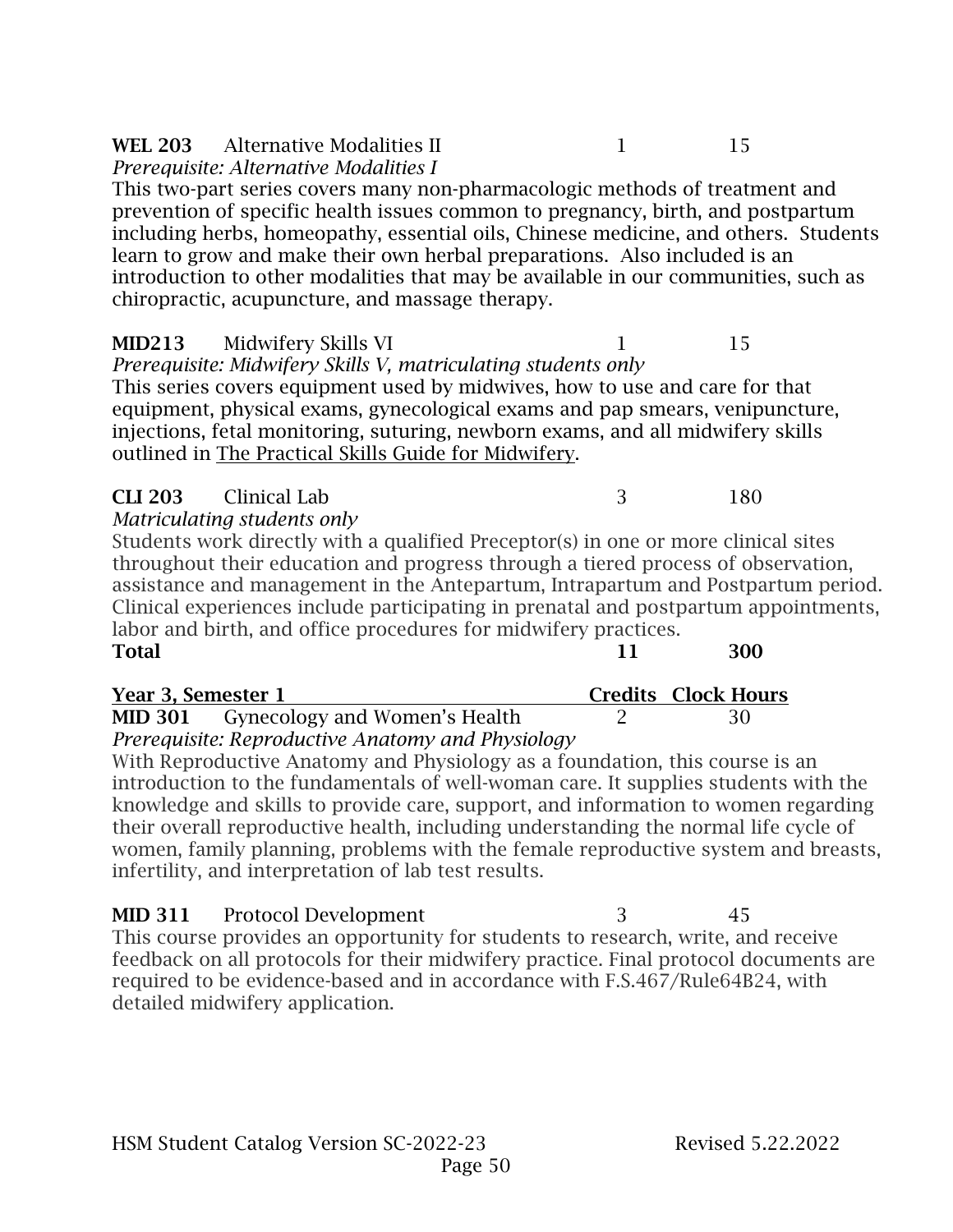## WEL 203 Alternative Modalities II 1 15

*Prerequisite: Alternative Modalities I*

This two-part series covers many non-pharmacologic methods of treatment and prevention of specific health issues common to pregnancy, birth, and postpartum including herbs, homeopathy, essential oils, Chinese medicine, and others. Students learn to grow and make their own herbal preparations. Also included is an introduction to other modalities that may be available in our communities, such as chiropractic, acupuncture, and massage therapy.

MID213 Midwifery Skills VI 1 15 *Prerequisite: Midwifery Skills V, matriculating students only* This series covers equipment used by midwives, how to use and care for that equipment, physical exams, gynecological exams and pap smears, venipuncture, injections, fetal monitoring, suturing, newborn exams, and all midwifery skills outlined in The Practical Skills Guide for Midwifery.

## CLI 203 Clinical Lab 3 180

*Matriculating students only*

Students work directly with a qualified Preceptor(s) in one or more clinical sites throughout their education and progress through a tiered process of observation, assistance and management in the Antepartum, Intrapartum and Postpartum period. Clinical experiences include participating in prenatal and postpartum appointments, labor and birth, and office procedures for midwifery practices. Total 11 300

| Year 3, Semester 1 |                                                          | <b>Credits Clock Hours</b> |
|--------------------|----------------------------------------------------------|----------------------------|
|                    | <b>MID 301</b> Gynecology and Women's Health             | -30                        |
|                    | <b>Droxoquisito: Roproductive Anatomy and Dhysiology</b> |                            |

*Prerequisite: Reproductive Anatomy and Physiology* With Reproductive Anatomy and Physiology as a foundation, this course is an introduction to the fundamentals of well-woman care. It supplies students with the knowledge and skills to provide care, support, and information to women regarding their overall reproductive health, including understanding the normal life cycle of women, family planning, problems with the female reproductive system and breasts, infertility, and interpretation of lab test results.

MID 311 Protocol Development 3 3 45 This course provides an opportunity for students to research, write, and receive feedback on all protocols for their midwifery practice. Final protocol documents are required to be evidence-based and in accordance with F.S.467/Rule64B24, with detailed midwifery application.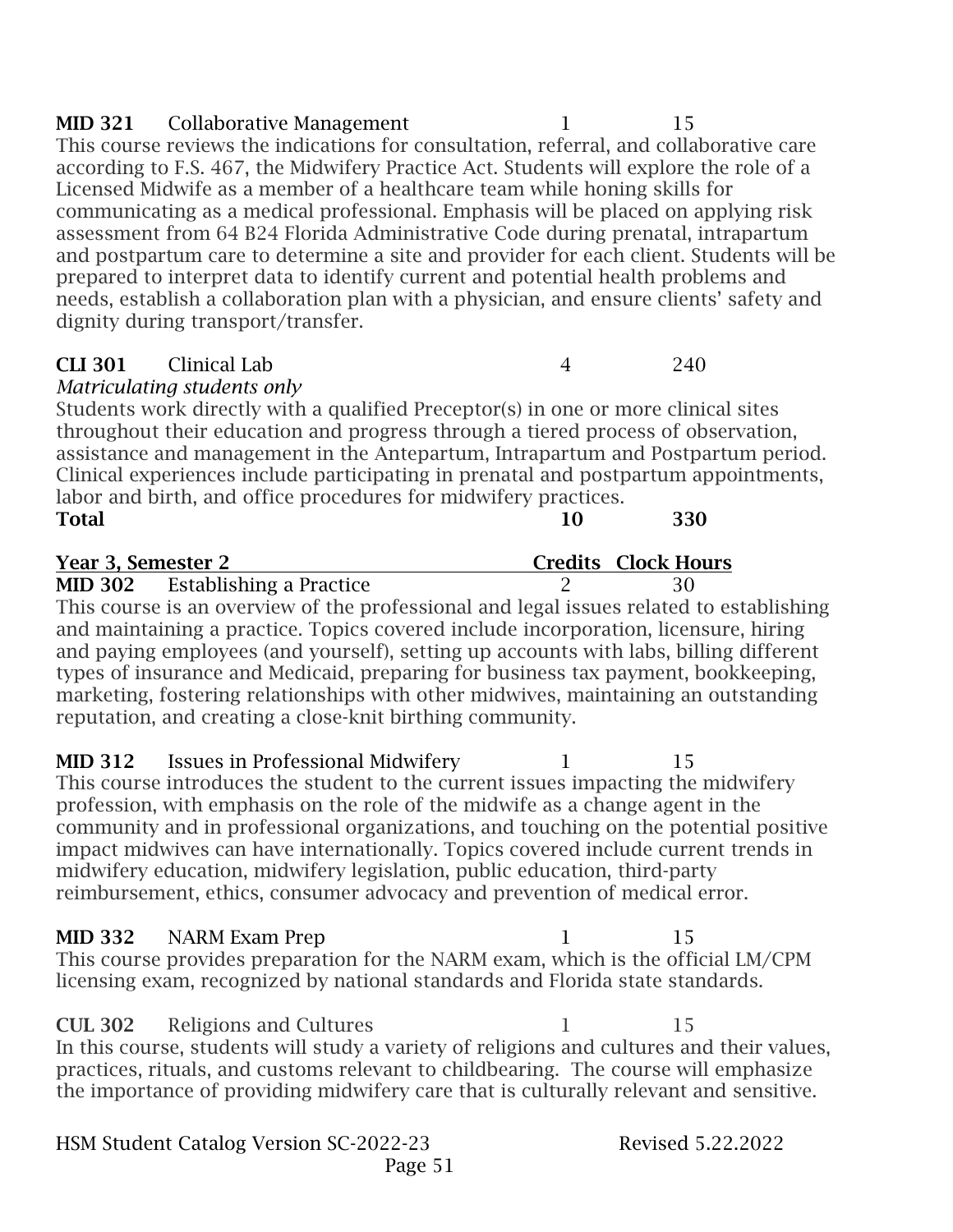## communicating as a medical professional. Emphasis will be placed on applying risk assessment from 64 B24 Florida Administrative Code during prenatal, intrapartum and postpartum care to determine a site and provider for each client. Students will be prepared to interpret data to identify current and potential health problems and needs, establish a collaboration plan with a physician, and ensure clients' safety and dignity during transport/transfer. CLI 301 Clinical Lab 4 240 *Matriculating students only* Students work directly with a qualified Preceptor(s) in one or more clinical sites throughout their education and progress through a tiered process of observation, assistance and management in the Antepartum, Intrapartum and Postpartum period. Clinical experiences include participating in prenatal and postpartum appointments, labor and birth, and office procedures for midwifery practices. Total 10 330 Year 3, Semester 2 Credits Clock Hours This course is an overview of the professional and legal issues related to establishing

according to F.S. 467, the Midwifery Practice Act. Students will explore the role of a

Licensed Midwife as a member of a healthcare team while honing skills for

MID 312 Issues in Professional Midwifery 1 15 This course introduces the student to the current issues impacting the midwifery profession, with emphasis on the role of the midwife as a change agent in the community and in professional organizations, and touching on the potential positive impact midwives can have internationally. Topics covered include current trends in midwifery education, midwifery legislation, public education, third-party reimbursement, ethics, consumer advocacy and prevention of medical error.

MID 332 NARM Exam Prep 1 15 This course provides preparation for the NARM exam, which is the official LM/CPM licensing exam, recognized by national standards and Florida state standards.

CUL 302 Religions and Cultures 1 15 In this course, students will study a variety of religions and cultures and their values, practices, rituals, and customs relevant to childbearing. The course will emphasize the importance of providing midwifery care that is culturally relevant and sensitive.

## HSM Student Catalog Version SC-2022-23 Revised 5.22.2022

MID 302 Establishing a Practice 2 30

and maintaining a practice. Topics covered include incorporation, licensure, hiring and paying employees (and yourself), setting up accounts with labs, billing different types of insurance and Medicaid, preparing for business tax payment, bookkeeping, marketing, fostering relationships with other midwives, maintaining an outstanding reputation, and creating a close-knit birthing community.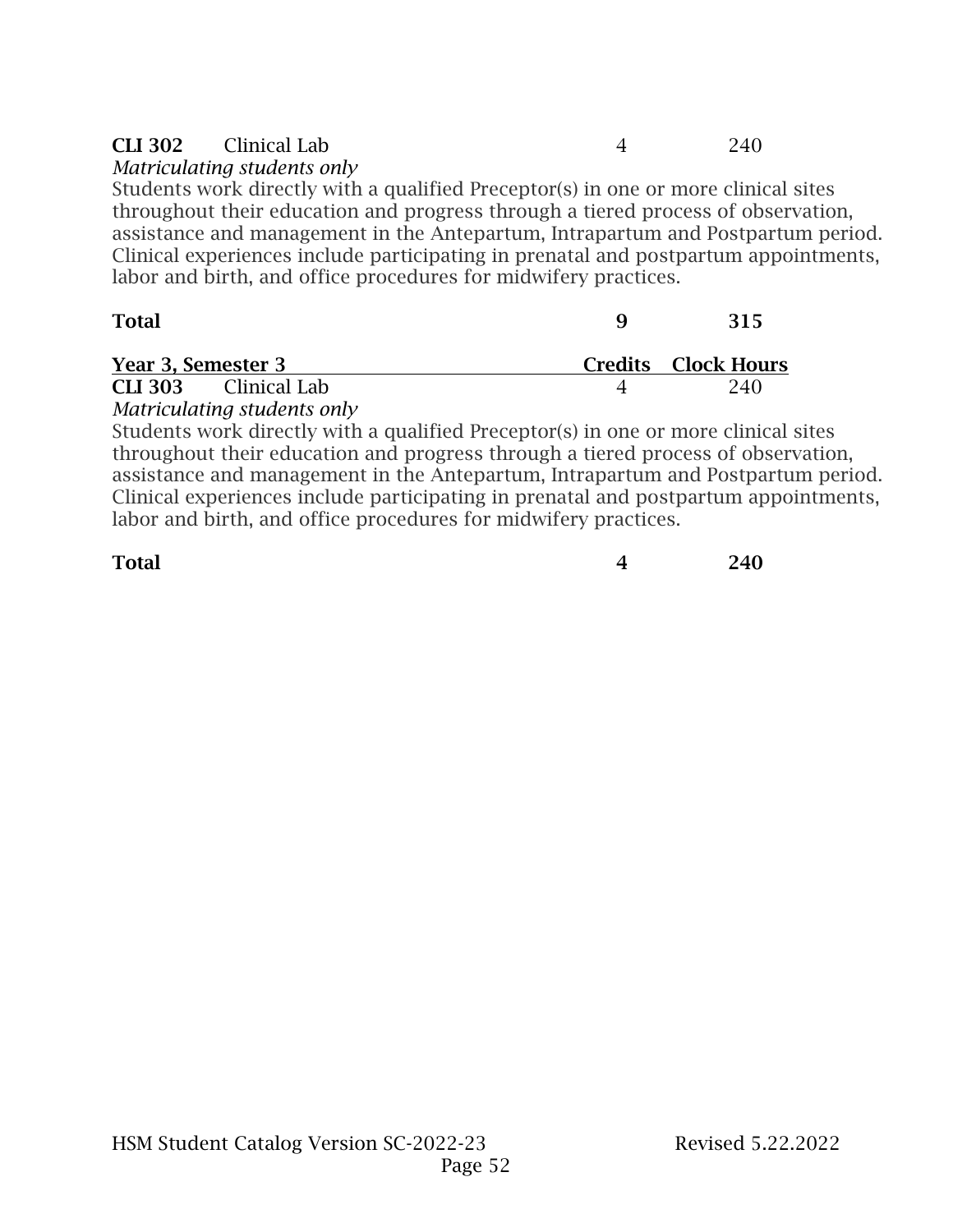## CLI 302 Clinical Lab 4 240

*Matriculating students only*

Students work directly with a qualified Preceptor(s) in one or more clinical sites throughout their education and progress through a tiered process of observation, assistance and management in the Antepartum, Intrapartum and Postpartum period. Clinical experiences include participating in prenatal and postpartum appointments, labor and birth, and office procedures for midwifery practices.

| <b>Total</b>       |                             | Ч | -315                       |
|--------------------|-----------------------------|---|----------------------------|
| Year 3, Semester 3 |                             |   | <b>Credits Clock Hours</b> |
|                    | <b>CLI 303</b> Clinical Lab |   | 240                        |
|                    | Matriculating students only |   |                            |

Students work directly with a qualified Preceptor(s) in one or more clinical sites throughout their education and progress through a tiered process of observation, assistance and management in the Antepartum, Intrapartum and Postpartum period. Clinical experiences include participating in prenatal and postpartum appointments, labor and birth, and office procedures for midwifery practices.

Total  $4$  240